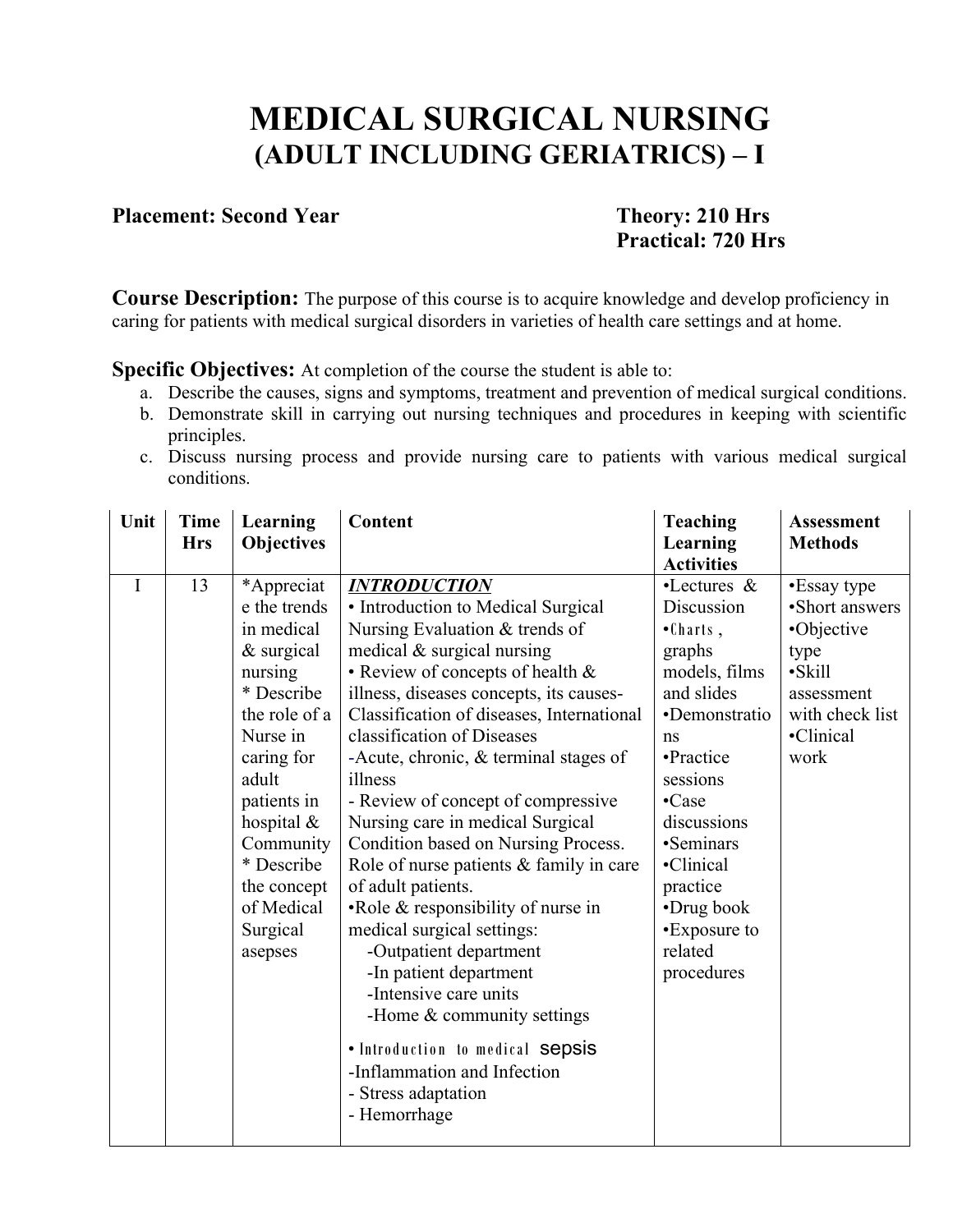## **MEDICAL SURGICAL NURSING (ADULT INCLUDING GERIATRICS) – I**

#### **Placement: Second Year Theory: 210 Hrs**

# **Practical: 720 Hrs**

**Course Description:** The purpose of this course is to acquire knowledge and develop proficiency in caring for patients with medical surgical disorders in varieties of health care settings and at home.

**Specific Objectives:** At completion of the course the student is able to:

- a. Describe the causes, signs and symptoms, treatment and prevention of medical surgical conditions.
- b. Demonstrate skill in carrying out nursing techniques and procedures in keeping with scientific principles.
- c. Discuss nursing process and provide nursing care to patients with various medical surgical conditions.

| Unit        | <b>Time</b><br><b>Hrs</b> | Learning                                                                                                                                                                                                                                             | Content                                                                                                                                                                                                                                                                                                                                                                                                                                                                                                                                                                                                                                                                                                                                                                                                                      | <b>Teaching</b>                                                                                                                                                                                                                                                     | <b>Assessment</b><br><b>Methods</b>                                                                                        |
|-------------|---------------------------|------------------------------------------------------------------------------------------------------------------------------------------------------------------------------------------------------------------------------------------------------|------------------------------------------------------------------------------------------------------------------------------------------------------------------------------------------------------------------------------------------------------------------------------------------------------------------------------------------------------------------------------------------------------------------------------------------------------------------------------------------------------------------------------------------------------------------------------------------------------------------------------------------------------------------------------------------------------------------------------------------------------------------------------------------------------------------------------|---------------------------------------------------------------------------------------------------------------------------------------------------------------------------------------------------------------------------------------------------------------------|----------------------------------------------------------------------------------------------------------------------------|
|             |                           | <b>Objectives</b>                                                                                                                                                                                                                                    |                                                                                                                                                                                                                                                                                                                                                                                                                                                                                                                                                                                                                                                                                                                                                                                                                              | Learning<br><b>Activities</b>                                                                                                                                                                                                                                       |                                                                                                                            |
| $\mathbf I$ | 13                        | *Appreciat<br>e the trends<br>in medical<br>$&$ surgical<br>nursing<br>* Describe<br>the role of a<br>Nurse in<br>caring for<br>adult<br>patients in<br>hospital $\&$<br>Community<br>* Describe<br>the concept<br>of Medical<br>Surgical<br>asepses | <b>INTRODUCTION</b><br>• Introduction to Medical Surgical<br>Nursing Evaluation & trends of<br>medical $\&$ surgical nursing<br>• Review of concepts of health &<br>illness, diseases concepts, its causes-<br>Classification of diseases, International<br>classification of Diseases<br>-Acute, chronic, $&$ terminal stages of<br>illness<br>- Review of concept of compressive<br>Nursing care in medical Surgical<br>Condition based on Nursing Process.<br>Role of nurse patients & family in care<br>of adult patients.<br>• Role $&$ responsibility of nurse in<br>medical surgical settings:<br>-Outpatient department<br>-In patient department<br>-Intensive care units<br>-Home $&$ community settings<br>• Introduction to medical sepsis<br>-Inflammation and Infection<br>- Stress adaptation<br>- Hemorrhage | $\cdot$ Lectures &<br>Discussion<br>$\bullet$ Charts,<br>graphs<br>models, films<br>and slides<br>•Demonstratio<br>ns<br>•Practice<br>sessions<br>•Case<br>discussions<br>•Seminars<br>•Clinical<br>practice<br>•Drug book<br>•Exposure to<br>related<br>procedures | •Essay type<br>•Short answers<br>•Objective<br>type<br>$\cdot$ Skill<br>assessment<br>with check list<br>•Clinical<br>work |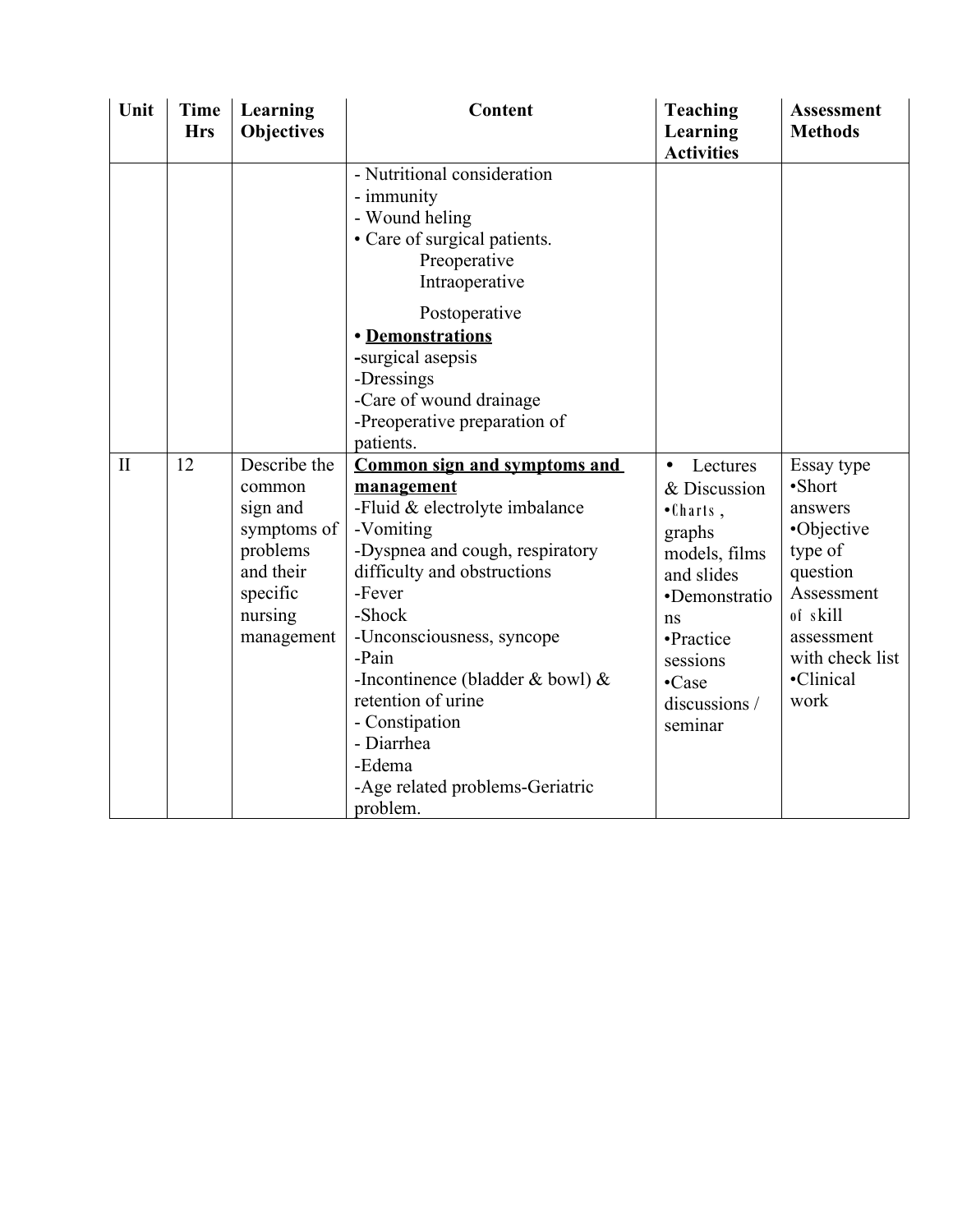| Unit         | <b>Time</b><br><b>Hrs</b> | Learning<br><b>Objectives</b>                                                                                   | Content                                                                                                                                                                                                                                                                                                                                                                             | <b>Teaching</b><br>Learning<br><b>Activities</b>                                                                                                                                         | <b>Assessment</b><br><b>Methods</b>                                                                                                                  |
|--------------|---------------------------|-----------------------------------------------------------------------------------------------------------------|-------------------------------------------------------------------------------------------------------------------------------------------------------------------------------------------------------------------------------------------------------------------------------------------------------------------------------------------------------------------------------------|------------------------------------------------------------------------------------------------------------------------------------------------------------------------------------------|------------------------------------------------------------------------------------------------------------------------------------------------------|
|              |                           |                                                                                                                 | - Nutritional consideration<br>- immunity<br>- Wound heling<br>• Care of surgical patients.<br>Preoperative<br>Intraoperative                                                                                                                                                                                                                                                       |                                                                                                                                                                                          |                                                                                                                                                      |
|              |                           |                                                                                                                 | Postoperative<br>· Demonstrations<br>-surgical asepsis<br>-Dressings<br>-Care of wound drainage<br>-Preoperative preparation of<br>patients.                                                                                                                                                                                                                                        |                                                                                                                                                                                          |                                                                                                                                                      |
| $\mathbf{I}$ | 12                        | Describe the<br>common<br>sign and<br>symptoms of<br>problems<br>and their<br>specific<br>nursing<br>management | <b>Common sign and symptoms and</b><br>management<br>-Fluid & electrolyte imbalance<br>-Vomiting<br>-Dyspnea and cough, respiratory<br>difficulty and obstructions<br>-Fever<br>-Shock<br>-Unconsciousness, syncope<br>-Pain<br>-Incontinence (bladder $&$ bowl) $&$<br>retention of urine<br>- Constipation<br>- Diarrhea<br>-Edema<br>-Age related problems-Geriatric<br>problem. | Lectures<br>$\bullet$<br>& Discussion<br>$\bullet$ Charts,<br>graphs<br>models, films<br>and slides<br>•Demonstratio<br>ns<br>•Practice<br>sessions<br>•Case<br>discussions /<br>seminar | Essay type<br>·Short<br>answers<br>•Objective<br>type of<br>question<br>Assessment<br>of skill<br>assessment<br>with check list<br>•Clinical<br>work |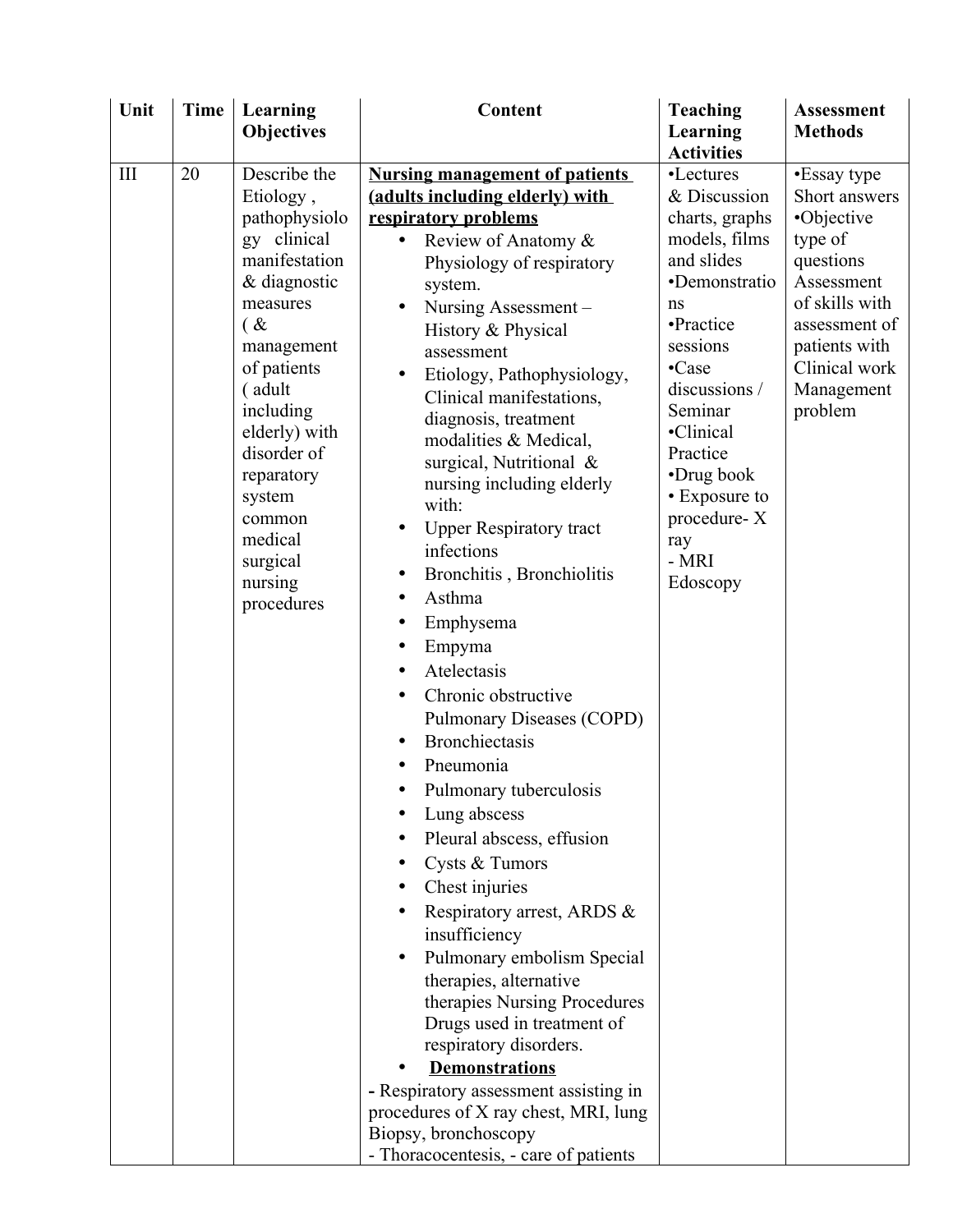| Unit               | <b>Time</b> | Learning            | Content                               | <b>Teaching</b>   | <b>Assessment</b> |
|--------------------|-------------|---------------------|---------------------------------------|-------------------|-------------------|
|                    |             | <b>Objectives</b>   |                                       | Learning          | <b>Methods</b>    |
|                    |             |                     |                                       | <b>Activities</b> |                   |
| $\mathop{\rm III}$ | 20          | Describe the        | <b>Nursing management of patients</b> | •Lectures         | •Essay type       |
|                    |             | Etiology,           | (adults including elderly) with       | & Discussion      | Short answers     |
|                    |             | pathophysiolo       | respiratory problems                  | charts, graphs    | •Objective        |
|                    |             | gy clinical         | Review of Anatomy &                   | models, films     | type of           |
|                    |             | manifestation       | Physiology of respiratory             | and slides        | questions         |
|                    |             | & diagnostic        | system.                               | ·Demonstratio     | Assessment        |
|                    |             | measures            | Nursing Assessment -                  | ns                | of skills with    |
|                    |             | $\alpha$            | History & Physical                    | •Practice         | assessment of     |
|                    |             | management          | assessment                            | sessions          | patients with     |
|                    |             | of patients         | Etiology, Pathophysiology,            | •Case             | Clinical work     |
|                    |             | (adult              | Clinical manifestations,              | discussions /     | Management        |
|                    |             | including           | diagnosis, treatment                  | Seminar           | problem           |
|                    |             | elderly) with       | modalities & Medical,                 | ·Clinical         |                   |
|                    |             | disorder of         | surgical, Nutritional &               | Practice          |                   |
|                    |             | reparatory          | nursing including elderly             | •Drug book        |                   |
|                    |             | system              | with:                                 | • Exposure to     |                   |
|                    |             | common              | <b>Upper Respiratory tract</b>        | procedure-X       |                   |
|                    |             | medical             | infections                            | ray<br>- MRI      |                   |
|                    |             | surgical<br>nursing | Bronchitis, Bronchiolitis             | Edoscopy          |                   |
|                    |             | procedures          | Asthma<br>$\bullet$                   |                   |                   |
|                    |             |                     | Emphysema                             |                   |                   |
|                    |             |                     | Empyma<br>$\bullet$                   |                   |                   |
|                    |             |                     | Atelectasis                           |                   |                   |
|                    |             |                     | Chronic obstructive<br>$\bullet$      |                   |                   |
|                    |             |                     | Pulmonary Diseases (COPD)             |                   |                   |
|                    |             |                     | <b>Bronchiectasis</b>                 |                   |                   |
|                    |             |                     | Pneumonia<br>$\bullet$                |                   |                   |
|                    |             |                     | Pulmonary tuberculosis                |                   |                   |
|                    |             |                     |                                       |                   |                   |
|                    |             |                     | Lung abscess                          |                   |                   |
|                    |             |                     | Pleural abscess, effusion             |                   |                   |
|                    |             |                     | Cysts & Tumors                        |                   |                   |
|                    |             |                     | Chest injuries                        |                   |                   |
|                    |             |                     | Respiratory arrest, ARDS &            |                   |                   |
|                    |             |                     | insufficiency                         |                   |                   |
|                    |             |                     | Pulmonary embolism Special            |                   |                   |
|                    |             |                     | therapies, alternative                |                   |                   |
|                    |             |                     | therapies Nursing Procedures          |                   |                   |
|                    |             |                     | Drugs used in treatment of            |                   |                   |
|                    |             |                     | respiratory disorders.                |                   |                   |
|                    |             |                     | <b>Demonstrations</b>                 |                   |                   |
|                    |             |                     | - Respiratory assessment assisting in |                   |                   |
|                    |             |                     | procedures of X ray chest, MRI, lung  |                   |                   |
|                    |             |                     | Biopsy, bronchoscopy                  |                   |                   |
|                    |             |                     | - Thoracocentesis, - care of patients |                   |                   |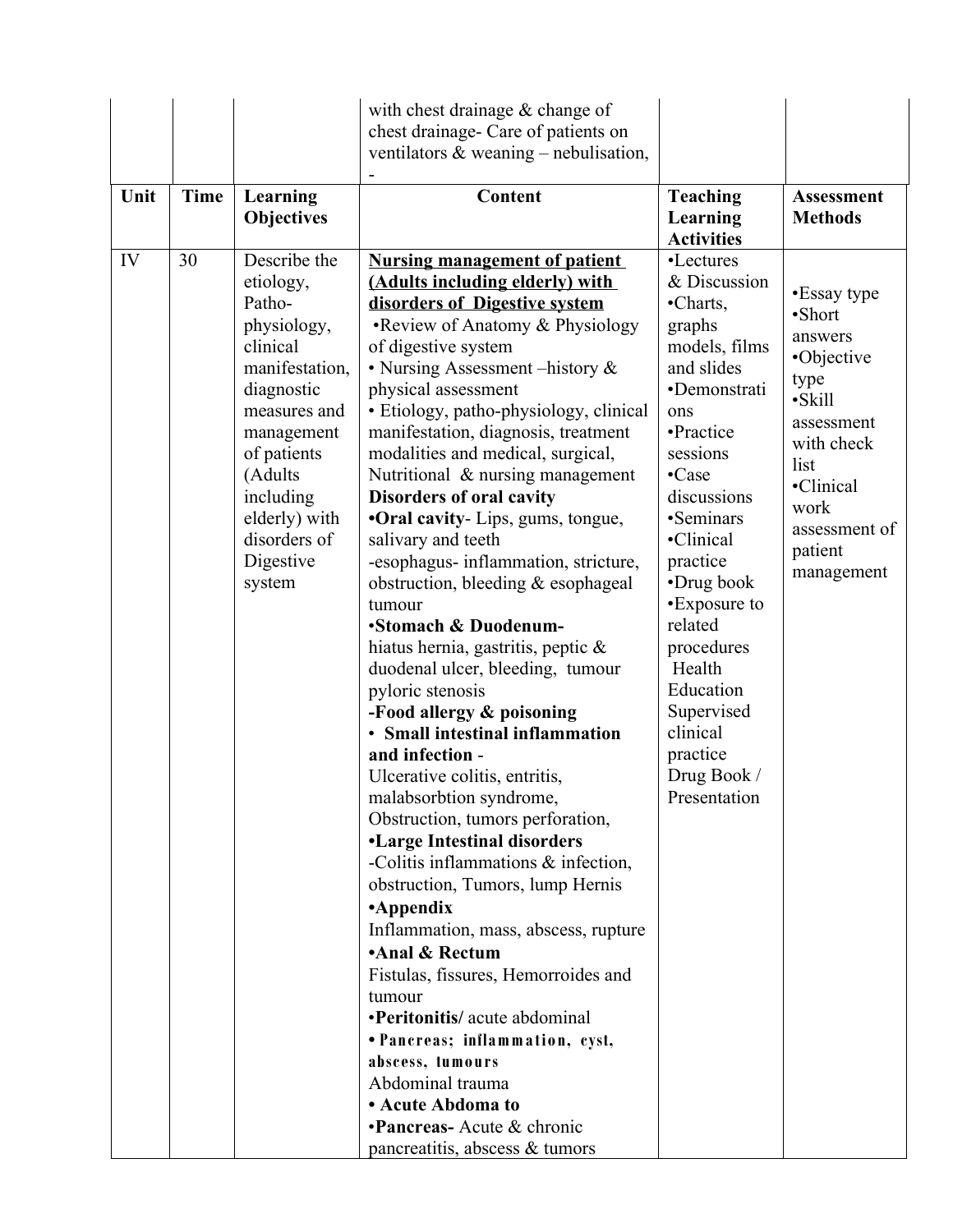|      |             |                   | with chest drainage $&$ change of         |                   |                   |
|------|-------------|-------------------|-------------------------------------------|-------------------|-------------------|
|      |             |                   | chest drainage- Care of patients on       |                   |                   |
|      |             |                   | ventilators $\&$ weaning – nebulisation,  |                   |                   |
|      |             |                   |                                           |                   |                   |
| Unit | <b>Time</b> | Learning          | <b>Content</b>                            | <b>Teaching</b>   | <b>Assessment</b> |
|      |             | <b>Objectives</b> |                                           | Learning          | <b>Methods</b>    |
|      |             |                   |                                           | <b>Activities</b> |                   |
| IV   | 30          | Describe the      | <b>Nursing management of patient</b>      | •Lectures         |                   |
|      |             | etiology,         | (Adults including elderly) with           | & Discussion      |                   |
|      |             | Patho-            | disorders of Digestive system             | •Charts,          | •Essay type       |
|      |             | physiology,       | • Review of Anatomy & Physiology          | graphs            | ·Short            |
|      |             | clinical          | of digestive system                       | models, films     | answers           |
|      |             | manifestation,    | • Nursing Assessment – history $\&$       | and slides        | •Objective        |
|      |             | diagnostic        | physical assessment                       | •Demonstrati      | type              |
|      |             | measures and      | · Etiology, patho-physiology, clinical    | ons               | ·Skill            |
|      |             | management        | manifestation, diagnosis, treatment       | •Practice         | assessment        |
|      |             | of patients       | modalities and medical, surgical,         | sessions          | with check        |
|      |             | (Adults           | Nutritional & nursing management          | •Case             | list              |
|      |             | including         | <b>Disorders of oral cavity</b>           | discussions       | •Clinical         |
|      |             | elderly) with     | <b>•Oral cavity</b> - Lips, gums, tongue, | •Seminars         | work              |
|      |             | disorders of      | salivary and teeth                        | •Clinical         | assessment of     |
|      |             | Digestive         | -esophagus- inflammation, stricture,      | practice          | patient           |
|      |             | system            | obstruction, bleeding & esophageal        | •Drug book        | management        |
|      |             |                   | tumour                                    | •Exposure to      |                   |
|      |             |                   | •Stomach & Duodenum-                      | related           |                   |
|      |             |                   | hiatus hernia, gastritis, peptic $\&$     | procedures        |                   |
|      |             |                   | duodenal ulcer, bleeding, tumour          | Health            |                   |
|      |             |                   | pyloric stenosis                          | Education         |                   |
|      |             |                   | -Food allergy & poisoning                 | Supervised        |                   |
|      |             |                   | • Small intestinal inflammation           | clinical          |                   |
|      |             |                   | and infection -                           | practice          |                   |
|      |             |                   | Ulcerative colitis, entritis,             | Drug Book /       |                   |
|      |             |                   | malabsorbtion syndrome,                   | Presentation      |                   |
|      |             |                   | Obstruction, tumors perforation,          |                   |                   |
|      |             |                   | <b>•Large Intestinal disorders</b>        |                   |                   |
|      |             |                   | -Colitis inflammations $\&$ infection,    |                   |                   |
|      |             |                   | obstruction, Tumors, lump Hernis          |                   |                   |
|      |             |                   | •Appendix                                 |                   |                   |
|      |             |                   | Inflammation, mass, abscess, rupture      |                   |                   |
|      |             |                   | •Anal & Rectum                            |                   |                   |
|      |             |                   | Fistulas, fissures, Hemorroides and       |                   |                   |
|      |             |                   | tumour                                    |                   |                   |
|      |             |                   | •Peritonitis/ acute abdominal             |                   |                   |
|      |             |                   | • Pancreas; inflammation, cyst,           |                   |                   |
|      |             |                   | abscess, tumours                          |                   |                   |
|      |             |                   | Abdominal trauma                          |                   |                   |
|      |             |                   | • Acute Abdoma to                         |                   |                   |
|      |             |                   | <b>•Pancreas-</b> Acute & chronic         |                   |                   |
|      |             |                   | pancreatitis, abscess & tumors            |                   |                   |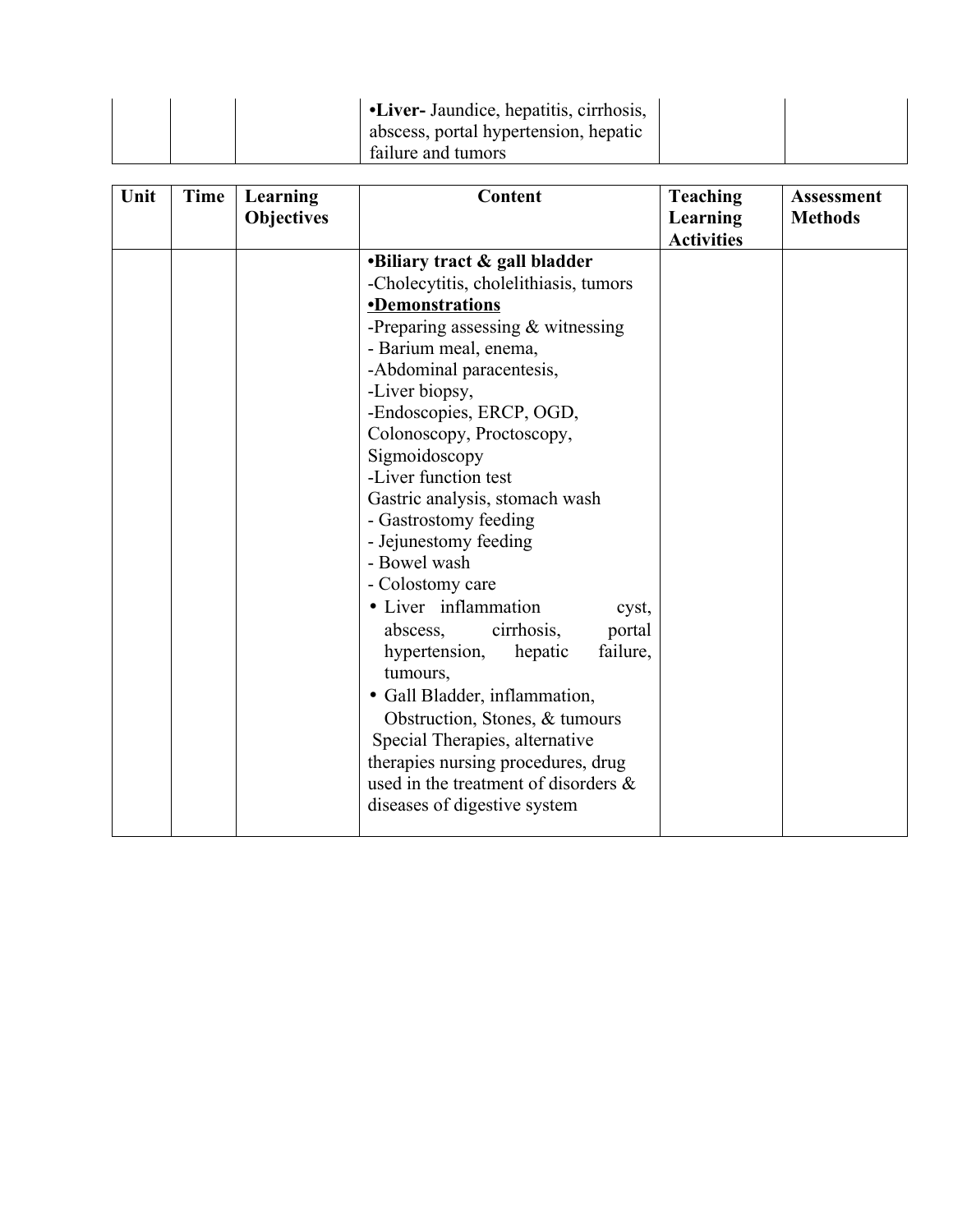|  | <b>U</b> . Liver- Jaundice, hepatitis, cirrhosis, |  |
|--|---------------------------------------------------|--|
|  | abscess, portal hypertension, hepatic             |  |
|  | failure and tumors                                |  |

| Unit | Time | Learning<br><b>Objectives</b> | <b>Content</b>                                                                                                                                                                                                                                                                                                                                                                                                                                                                                                                                                                                                                                                                                                                                                                          | <b>Teaching</b><br><b>Learning</b><br><b>Activities</b> | <b>Assessment</b><br><b>Methods</b> |
|------|------|-------------------------------|-----------------------------------------------------------------------------------------------------------------------------------------------------------------------------------------------------------------------------------------------------------------------------------------------------------------------------------------------------------------------------------------------------------------------------------------------------------------------------------------------------------------------------------------------------------------------------------------------------------------------------------------------------------------------------------------------------------------------------------------------------------------------------------------|---------------------------------------------------------|-------------------------------------|
|      |      |                               | •Biliary tract & gall bladder<br>-Cholecytitis, cholelithiasis, tumors<br><b>•Demonstrations</b><br>-Preparing assessing $&$ witnessing<br>- Barium meal, enema,<br>-Abdominal paracentesis,<br>-Liver biopsy,<br>-Endoscopies, ERCP, OGD,<br>Colonoscopy, Proctoscopy,<br>Sigmoidoscopy<br>-Liver function test<br>Gastric analysis, stomach wash<br>- Gastrostomy feeding<br>- Jejunestomy feeding<br>- Bowel wash<br>- Colostomy care<br>· Liver inflammation<br>cyst,<br>portal<br>cirrhosis,<br>abscess,<br>hypertension,<br>hepatic<br>failure,<br>tumours,<br>· Gall Bladder, inflammation,<br>Obstruction, Stones, & tumours<br>Special Therapies, alternative<br>therapies nursing procedures, drug<br>used in the treatment of disorders $\&$<br>diseases of digestive system |                                                         |                                     |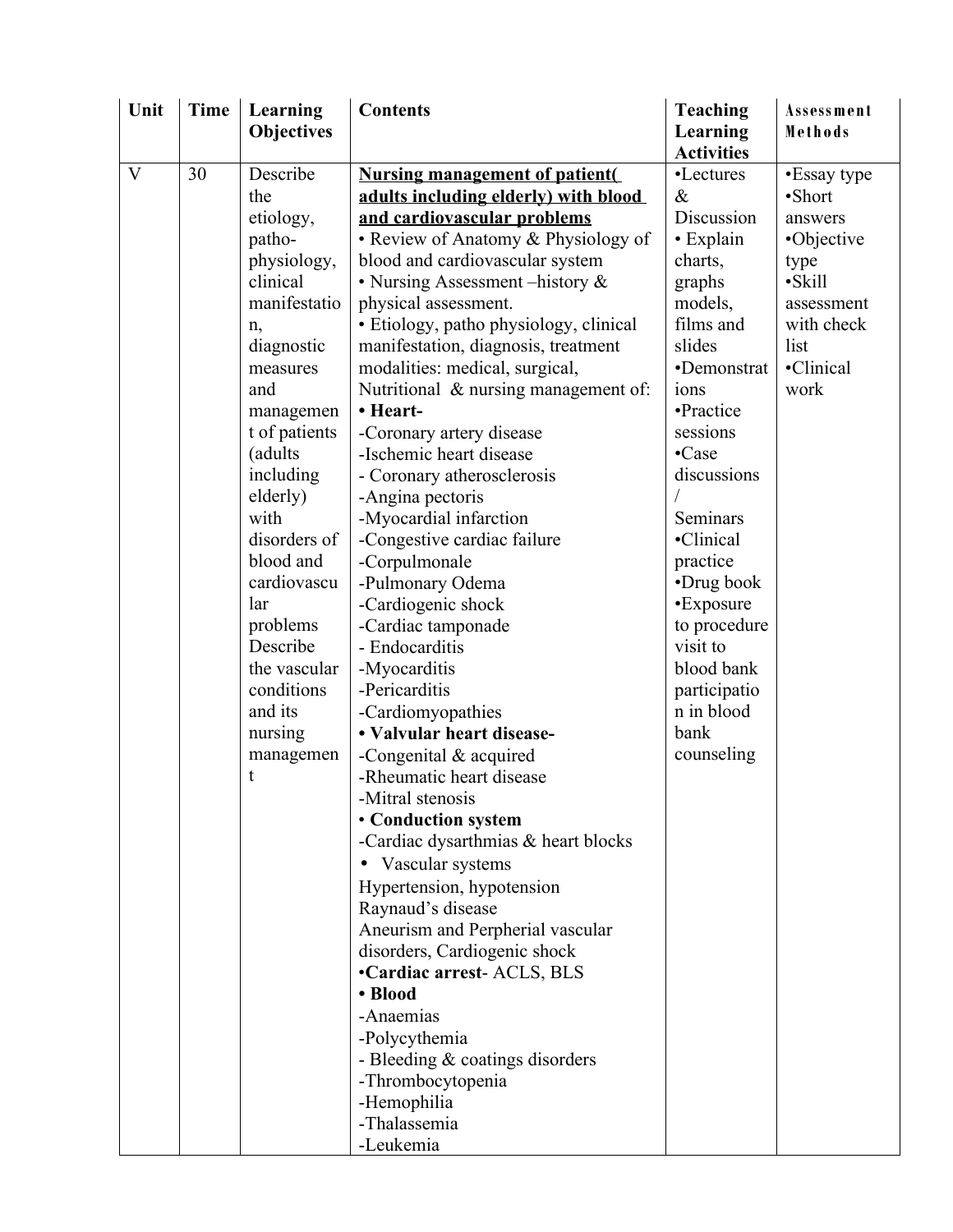| Unit | <b>Time</b> | Learning          | <b>Contents</b>                        | <b>Teaching</b>   | Assessment  |
|------|-------------|-------------------|----------------------------------------|-------------------|-------------|
|      |             | <b>Objectives</b> |                                        | Learning          | Methods     |
|      |             |                   |                                        | <b>Activities</b> |             |
| V    | 30          | Describe          | <b>Nursing management of patient(</b>  | •Lectures         | •Essay type |
|      |             | the               | adults including elderly) with blood   | $\&$              | ·Short      |
|      |             | etiology,         | and cardiovascular problems            | Discussion        | answers     |
|      |             | patho-            | • Review of Anatomy & Physiology of    | • Explain         | •Objective  |
|      |             | physiology,       | blood and cardiovascular system        | charts,           | type        |
|      |             | clinical          | • Nursing Assessment – history &       | graphs            | ·Skill      |
|      |             | manifestatio      | physical assessment.                   | models,           | assessment  |
|      |             | n,                | • Etiology, patho physiology, clinical | films and         | with check  |
|      |             | diagnostic        | manifestation, diagnosis, treatment    | slides            | list        |
|      |             | measures          | modalities: medical, surgical,         | •Demonstrat       | •Clinical   |
|      |             | and               | Nutritional & nursing management of:   | ions              | work        |
|      |             | managemen         | • Heart-                               | •Practice         |             |
|      |             | t of patients     | -Coronary artery disease               | sessions          |             |
|      |             | (adults           | -Ischemic heart disease                | •Case             |             |
|      |             | including         | - Coronary atherosclerosis             | discussions       |             |
|      |             | elderly)          | -Angina pectoris                       |                   |             |
|      |             | with              | -Myocardial infarction                 | Seminars          |             |
|      |             | disorders of      | -Congestive cardiac failure            | •Clinical         |             |
|      |             | blood and         | -Corpulmonale                          | practice          |             |
|      |             | cardiovascu       | -Pulmonary Odema                       | •Drug book        |             |
|      |             | lar               | -Cardiogenic shock                     | •Exposure         |             |
|      |             | problems          | -Cardiac tamponade                     | to procedure      |             |
|      |             | Describe          | - Endocarditis                         | visit to          |             |
|      |             | the vascular      | -Myocarditis                           | blood bank        |             |
|      |             | conditions        | -Pericarditis                          | participatio      |             |
|      |             | and its           | -Cardiomyopathies                      | n in blood        |             |
|      |             | nursing           | • Valvular heart disease-              | bank              |             |
|      |             | managemen         | -Congenital $&$ acquired               | counseling        |             |
|      |             | t                 | -Rheumatic heart disease               |                   |             |
|      |             |                   | -Mitral stenosis                       |                   |             |
|      |             |                   | • Conduction system                    |                   |             |
|      |             |                   | -Cardiac dysarthmias & heart blocks    |                   |             |
|      |             |                   | • Vascular systems                     |                   |             |
|      |             |                   | Hypertension, hypotension              |                   |             |
|      |             |                   | Raynaud's disease                      |                   |             |
|      |             |                   | Aneurism and Perpherial vascular       |                   |             |
|      |             |                   | disorders, Cardiogenic shock           |                   |             |
|      |             |                   | •Cardiac arrest-ACLS, BLS              |                   |             |
|      |             |                   | • Blood                                |                   |             |
|      |             |                   | -Anaemias                              |                   |             |
|      |             |                   | -Polycythemia                          |                   |             |
|      |             |                   | - Bleeding $\&$ coatings disorders     |                   |             |
|      |             |                   | -Thrombocytopenia                      |                   |             |
|      |             |                   | -Hemophilia                            |                   |             |
|      |             |                   | -Thalassemia                           |                   |             |
|      |             |                   | -Leukemia                              |                   |             |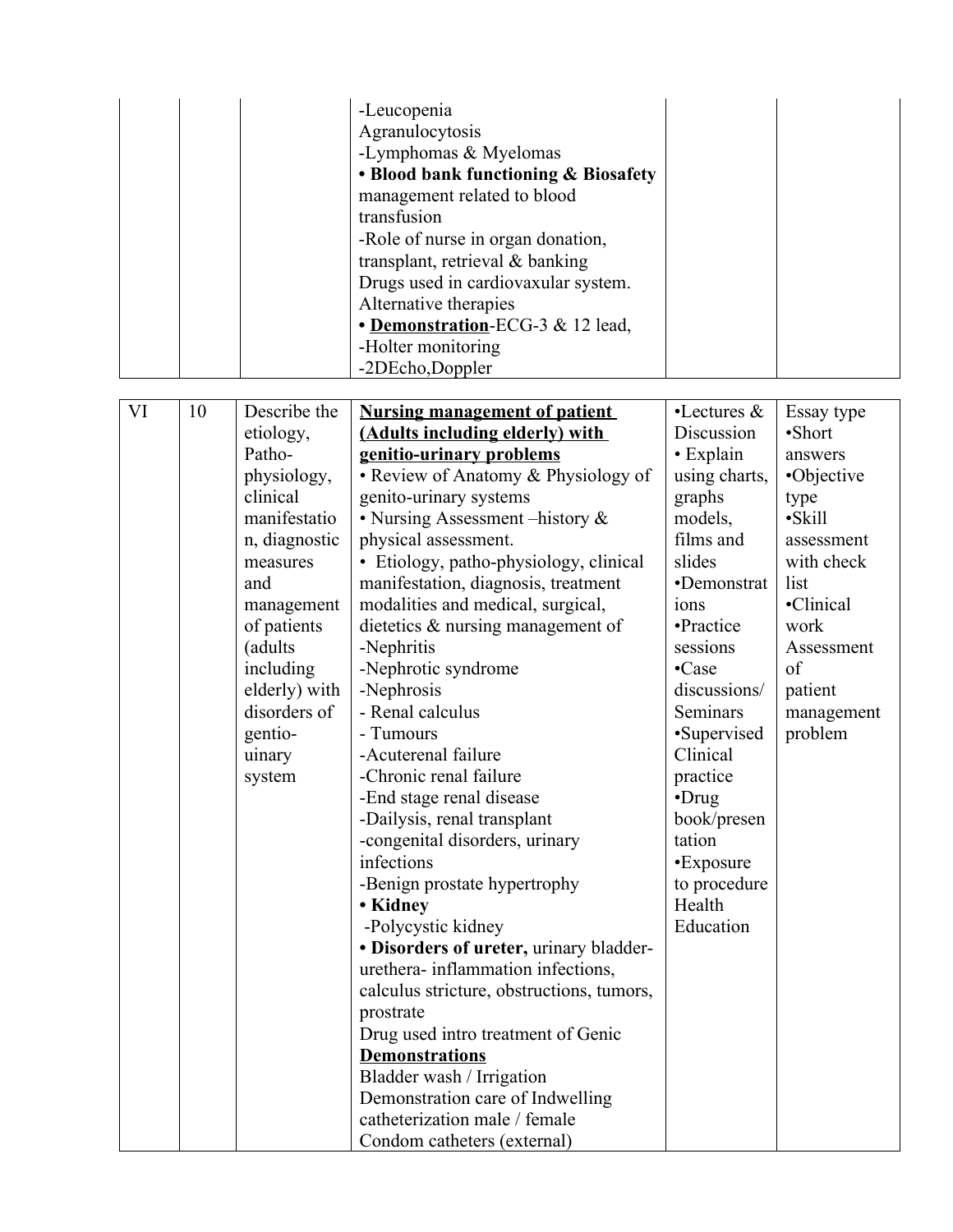|    |    |                                                                                                                                                                                                                                         | -Leucopenia<br>Agranulocytosis<br>-Lymphomas & Myelomas<br>• Blood bank functioning & Biosafety<br>management related to blood<br>transfusion<br>-Role of nurse in organ donation,<br>transplant, retrieval & banking<br>Drugs used in cardiovaxular system.<br>Alternative therapies<br>• Demonstration-ECG-3 & 12 lead,<br>-Holter monitoring<br>-2DEcho,Doppler                                                                                                                                                                                                                                                                                                                                                                                                                                                                                                                                                                                                                                                                                         |                                                                                                                                                                                                                                                                                                                                            |                                                                                                                                                                                  |
|----|----|-----------------------------------------------------------------------------------------------------------------------------------------------------------------------------------------------------------------------------------------|------------------------------------------------------------------------------------------------------------------------------------------------------------------------------------------------------------------------------------------------------------------------------------------------------------------------------------------------------------------------------------------------------------------------------------------------------------------------------------------------------------------------------------------------------------------------------------------------------------------------------------------------------------------------------------------------------------------------------------------------------------------------------------------------------------------------------------------------------------------------------------------------------------------------------------------------------------------------------------------------------------------------------------------------------------|--------------------------------------------------------------------------------------------------------------------------------------------------------------------------------------------------------------------------------------------------------------------------------------------------------------------------------------------|----------------------------------------------------------------------------------------------------------------------------------------------------------------------------------|
| VI | 10 | Describe the<br>etiology,<br>Patho-<br>physiology,<br>clinical<br>manifestatio<br>n, diagnostic<br>measures<br>and<br>management<br>of patients<br>(adults<br>including<br>elderly) with<br>disorders of<br>gentio-<br>uinary<br>system | <b>Nursing management of patient</b><br>(Adults including elderly) with<br>genitio-urinary problems<br>• Review of Anatomy & Physiology of<br>genito-urinary systems<br>• Nursing Assessment - history &<br>physical assessment.<br>• Etiology, patho-physiology, clinical<br>manifestation, diagnosis, treatment<br>modalities and medical, surgical,<br>dietetics $\&$ nursing management of<br>-Nephritis<br>-Nephrotic syndrome<br>-Nephrosis<br>- Renal calculus<br>- Tumours<br>-Acuterenal failure<br>-Chronic renal failure<br>-End stage renal disease<br>-Dailysis, renal transplant<br>-congenital disorders, urinary<br>infections<br>-Benign prostate hypertrophy<br>• Kidney<br>-Polycystic kidney<br>· Disorders of ureter, urinary bladder-<br>urethera-inflammation infections,<br>calculus stricture, obstructions, tumors,<br>prostrate<br>Drug used intro treatment of Genic<br><b>Demonstrations</b><br>Bladder wash / Irrigation<br>Demonstration care of Indwelling<br>catheterization male / female<br>Condom catheters (external) | $\cdot$ Lectures &<br>Discussion<br>• Explain<br>using charts,<br>graphs<br>models,<br>films and<br>slides<br>•Demonstrat<br>ions<br>•Practice<br>sessions<br>•Case<br>discussions/<br><b>Seminars</b><br>•Supervised<br>Clinical<br>practice<br>$\cdot$ Drug<br>book/presen<br>tation<br>•Exposure<br>to procedure<br>Health<br>Education | Essay type<br>•Short<br>answers<br>•Objective<br>type<br>·Skill<br>assessment<br>with check<br>list<br>•Clinical<br>work<br>Assessment<br>of<br>patient<br>management<br>problem |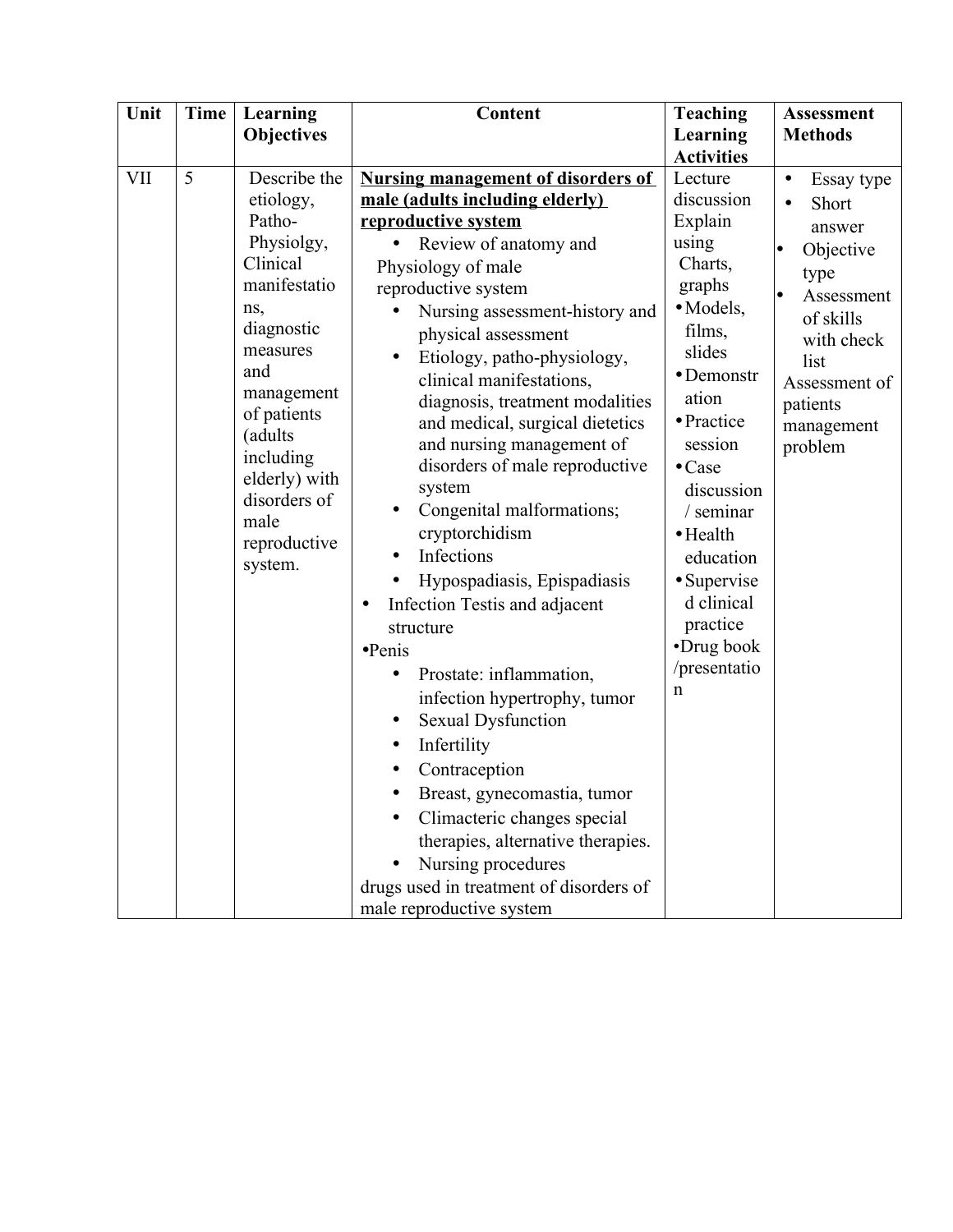| Unit | <b>Time</b> | Learning                                                                                                                                                                                                                                        | Content                                                                                                                                                                                                                                                                                                                                                                                                                                                                                                                                                                                                                                                                                                                                                                                                                                                                                                                                                                               | <b>Teaching</b>                                                                                                                                                                                                                                                                                                                                  | <b>Assessment</b>                                                                                                                                                      |
|------|-------------|-------------------------------------------------------------------------------------------------------------------------------------------------------------------------------------------------------------------------------------------------|---------------------------------------------------------------------------------------------------------------------------------------------------------------------------------------------------------------------------------------------------------------------------------------------------------------------------------------------------------------------------------------------------------------------------------------------------------------------------------------------------------------------------------------------------------------------------------------------------------------------------------------------------------------------------------------------------------------------------------------------------------------------------------------------------------------------------------------------------------------------------------------------------------------------------------------------------------------------------------------|--------------------------------------------------------------------------------------------------------------------------------------------------------------------------------------------------------------------------------------------------------------------------------------------------------------------------------------------------|------------------------------------------------------------------------------------------------------------------------------------------------------------------------|
|      |             | <b>Objectives</b>                                                                                                                                                                                                                               |                                                                                                                                                                                                                                                                                                                                                                                                                                                                                                                                                                                                                                                                                                                                                                                                                                                                                                                                                                                       | Learning                                                                                                                                                                                                                                                                                                                                         | <b>Methods</b>                                                                                                                                                         |
| VII  | 5           | Describe the<br>etiology,<br>Patho-<br>Physiolgy,<br>Clinical<br>manifestatio<br>ns,<br>diagnostic<br>measures<br>and<br>management<br>of patients<br>(adults)<br>including<br>elderly) with<br>disorders of<br>male<br>reproductive<br>system. | <b>Nursing management of disorders of</b><br>male (adults including elderly)<br>reproductive system<br>Review of anatomy and<br>Physiology of male<br>reproductive system<br>Nursing assessment-history and<br>physical assessment<br>Etiology, patho-physiology,<br>$\bullet$<br>clinical manifestations,<br>diagnosis, treatment modalities<br>and medical, surgical dietetics<br>and nursing management of<br>disorders of male reproductive<br>system<br>Congenital malformations;<br>cryptorchidism<br>Infections<br>Hypospadiasis, Epispadiasis<br>$\bullet$<br>Infection Testis and adjacent<br>structure<br>$\bullet$ Penis<br>Prostate: inflammation,<br>$\bullet$<br>infection hypertrophy, tumor<br><b>Sexual Dysfunction</b><br>$\bullet$<br>Infertility<br>Contraception<br>Breast, gynecomastia, tumor<br>Climacteric changes special<br>therapies, alternative therapies.<br>Nursing procedures<br>drugs used in treatment of disorders of<br>male reproductive system | <b>Activities</b><br>Lecture<br>discussion<br>Explain<br>using<br>Charts,<br>graphs<br>· Models,<br>films,<br>slides<br>• Demonstr<br>ation<br>• Practice<br>session<br>$\bullet$ Case<br>discussion<br>/ seminar<br>$\bullet$ Health<br>education<br>$\bullet$ Supervise<br>d clinical<br>practice<br>•Drug book<br>/presentatio<br>$\mathbf n$ | Essay type<br>$\bullet$<br>Short<br>answer<br>Objective<br>type<br>Assessment<br>of skills<br>with check<br>list<br>Assessment of<br>patients<br>management<br>problem |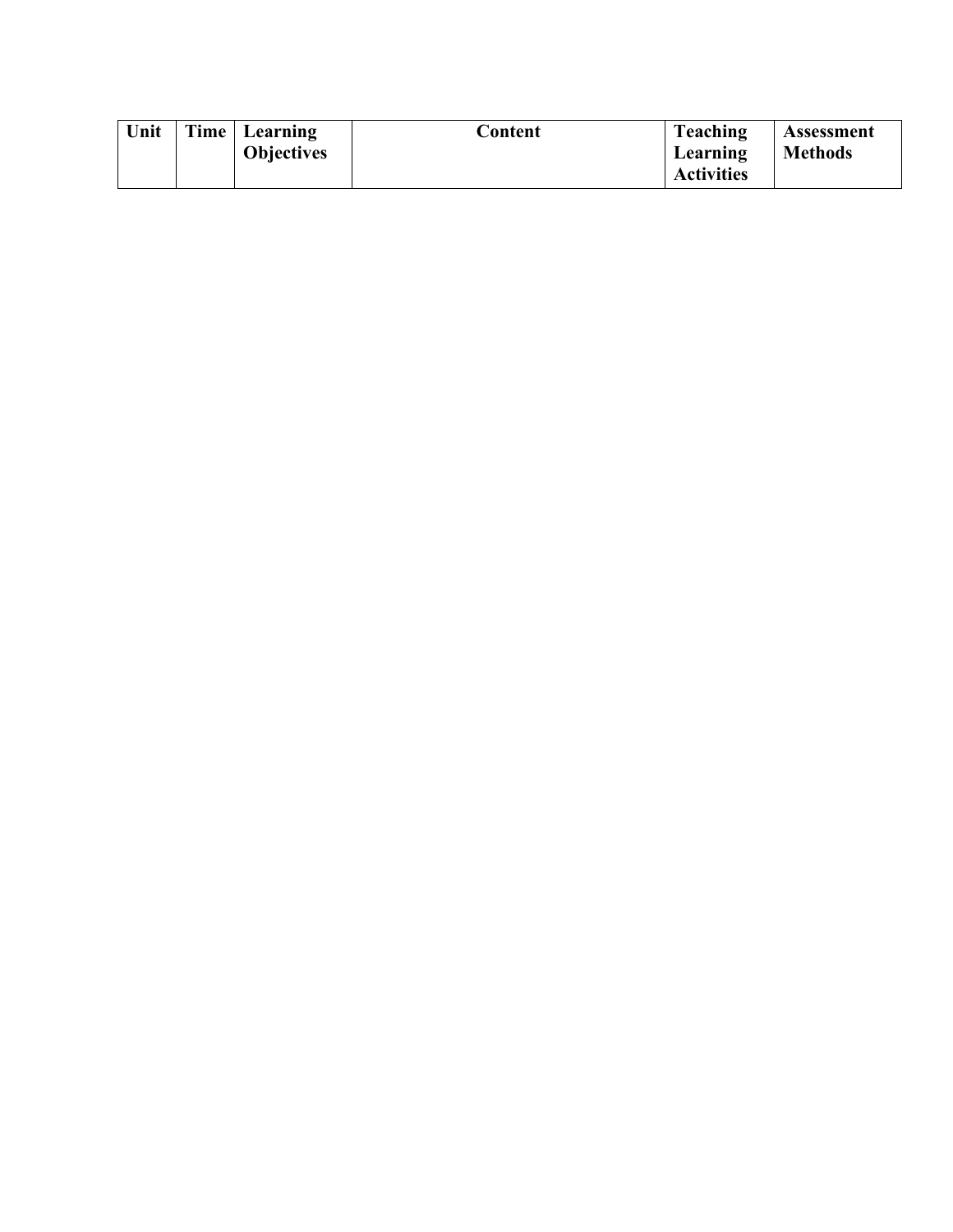| Unit<br>Time   Learning<br>Teaching<br>Content<br><b>Objectives</b><br>Learning<br><b>Activities</b> | Assessment<br><b>Methods</b> |
|------------------------------------------------------------------------------------------------------|------------------------------|
|------------------------------------------------------------------------------------------------------|------------------------------|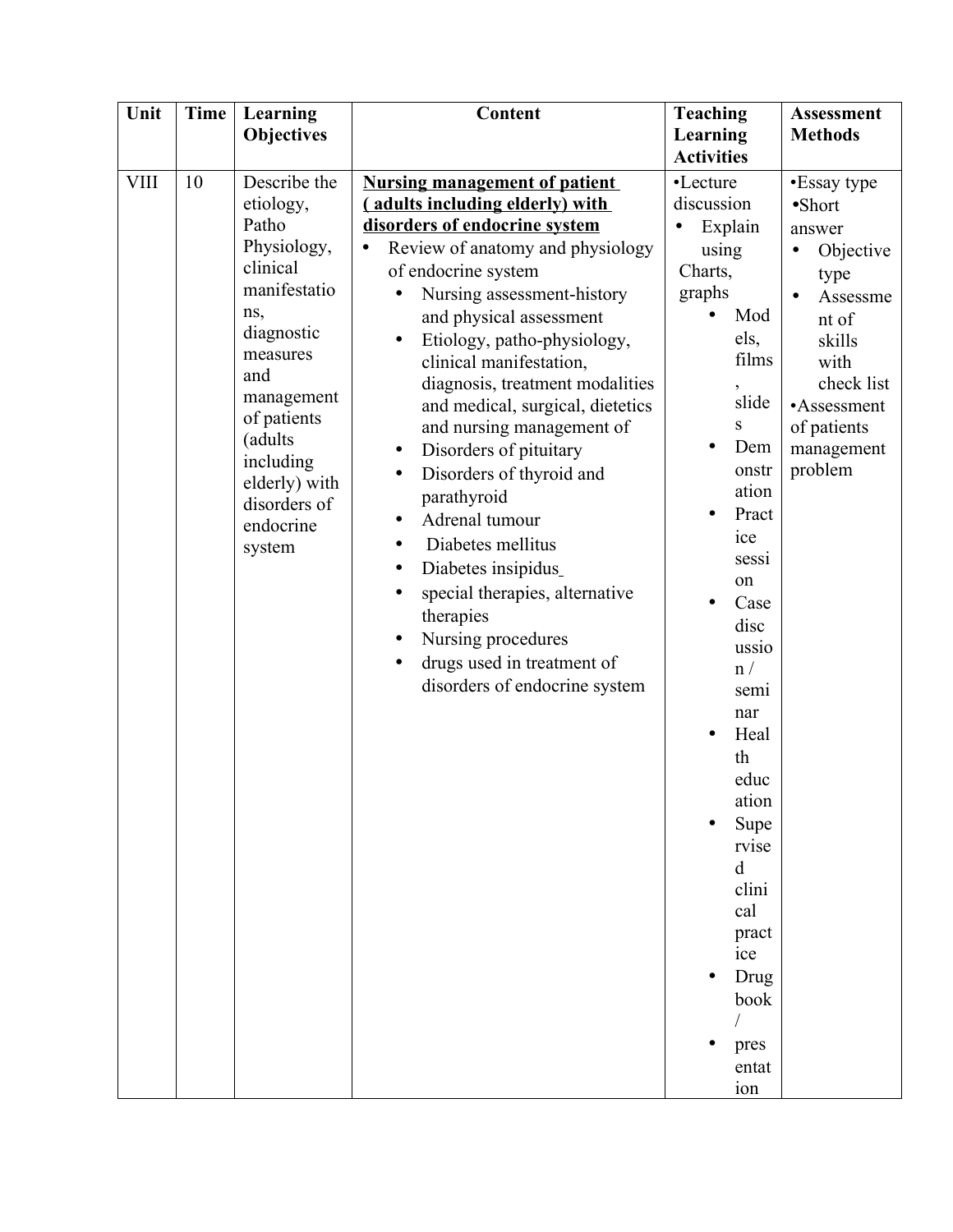| Unit        | <b>Time</b> | Learning<br><b>Objectives</b>                                                                                                                                                                                                      | Content                                                                                                                                                                                                                                                                                                                                                                                                                                                                                                                                                                                                                                                                                    | <b>Teaching</b><br>Learning                                                                                                                                                                                                                                                                                                                                                                         | <b>Assessment</b><br><b>Methods</b>                                                                                                                                                    |
|-------------|-------------|------------------------------------------------------------------------------------------------------------------------------------------------------------------------------------------------------------------------------------|--------------------------------------------------------------------------------------------------------------------------------------------------------------------------------------------------------------------------------------------------------------------------------------------------------------------------------------------------------------------------------------------------------------------------------------------------------------------------------------------------------------------------------------------------------------------------------------------------------------------------------------------------------------------------------------------|-----------------------------------------------------------------------------------------------------------------------------------------------------------------------------------------------------------------------------------------------------------------------------------------------------------------------------------------------------------------------------------------------------|----------------------------------------------------------------------------------------------------------------------------------------------------------------------------------------|
| <b>VIII</b> | 10          | Describe the<br>etiology,<br>Patho<br>Physiology,<br>clinical<br>manifestatio<br>ns,<br>diagnostic<br>measures<br>and<br>management<br>of patients<br>(adults<br>including<br>elderly) with<br>disorders of<br>endocrine<br>system | <b>Nursing management of patient</b><br>(adults including elderly) with<br>disorders of endocrine system<br>Review of anatomy and physiology<br>of endocrine system<br>Nursing assessment-history<br>and physical assessment<br>Etiology, patho-physiology,<br>clinical manifestation,<br>diagnosis, treatment modalities<br>and medical, surgical, dietetics<br>and nursing management of<br>Disorders of pituitary<br>$\bullet$<br>Disorders of thyroid and<br>parathyroid<br>Adrenal tumour<br>Diabetes mellitus<br>$\bullet$<br>Diabetes insipidus<br>special therapies, alternative<br>therapies<br>Nursing procedures<br>drugs used in treatment of<br>disorders of endocrine system | <b>Activities</b><br>•Lecture<br>discussion<br>Explain<br>$\bullet$<br>using<br>Charts,<br>graphs<br>Mod<br>els,<br>films<br>$\overline{ }$<br>slide<br>S<br>Dem<br>$\bullet$<br>onstr<br>ation<br>Pract<br>ice<br>sessi<br>on<br>Case<br>disc<br>ussio<br>n /<br>semi<br>nar<br>Heal<br>th<br>educ<br>ation<br>Supe<br>rvise<br>d<br>clini<br>cal<br>pract<br>ice<br>Drug<br>book<br>pres<br>entat | •Essay type<br>$\bullet$ Short<br>answer<br>Objective<br>$\bullet$<br>type<br>Assessme<br>nt of<br>skills<br>with<br>check list<br>•Assessment<br>of patients<br>management<br>problem |
|             |             |                                                                                                                                                                                                                                    |                                                                                                                                                                                                                                                                                                                                                                                                                                                                                                                                                                                                                                                                                            | ion                                                                                                                                                                                                                                                                                                                                                                                                 |                                                                                                                                                                                        |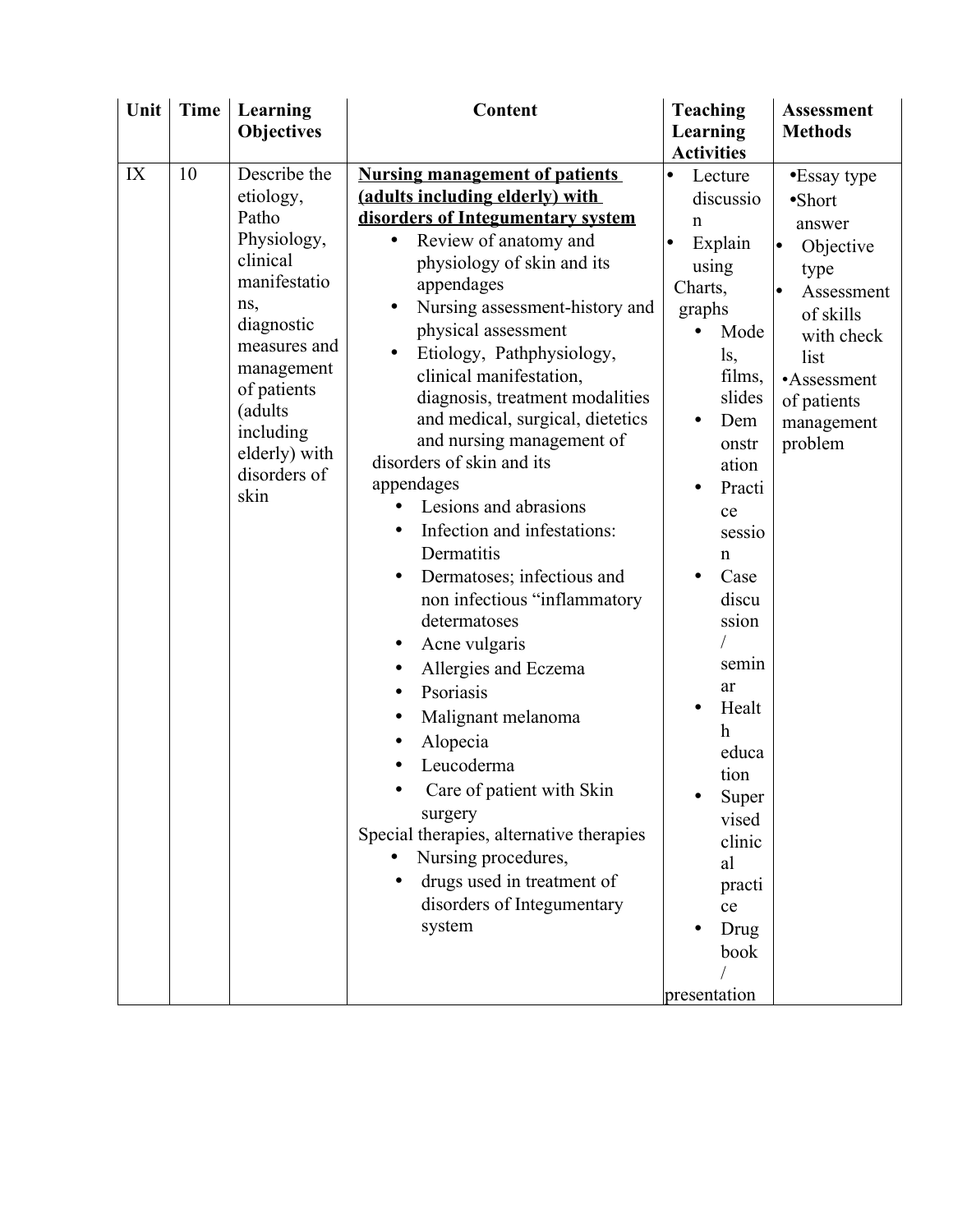| Unit | <b>Time</b> | Learning                      | Content                                  | <b>Teaching</b>   | <b>Assessment</b> |
|------|-------------|-------------------------------|------------------------------------------|-------------------|-------------------|
|      |             | <b>Objectives</b>             |                                          | Learning          | <b>Methods</b>    |
|      |             |                               |                                          | <b>Activities</b> |                   |
| IX   | 10          | Describe the                  | <b>Nursing management of patients</b>    | Lecture<br>lo     | •Essay type       |
|      |             | etiology,                     | (adults including elderly) with          | discussio         | $\bullet$ Short   |
|      |             | Patho                         | disorders of Integumentary system        | n                 | answer            |
|      |             | Physiology,                   | Review of anatomy and                    | Explain           | Objective         |
|      |             | clinical                      | physiology of skin and its               | using             | type              |
|      |             | manifestatio                  | appendages                               | Charts,           | Assessment        |
|      |             | ns,                           | Nursing assessment-history and           | graphs            | of skills         |
|      |             | diagnostic                    | physical assessment                      | Mode              | with check        |
|      |             | measures and                  | Etiology, Pathphysiology,                | ls,               | list              |
|      |             | management                    | clinical manifestation,                  | films,            | •Assessment       |
|      |             | of patients                   | diagnosis, treatment modalities          | slides            | of patients       |
|      |             | (adults                       | and medical, surgical, dietetics         | Dem               | management        |
|      |             | including                     | and nursing management of                | onstr             | problem           |
|      |             | elderly) with<br>disorders of | disorders of skin and its                | ation             |                   |
|      |             | skin                          | appendages                               | Practi            |                   |
|      |             |                               | Lesions and abrasions                    | ce                |                   |
|      |             |                               | Infection and infestations:<br>$\bullet$ | sessio            |                   |
|      |             |                               | Dermatitis                               | n                 |                   |
|      |             |                               | Dermatoses; infectious and<br>$\bullet$  | Case              |                   |
|      |             |                               | non infectious "inflammatory             | discu             |                   |
|      |             |                               | determatoses                             | ssion             |                   |
|      |             |                               | Acne vulgaris<br>$\bullet$               |                   |                   |
|      |             |                               | Allergies and Eczema                     | semin             |                   |
|      |             |                               | Psoriasis                                | ar                |                   |
|      |             |                               | Malignant melanoma                       | Healt             |                   |
|      |             |                               | Alopecia                                 | $\boldsymbol{h}$  |                   |
|      |             |                               | Leucoderma                               | educa             |                   |
|      |             |                               | Care of patient with Skin                | tion              |                   |
|      |             |                               | surgery                                  | Super             |                   |
|      |             |                               | Special therapies, alternative therapies | vised             |                   |
|      |             |                               | Nursing procedures,                      | clinic            |                   |
|      |             |                               | drugs used in treatment of               | al                |                   |
|      |             |                               | disorders of Integumentary               | practi            |                   |
|      |             |                               | system                                   | ce                |                   |
|      |             |                               |                                          | Drug              |                   |
|      |             |                               |                                          | book              |                   |
|      |             |                               |                                          |                   |                   |
|      |             |                               |                                          | presentation      |                   |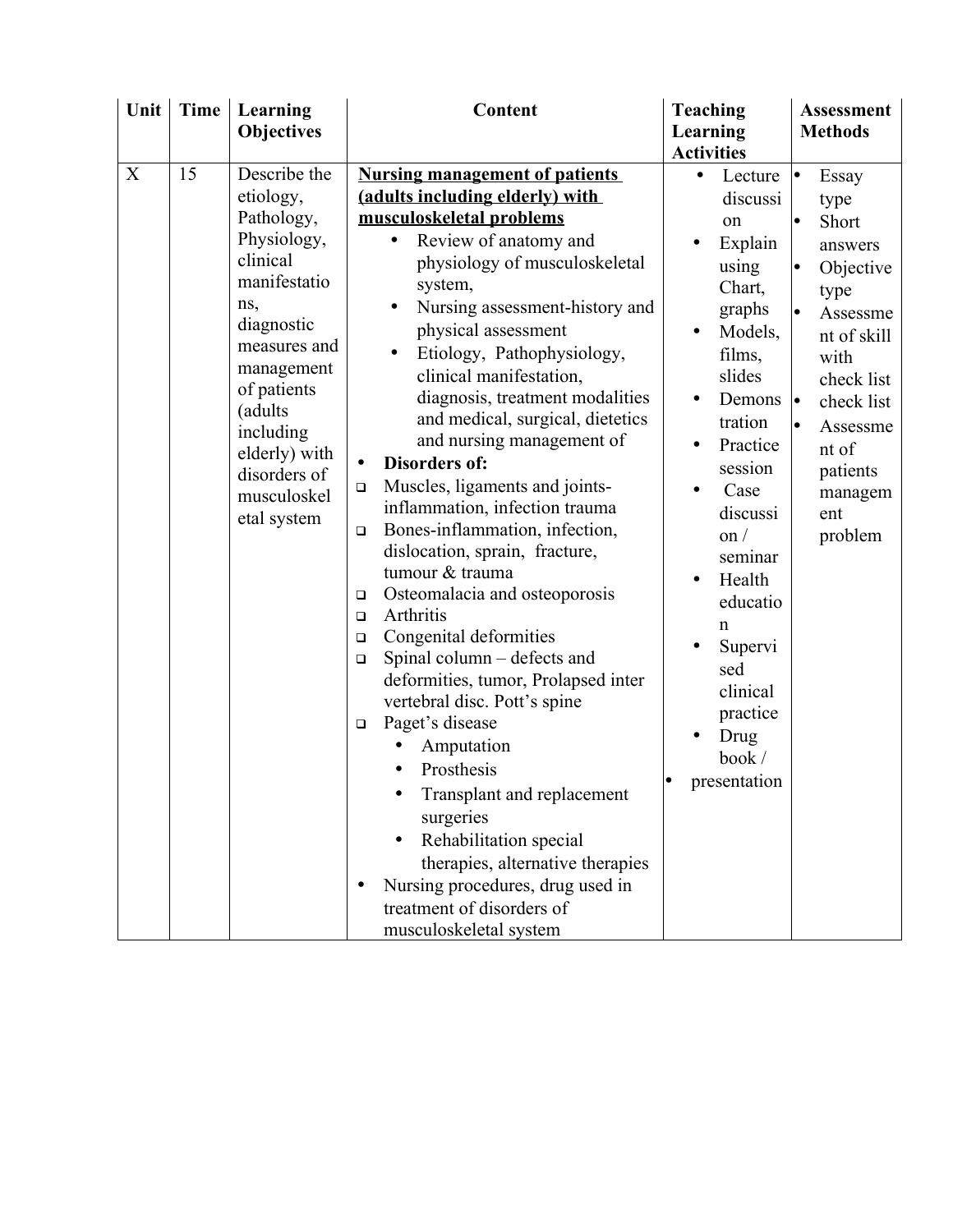| Unit | <b>Time</b> | Learning                                                                                                                                                                                                                                    | Content                                                                                                                                                                                                                                                                                                                                                                                                                                                                                                                                                                                                                                                                                                                                                                                                                                                                                                                                                                                                                                                                                                                          | <b>Teaching</b>                                                                                                                                                                                                                                                                                                                    | <b>Assessment</b>                                                                                                                                                                                      |
|------|-------------|---------------------------------------------------------------------------------------------------------------------------------------------------------------------------------------------------------------------------------------------|----------------------------------------------------------------------------------------------------------------------------------------------------------------------------------------------------------------------------------------------------------------------------------------------------------------------------------------------------------------------------------------------------------------------------------------------------------------------------------------------------------------------------------------------------------------------------------------------------------------------------------------------------------------------------------------------------------------------------------------------------------------------------------------------------------------------------------------------------------------------------------------------------------------------------------------------------------------------------------------------------------------------------------------------------------------------------------------------------------------------------------|------------------------------------------------------------------------------------------------------------------------------------------------------------------------------------------------------------------------------------------------------------------------------------------------------------------------------------|--------------------------------------------------------------------------------------------------------------------------------------------------------------------------------------------------------|
|      |             | <b>Objectives</b>                                                                                                                                                                                                                           |                                                                                                                                                                                                                                                                                                                                                                                                                                                                                                                                                                                                                                                                                                                                                                                                                                                                                                                                                                                                                                                                                                                                  | Learning                                                                                                                                                                                                                                                                                                                           | <b>Methods</b>                                                                                                                                                                                         |
|      |             |                                                                                                                                                                                                                                             |                                                                                                                                                                                                                                                                                                                                                                                                                                                                                                                                                                                                                                                                                                                                                                                                                                                                                                                                                                                                                                                                                                                                  | <b>Activities</b>                                                                                                                                                                                                                                                                                                                  |                                                                                                                                                                                                        |
| X    | 15          | Describe the<br>etiology,<br>Pathology,<br>Physiology,<br>clinical<br>manifestatio<br>ns,<br>diagnostic<br>measures and<br>management<br>of patients<br>(adults<br>including<br>elderly) with<br>disorders of<br>musculoskel<br>etal system | <b>Nursing management of patients</b><br>(adults including elderly) with<br>musculoskeletal problems<br>Review of anatomy and<br>$\bullet$<br>physiology of musculoskeletal<br>system,<br>Nursing assessment-history and<br>physical assessment<br>Etiology, Pathophysiology,<br>clinical manifestation,<br>diagnosis, treatment modalities<br>and medical, surgical, dietetics<br>and nursing management of<br><b>Disorders of:</b><br>Muscles, ligaments and joints-<br>$\Box$<br>inflammation, infection trauma<br>Bones-inflammation, infection,<br>$\Box$<br>dislocation, sprain, fracture,<br>tumour & trauma<br>Osteomalacia and osteoporosis<br>$\Box$<br>Arthritis<br>$\Box$<br>Congenital deformities<br>$\Box$<br>Spinal column – defects and<br>$\Box$<br>deformities, tumor, Prolapsed inter<br>vertebral disc. Pott's spine<br>Paget's disease<br>$\Box$<br>Amputation<br>Prosthesis<br>Transplant and replacement<br>surgeries<br>Rehabilitation special<br>$\bullet$<br>therapies, alternative therapies<br>Nursing procedures, drug used in<br>$\bullet$<br>treatment of disorders of<br>musculoskeletal system | Lecture $\vert \bullet \vert$<br>$\bullet$<br>discussi<br>on<br>Explain<br>using<br>Chart,<br>graphs<br>Models,<br>films,<br>slides<br>Demons<br>tration<br>Practice<br>session<br>Case<br>discussi<br>$\alpha$ /<br>seminar<br>Health<br>educatio<br>n<br>Supervi<br>sed<br>clinical<br>practice<br>Drug<br>book/<br>presentation | Essay<br>type<br>Short<br>answers<br>Objective<br>lo<br>type<br>Assessme<br>nt of skill<br>with<br>check list<br>check list<br>$\bullet$<br>Assessme<br>nt of<br>patients<br>managem<br>ent<br>problem |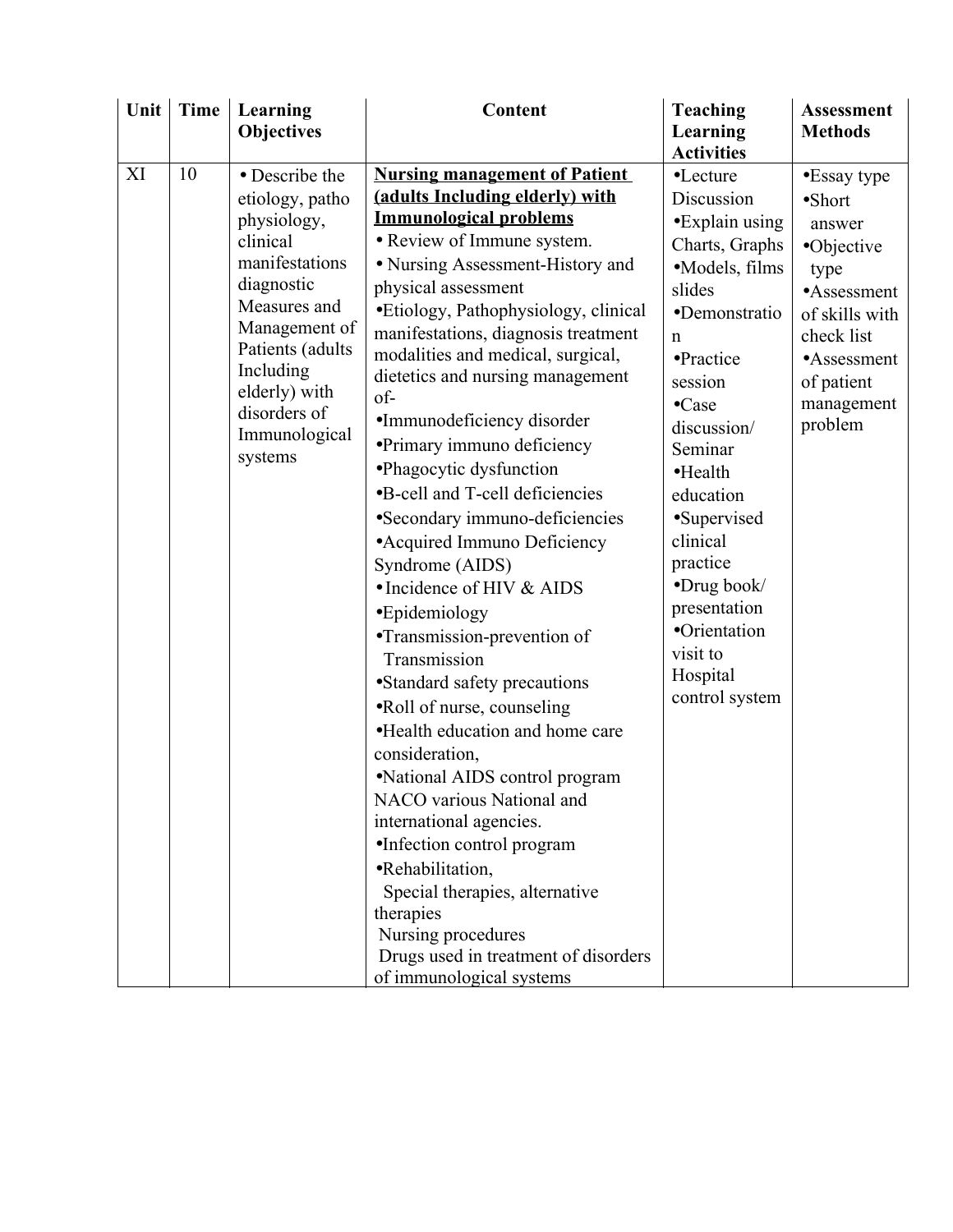| Unit | <b>Time</b> | Learning                 | <b>Content</b>                                                                                                                    | <b>Teaching</b>                                        | <b>Assessment</b>    |
|------|-------------|--------------------------|-----------------------------------------------------------------------------------------------------------------------------------|--------------------------------------------------------|----------------------|
|      |             | <b>Objectives</b>        |                                                                                                                                   | Learning                                               | <b>Methods</b>       |
| XI   | 10          | • Describe the           | <b>Nursing management of Patient</b>                                                                                              | <b>Activities</b><br>•Lecture                          | •Essay type          |
|      |             | etiology, patho          | (adults Including elderly) with                                                                                                   | Discussion                                             | $\bullet$ Short      |
|      |             | physiology,              | <b>Immunological problems</b>                                                                                                     | •Explain using                                         |                      |
|      |             | clinical                 | • Review of Immune system.                                                                                                        | Charts, Graphs                                         | answer<br>•Objective |
|      |             | manifestations           | · Nursing Assessment-History and                                                                                                  | ·Models, films                                         |                      |
|      |             | diagnostic               | physical assessment                                                                                                               | slides                                                 | type<br>•Assessment  |
|      |             | Measures and             | • Etiology, Pathophysiology, clinical                                                                                             | ·Demonstratio                                          | of skills with       |
|      |             | Management of            | manifestations, diagnosis treatment                                                                                               | n                                                      | check list           |
|      |             | Patients (adults         | modalities and medical, surgical,                                                                                                 | •Practice                                              | •Assessment          |
|      |             | Including                | dietetics and nursing management                                                                                                  | session                                                | of patient           |
|      |             | elderly) with            | $of-$                                                                                                                             | $\bullet$ Case                                         | management           |
|      |             | disorders of             | •Immunodeficiency disorder                                                                                                        | discussion/                                            | problem              |
|      |             | Immunological<br>systems | • Primary immuno deficiency                                                                                                       | Seminar                                                |                      |
|      |             |                          | •Phagocytic dysfunction                                                                                                           | $\bullet$ Health                                       |                      |
|      |             |                          | •B-cell and T-cell deficiencies                                                                                                   | education                                              |                      |
|      |             |                          | •Secondary immuno-deficiencies                                                                                                    | •Supervised                                            |                      |
|      |             |                          | • Acquired Immuno Deficiency                                                                                                      | clinical                                               |                      |
|      |             |                          | Syndrome (AIDS)                                                                                                                   | practice                                               |                      |
|      |             |                          | • Incidence of HIV & AIDS                                                                                                         | •Drug book/                                            |                      |
|      |             |                          | •Epidemiology                                                                                                                     | presentation                                           |                      |
|      |             |                          | ·Transmission-prevention of                                                                                                       |                                                        |                      |
|      |             |                          | Transmission                                                                                                                      |                                                        |                      |
|      |             |                          | • Standard safety precautions                                                                                                     |                                                        |                      |
|      |             |                          | ·Roll of nurse, counseling                                                                                                        |                                                        |                      |
|      |             |                          | •Health education and home care                                                                                                   |                                                        |                      |
|      |             |                          | consideration,                                                                                                                    |                                                        |                      |
|      |             |                          | ·National AIDS control program                                                                                                    |                                                        |                      |
|      |             |                          | NACO various National and                                                                                                         |                                                        |                      |
|      |             |                          | international agencies.                                                                                                           |                                                        |                      |
|      |             |                          |                                                                                                                                   |                                                        |                      |
|      |             |                          | •Rehabilitation,                                                                                                                  |                                                        |                      |
|      |             |                          | Special therapies, alternative                                                                                                    |                                                        |                      |
|      |             |                          |                                                                                                                                   |                                                        |                      |
|      |             |                          |                                                                                                                                   |                                                        |                      |
|      |             |                          |                                                                                                                                   |                                                        |                      |
|      |             |                          | •Infection control program<br>therapies<br>Nursing procedures<br>Drugs used in treatment of disorders<br>of immunological systems | •Orientation<br>visit to<br>Hospital<br>control system |                      |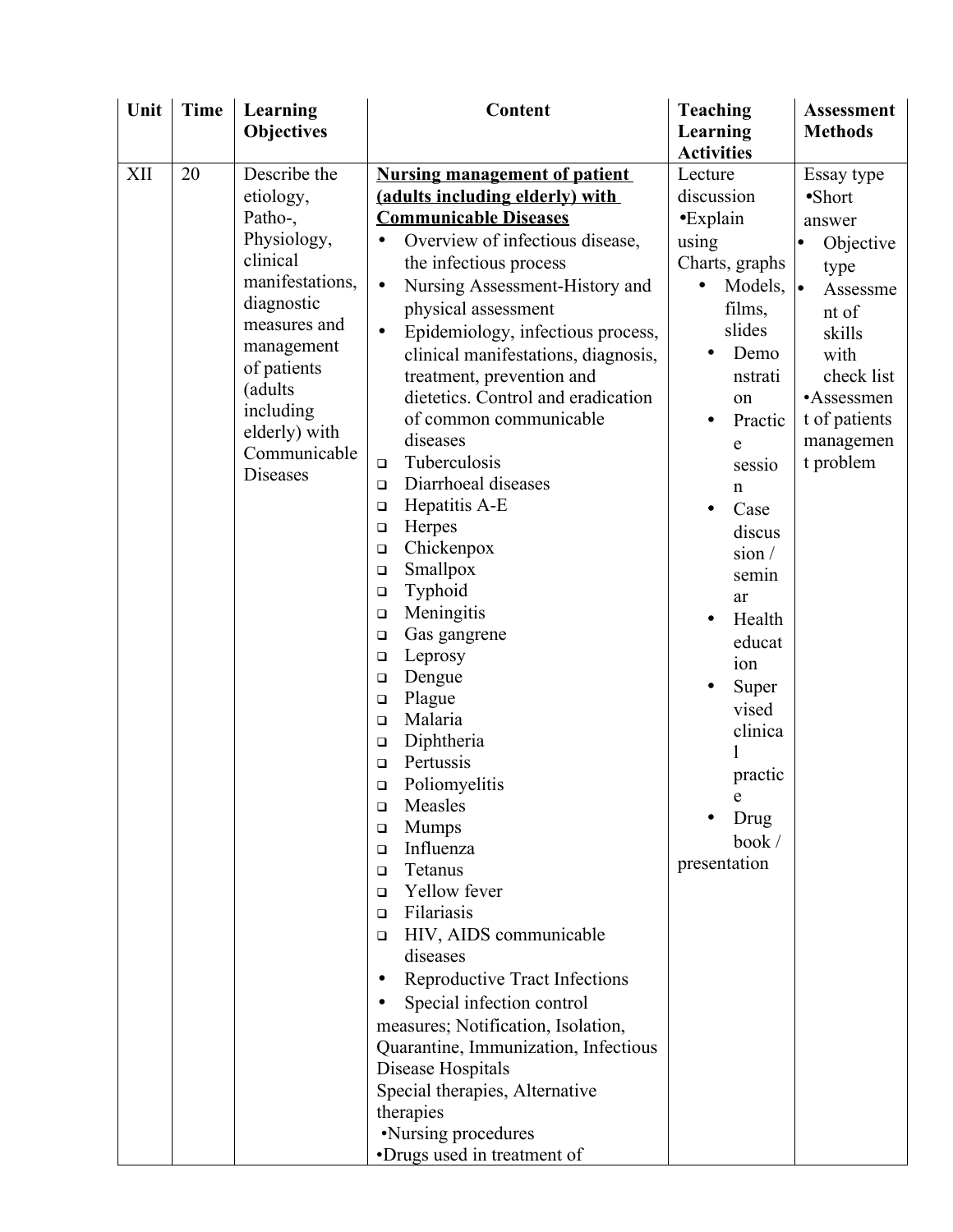| Unit | <b>Time</b> | Learning          | Content                                        | <b>Teaching</b>   | <b>Assessment</b> |
|------|-------------|-------------------|------------------------------------------------|-------------------|-------------------|
|      |             | <b>Objectives</b> |                                                | Learning          | <b>Methods</b>    |
|      |             |                   |                                                | <b>Activities</b> |                   |
| XII  | 20          | Describe the      | <b>Nursing management of patient</b>           | Lecture           | Essay type        |
|      |             | etiology,         | (adults including elderly) with                | discussion        | $\bullet$ Short   |
|      |             | Patho-,           | <b>Communicable Diseases</b>                   | $\bullet$ Explain | answer            |
|      |             | Physiology,       | Overview of infectious disease,                | using             | Objective         |
|      |             | clinical          | the infectious process                         | Charts, graphs    | type              |
|      |             | manifestations,   | Nursing Assessment-History and<br>$\bullet$    | Models, $\bullet$ | Assessme          |
|      |             | diagnostic        | physical assessment                            | films,            | nt of             |
|      |             | measures and      | Epidemiology, infectious process,<br>$\bullet$ | slides            | skills            |
|      |             | management        | clinical manifestations, diagnosis,            | Demo              | with              |
|      |             | of patients       | treatment, prevention and                      | nstrati           | check list        |
|      |             | (adults           | dietetics. Control and eradication             | on                | •Assessmen        |
|      |             | including         | of common communicable                         | Practic           | t of patients     |
|      |             | elderly) with     | diseases                                       | e                 | managemen         |
|      |             | Communicable      | Tuberculosis<br>$\Box$                         | sessio            | t problem         |
|      |             | <b>Diseases</b>   | Diarrhoeal diseases<br>$\Box$                  | $\mathbf n$       |                   |
|      |             |                   | Hepatitis A-E<br>$\Box$                        | Case              |                   |
|      |             |                   | Herpes<br>$\Box$                               | discus            |                   |
|      |             |                   | Chickenpox<br>$\Box$                           | sion/             |                   |
|      |             |                   | Smallpox<br>$\Box$                             | semin             |                   |
|      |             |                   | Typhoid<br>$\Box$                              | ar                |                   |
|      |             |                   | Meningitis<br>$\Box$                           | Health            |                   |
|      |             |                   | Gas gangrene<br>$\Box$                         | educat            |                   |
|      |             |                   | Leprosy<br>$\Box$                              | ion               |                   |
|      |             |                   | Dengue<br>$\Box$                               | Super             |                   |
|      |             |                   | Plague<br>$\Box$                               | vised             |                   |
|      |             |                   | Malaria<br>$\Box$                              | clinica           |                   |
|      |             |                   | Diphtheria<br>$\Box$                           |                   |                   |
|      |             |                   | Pertussis<br>$\Box$                            | practic           |                   |
|      |             |                   | Poliomyelitis<br>$\Box$                        | e                 |                   |
|      |             |                   | Measles<br>□                                   | Drug              |                   |
|      |             |                   | <b>Mumps</b><br>□<br>Influenza                 | book/             |                   |
|      |             |                   | $\Box$<br>Tetanus<br>$\Box$                    | presentation      |                   |
|      |             |                   | Yellow fever<br>$\Box$                         |                   |                   |
|      |             |                   | Filariasis<br>$\Box$                           |                   |                   |
|      |             |                   | HIV, AIDS communicable<br>$\Box$               |                   |                   |
|      |             |                   | diseases                                       |                   |                   |
|      |             |                   | Reproductive Tract Infections<br>$\bullet$     |                   |                   |
|      |             |                   | Special infection control                      |                   |                   |
|      |             |                   | measures; Notification, Isolation,             |                   |                   |
|      |             |                   | Quarantine, Immunization, Infectious           |                   |                   |
|      |             |                   | Disease Hospitals                              |                   |                   |
|      |             |                   | Special therapies, Alternative                 |                   |                   |
|      |             |                   | therapies                                      |                   |                   |
|      |             |                   | •Nursing procedures                            |                   |                   |
|      |             |                   | •Drugs used in treatment of                    |                   |                   |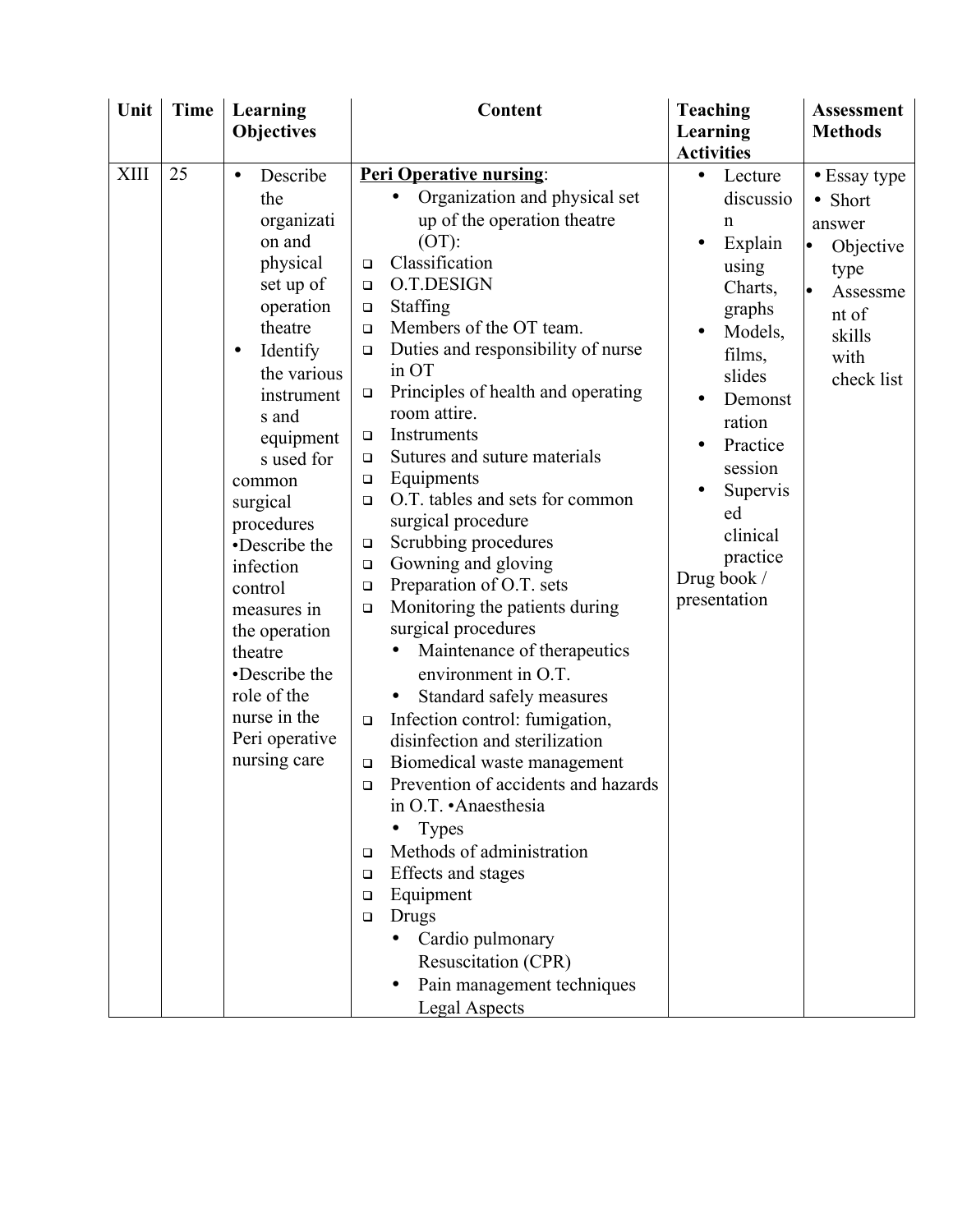| <b>Objectives</b><br>25<br>XIII<br><b>Peri Operative nursing:</b><br>Describe<br>$\bullet$                                                                                                                                                                                                                                                                                                                                                                                                                                                                                                                                                                                                                                                                                                                                                                                                                                                                                                                                                                                                                                                                                                                                                                                                                                                                                                                                                                                                                                                                             | Learning<br><b>Activities</b><br>Lecture<br>$\bullet$                                                                                                                                                                                 | <b>Methods</b>                                                                                              |
|------------------------------------------------------------------------------------------------------------------------------------------------------------------------------------------------------------------------------------------------------------------------------------------------------------------------------------------------------------------------------------------------------------------------------------------------------------------------------------------------------------------------------------------------------------------------------------------------------------------------------------------------------------------------------------------------------------------------------------------------------------------------------------------------------------------------------------------------------------------------------------------------------------------------------------------------------------------------------------------------------------------------------------------------------------------------------------------------------------------------------------------------------------------------------------------------------------------------------------------------------------------------------------------------------------------------------------------------------------------------------------------------------------------------------------------------------------------------------------------------------------------------------------------------------------------------|---------------------------------------------------------------------------------------------------------------------------------------------------------------------------------------------------------------------------------------|-------------------------------------------------------------------------------------------------------------|
|                                                                                                                                                                                                                                                                                                                                                                                                                                                                                                                                                                                                                                                                                                                                                                                                                                                                                                                                                                                                                                                                                                                                                                                                                                                                                                                                                                                                                                                                                                                                                                        |                                                                                                                                                                                                                                       |                                                                                                             |
| Organization and physical set<br>the<br>up of the operation theatre<br>organizati<br>on and<br>$(OT)$ :<br>Classification<br>physical<br>$\Box$<br>O.T.DESIGN<br>set up of<br>$\Box$<br><b>Staffing</b><br>operation<br>$\Box$<br>theatre<br>Members of the OT team.<br>$\Box$<br>Duties and responsibility of nurse<br>Identify<br>$\Box$<br>$\bullet$<br>in OT<br>the various<br>Principles of health and operating<br>$\Box$<br>instrument<br>room attire.<br>s and<br>Instruments<br>equipment<br>$\Box$<br>Sutures and suture materials<br>s used for<br>$\Box$<br>Equipments<br>$\Box$<br>common<br>O.T. tables and sets for common<br>surgical<br>$\Box$<br>surgical procedure<br>procedures<br>Scrubbing procedures<br>•Describe the<br>$\Box$<br>Gowning and gloving<br>infection<br>$\Box$<br>Preparation of O.T. sets<br>$\Box$<br>control<br>Monitoring the patients during<br>$\Box$<br>measures in<br>surgical procedures<br>the operation<br>Maintenance of therapeutics<br>theatre<br>•Describe the<br>environment in O.T.<br>role of the<br>Standard safely measures<br>$\bullet$<br>nurse in the<br>Infection control: fumigation,<br>$\Box$<br>Peri operative<br>disinfection and sterilization<br>nursing care<br>Biomedical waste management<br>$\Box$<br>Prevention of accidents and hazards<br>$\Box$<br>in O.T. • Anaesthesia<br>Types<br>Methods of administration<br>□<br>Effects and stages<br>□<br>Equipment<br>$\Box$<br>Drugs<br>$\Box$<br>Cardio pulmonary<br>Resuscitation (CPR)<br>Pain management techniques<br><b>Legal Aspects</b> | discussio<br>n<br>Explain<br>using<br>Charts,<br>graphs<br>Models,<br>$\bullet$<br>films,<br>slides<br>Demonst<br>ration<br>Practice<br>$\bullet$<br>session<br>Supervis<br>ed<br>clinical<br>practice<br>Drug book /<br>presentation | • Essay type<br>• Short<br>answer<br>Objective<br>type<br>Assessme<br>nt of<br>skills<br>with<br>check list |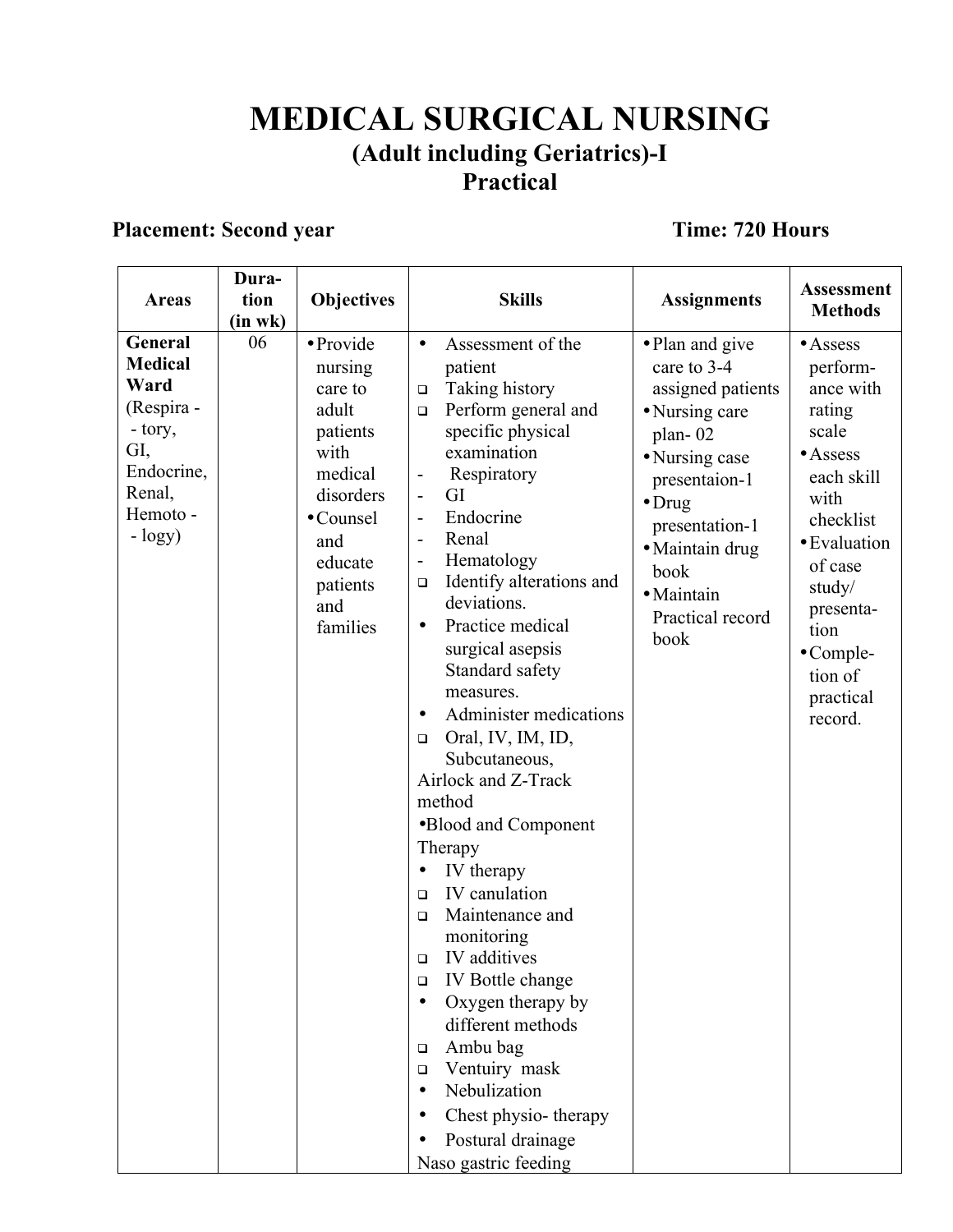## **MEDICAL SURGICAL NURSING (Adult including Geriatrics)-I Practical**

## **Placement: Second year Time: 720 Hours**

| <b>Areas</b>                                                                                                      | Dura-<br>tion<br>(in wk) | <b>Objectives</b>                                                                                                                                  | <b>Skills</b>                                                                                                                                                                                                                                                                                                                                                                                                                                                                                                                                                                                                                                                                                                                                                                                                                                                                                                                                                                                | <b>Assignments</b>                                                                                                                                                                                                           | <b>Assessment</b><br><b>Methods</b>                                                                                                                                                                                           |
|-------------------------------------------------------------------------------------------------------------------|--------------------------|----------------------------------------------------------------------------------------------------------------------------------------------------|----------------------------------------------------------------------------------------------------------------------------------------------------------------------------------------------------------------------------------------------------------------------------------------------------------------------------------------------------------------------------------------------------------------------------------------------------------------------------------------------------------------------------------------------------------------------------------------------------------------------------------------------------------------------------------------------------------------------------------------------------------------------------------------------------------------------------------------------------------------------------------------------------------------------------------------------------------------------------------------------|------------------------------------------------------------------------------------------------------------------------------------------------------------------------------------------------------------------------------|-------------------------------------------------------------------------------------------------------------------------------------------------------------------------------------------------------------------------------|
| General<br><b>Medical</b><br>Ward<br>(Respira -<br>- tory,<br>GI,<br>Endocrine,<br>Renal,<br>Hemoto -<br>$-logy)$ | 06                       | · Provide<br>nursing<br>care to<br>adult<br>patients<br>with<br>medical<br>disorders<br>• Counsel<br>and<br>educate<br>patients<br>and<br>families | Assessment of the<br>$\bullet$<br>patient<br>Taking history<br>$\Box$<br>Perform general and<br>$\Box$<br>specific physical<br>examination<br>Respiratory<br>$\overline{\phantom{a}}$<br>GI<br>$\blacksquare$<br>Endocrine<br>$\blacksquare$<br>Renal<br>$\qquad \qquad -$<br>Hematology<br>$\overline{\phantom{a}}$<br>Identify alterations and<br>$\Box$<br>deviations.<br>Practice medical<br>$\bullet$<br>surgical asepsis<br>Standard safety<br>measures.<br>Administer medications<br>$\bullet$<br>Oral, IV, IM, ID,<br>$\Box$<br>Subcutaneous,<br>Airlock and Z-Track<br>method<br>•Blood and Component<br>Therapy<br>IV therapy<br>IV canulation<br>$\Box$<br>Maintenance and<br>$\Box$<br>monitoring<br>IV additives<br>$\Box$<br>IV Bottle change<br>$\Box$<br>Oxygen therapy by<br>$\bullet$<br>different methods<br>Ambu bag<br>$\Box$<br>Ventuiry mask<br>$\Box$<br>Nebulization<br>$\bullet$<br>Chest physio-therapy<br>Postural drainage<br>$\bullet$<br>Naso gastric feeding | • Plan and give<br>care to 3-4<br>assigned patients<br>• Nursing care<br>plan-02<br>• Nursing case<br>presentaion-1<br>$\bullet$ Drug<br>presentation-1<br>· Maintain drug<br>book<br>· Maintain<br>Practical record<br>book | $\bullet$ Assess<br>perform-<br>ance with<br>rating<br>scale<br>• Assess<br>each skill<br>with<br>checklist<br>· Evaluation<br>of case<br>study/<br>presenta-<br>tion<br>$\bullet$ Comple-<br>tion of<br>practical<br>record. |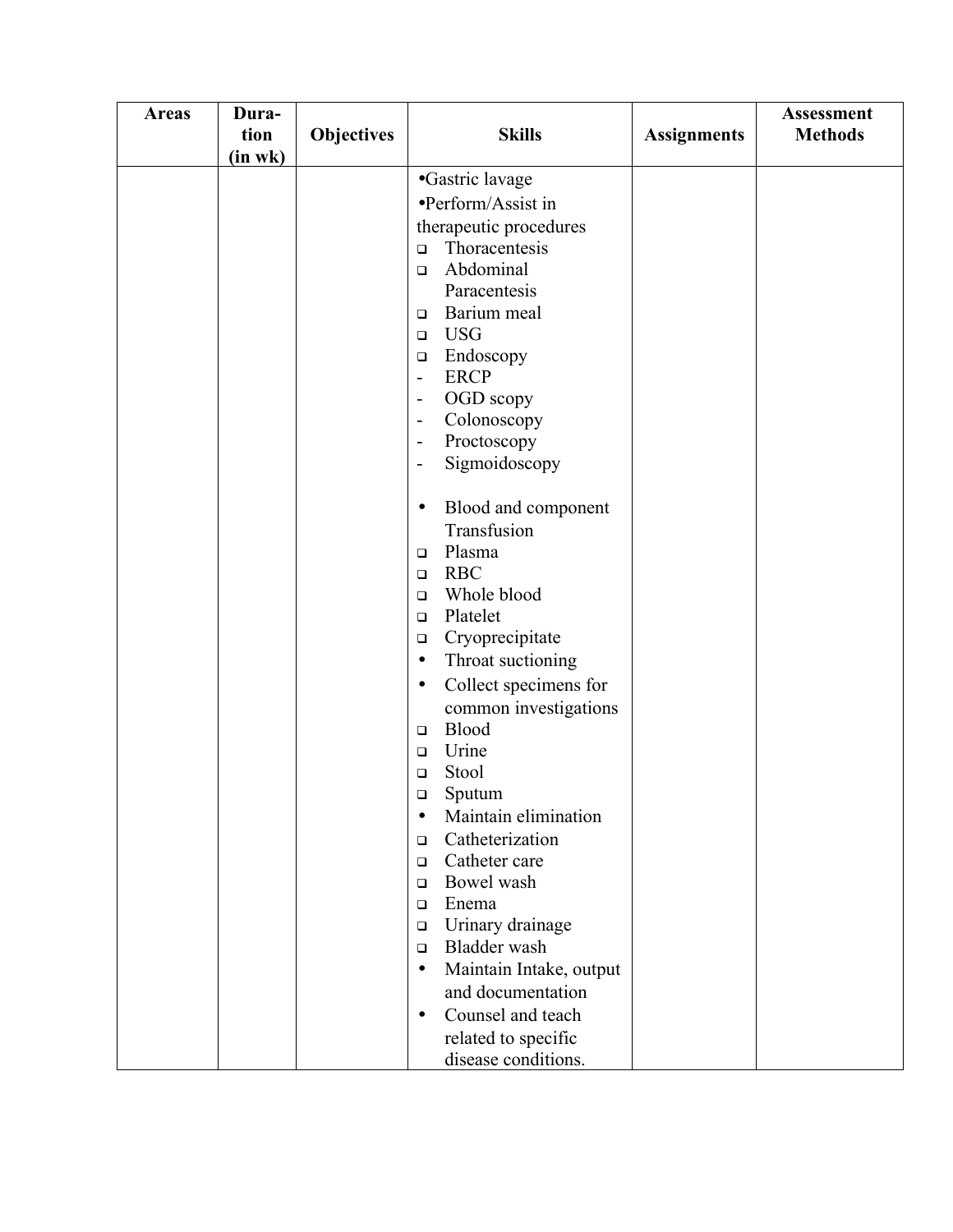| <b>Areas</b> | Dura-<br>tion | <b>Objectives</b> | <b>Skills</b>                                                                        | <b>Assignments</b> | <b>Assessment</b><br><b>Methods</b> |
|--------------|---------------|-------------------|--------------------------------------------------------------------------------------|--------------------|-------------------------------------|
|              | $(in$ wk $)$  |                   |                                                                                      |                    |                                     |
|              |               |                   | •Gastric lavage                                                                      |                    |                                     |
|              |               |                   | •Perform/Assist in                                                                   |                    |                                     |
|              |               |                   | therapeutic procedures                                                               |                    |                                     |
|              |               |                   | Thoracentesis<br>$\Box$                                                              |                    |                                     |
|              |               |                   | Abdominal<br>$\Box$                                                                  |                    |                                     |
|              |               |                   | Paracentesis                                                                         |                    |                                     |
|              |               |                   | Barium meal<br>$\Box$                                                                |                    |                                     |
|              |               |                   | <b>USG</b><br>$\Box$                                                                 |                    |                                     |
|              |               |                   | Endoscopy<br>$\Box$                                                                  |                    |                                     |
|              |               |                   | <b>ERCP</b><br>$\overline{\phantom{a}}$                                              |                    |                                     |
|              |               |                   | OGD scopy<br>$\overline{\phantom{a}}$                                                |                    |                                     |
|              |               |                   | Colonoscopy<br>$\overline{\phantom{a}}$                                              |                    |                                     |
|              |               |                   | Proctoscopy<br>$\overline{\phantom{a}}$<br>Sigmoidoscopy<br>$\overline{\phantom{a}}$ |                    |                                     |
|              |               |                   |                                                                                      |                    |                                     |
|              |               |                   | Blood and component<br>$\bullet$                                                     |                    |                                     |
|              |               |                   | Transfusion                                                                          |                    |                                     |
|              |               |                   | Plasma<br>$\Box$                                                                     |                    |                                     |
|              |               |                   | <b>RBC</b><br>$\Box$                                                                 |                    |                                     |
|              |               |                   | Whole blood<br>$\Box$                                                                |                    |                                     |
|              |               |                   | Platelet<br>$\Box$                                                                   |                    |                                     |
|              |               |                   | Cryoprecipitate<br>$\Box$                                                            |                    |                                     |
|              |               |                   | Throat suctioning<br>$\bullet$                                                       |                    |                                     |
|              |               |                   | Collect specimens for<br>$\bullet$                                                   |                    |                                     |
|              |               |                   | common investigations                                                                |                    |                                     |
|              |               |                   | Blood<br>$\Box$                                                                      |                    |                                     |
|              |               |                   | Urine<br>$\Box$<br>Stool                                                             |                    |                                     |
|              |               |                   | $\Box$<br>Sputum                                                                     |                    |                                     |
|              |               |                   | □<br>Maintain elimination<br>$\bullet$                                               |                    |                                     |
|              |               |                   | Catheterization<br>$\Box$                                                            |                    |                                     |
|              |               |                   | Catheter care<br>$\Box$                                                              |                    |                                     |
|              |               |                   | Bowel wash<br>$\Box$                                                                 |                    |                                     |
|              |               |                   | Enema<br>$\Box$                                                                      |                    |                                     |
|              |               |                   | Urinary drainage<br>$\Box$                                                           |                    |                                     |
|              |               |                   | Bladder wash<br>$\Box$                                                               |                    |                                     |
|              |               |                   | Maintain Intake, output<br>$\bullet$                                                 |                    |                                     |
|              |               |                   | and documentation                                                                    |                    |                                     |
|              |               |                   | Counsel and teach                                                                    |                    |                                     |
|              |               |                   | related to specific                                                                  |                    |                                     |
|              |               |                   | disease conditions.                                                                  |                    |                                     |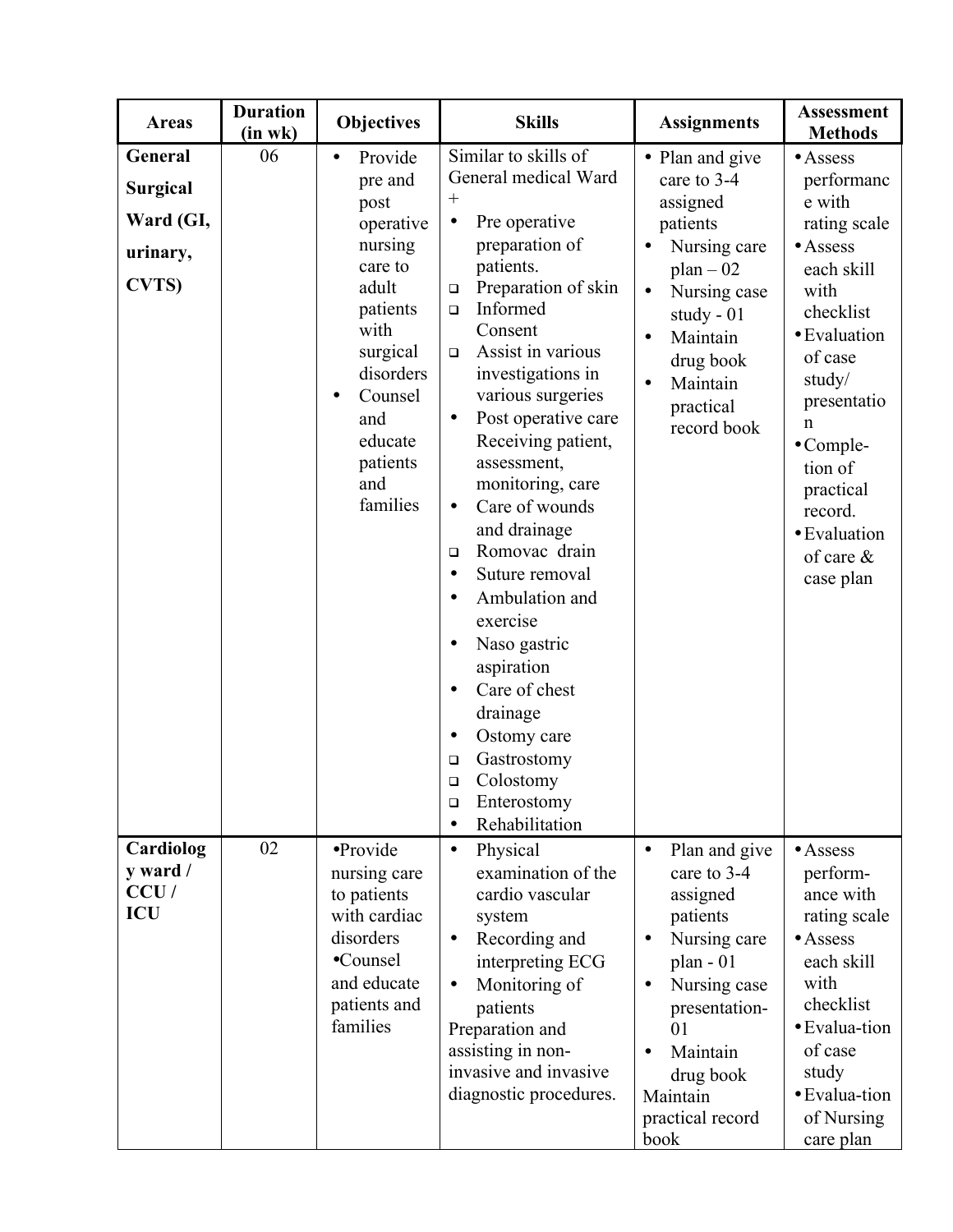| <b>Areas</b>                                                         | <b>Duration</b><br>(in wk) | <b>Objectives</b>                                                                                                                                                                            | <b>Skills</b>                                                                                                                                                                                                                                                                                                                                                                                                                                                                                                                                                                                                                                                                                                          | <b>Assignments</b>                                                                                                                                                                                                                                          | <b>Assessment</b><br><b>Methods</b>                                                                                                                                                                                                                                           |
|----------------------------------------------------------------------|----------------------------|----------------------------------------------------------------------------------------------------------------------------------------------------------------------------------------------|------------------------------------------------------------------------------------------------------------------------------------------------------------------------------------------------------------------------------------------------------------------------------------------------------------------------------------------------------------------------------------------------------------------------------------------------------------------------------------------------------------------------------------------------------------------------------------------------------------------------------------------------------------------------------------------------------------------------|-------------------------------------------------------------------------------------------------------------------------------------------------------------------------------------------------------------------------------------------------------------|-------------------------------------------------------------------------------------------------------------------------------------------------------------------------------------------------------------------------------------------------------------------------------|
| General<br><b>Surgical</b><br>Ward (GI,<br>urinary,<br><b>CVTS</b> ) | 06                         | Provide<br>$\bullet$<br>pre and<br>post<br>operative<br>nursing<br>care to<br>adult<br>patients<br>with<br>surgical<br>disorders<br>Counsel<br>and<br>educate<br>patients<br>and<br>families | Similar to skills of<br>General medical Ward<br>$^{+}$<br>Pre operative<br>$\bullet$<br>preparation of<br>patients.<br>Preparation of skin<br>$\Box$<br>Informed<br>$\Box$<br>Consent<br>Assist in various<br>$\Box$<br>investigations in<br>various surgeries<br>Post operative care<br>$\bullet$<br>Receiving patient,<br>assessment,<br>monitoring, care<br>Care of wounds<br>$\bullet$<br>and drainage<br>Romovac drain<br>$\Box$<br>Suture removal<br>$\bullet$<br>Ambulation and<br>$\bullet$<br>exercise<br>Naso gastric<br>$\bullet$<br>aspiration<br>Care of chest<br>$\bullet$<br>drainage<br>Ostomy care<br>$\bullet$<br>Gastrostomy<br>□<br>Colostomy<br>$\Box$<br>Enterostomy<br>□<br>Rehabilitation<br>٠ | • Plan and give<br>care to 3-4<br>assigned<br>patients<br>Nursing care<br>٠<br>$plan - 02$<br>Nursing case<br>$\bullet$<br>study - $01$<br>Maintain<br>$\bullet$<br>drug book<br>Maintain<br>$\bullet$<br>practical<br>record book                          | $\bullet$ Assess<br>performanc<br>e with<br>rating scale<br>$\bullet$ Assess<br>each skill<br>with<br>checklist<br>· Evaluation<br>of case<br>study/<br>presentatio<br>n<br>$\bullet$ Comple-<br>tion of<br>practical<br>record.<br>· Evaluation<br>of care $\&$<br>case plan |
| Cardiolog<br>y ward /<br>CCU/<br><b>ICU</b>                          | 02                         | •Provide<br>nursing care<br>to patients<br>with cardiac<br>disorders<br>•Counsel<br>and educate<br>patients and<br>families                                                                  | Physical<br>$\bullet$<br>examination of the<br>cardio vascular<br>system<br>Recording and<br>$\bullet$<br>interpreting ECG<br>Monitoring of<br>$\bullet$<br>patients<br>Preparation and<br>assisting in non-<br>invasive and invasive<br>diagnostic procedures.                                                                                                                                                                                                                                                                                                                                                                                                                                                        | Plan and give<br>$\bullet$<br>care to 3-4<br>assigned<br>patients<br>Nursing care<br>$\bullet$<br>$plan - 01$<br>Nursing case<br>$\bullet$<br>presentation-<br>0 <sub>1</sub><br>Maintain<br>$\bullet$<br>drug book<br>Maintain<br>practical record<br>book | $\bullet$ Assess<br>perform-<br>ance with<br>rating scale<br>$\bullet$ Assess<br>each skill<br>with<br>checklist<br>• Evalua-tion<br>of case<br>study<br>• Evalua-tion<br>of Nursing<br>care plan                                                                             |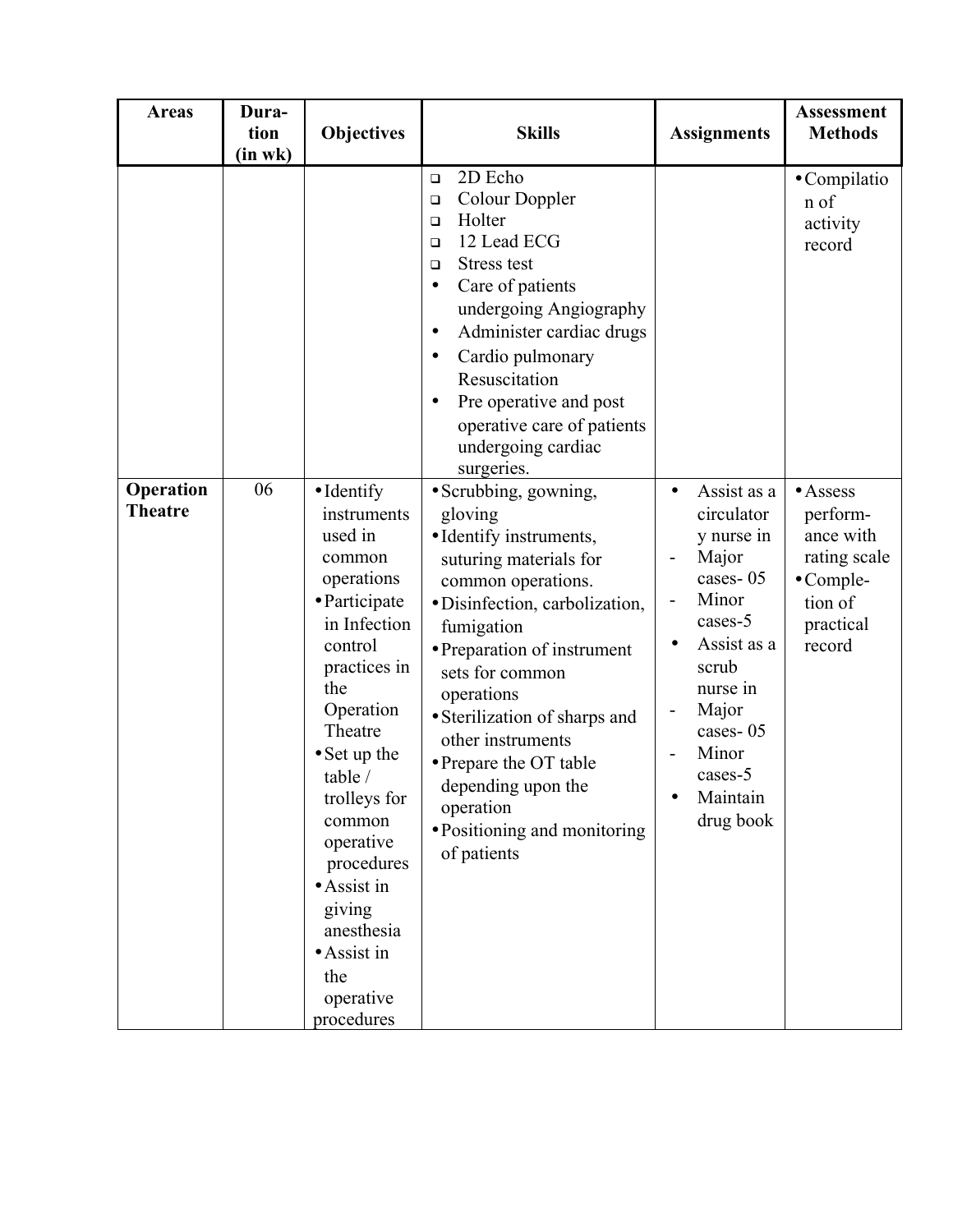| <b>Areas</b>                | Dura-<br>tion<br>(in wk) | Objectives                                                                                                                                                                                                                                                                                                                                                      | <b>Skills</b>                                                                                                                                                                                                                                                                                                                                                                                 | <b>Assignments</b>                                                                                                                                                                                  | <b>Assessment</b><br><b>Methods</b>                                                                              |
|-----------------------------|--------------------------|-----------------------------------------------------------------------------------------------------------------------------------------------------------------------------------------------------------------------------------------------------------------------------------------------------------------------------------------------------------------|-----------------------------------------------------------------------------------------------------------------------------------------------------------------------------------------------------------------------------------------------------------------------------------------------------------------------------------------------------------------------------------------------|-----------------------------------------------------------------------------------------------------------------------------------------------------------------------------------------------------|------------------------------------------------------------------------------------------------------------------|
|                             |                          |                                                                                                                                                                                                                                                                                                                                                                 | 2D Echo<br>$\Box$<br>Colour Doppler<br>$\Box$<br>Holter<br>$\Box$<br>12 Lead ECG<br>$\Box$<br>Stress test<br>$\Box$<br>Care of patients<br>$\bullet$<br>undergoing Angiography<br>Administer cardiac drugs<br>$\bullet$<br>Cardio pulmonary<br>$\bullet$<br>Resuscitation<br>Pre operative and post<br>$\bullet$<br>operative care of patients<br>undergoing cardiac<br>surgeries.            |                                                                                                                                                                                                     | • Compilatio<br>n of<br>activity<br>record                                                                       |
| Operation<br><b>Theatre</b> | 06                       | $\bullet$ Identify<br>instruments<br>used in<br>common<br>operations<br>• Participate<br>in Infection<br>control<br>practices in<br>the<br>Operation<br>Theatre<br>$\bullet$ Set up the<br>table /<br>trolleys for<br>common<br>operative<br>procedures<br>$\bullet$ Assist in<br>giving<br>anesthesia<br>$\bullet$ Assist in<br>the<br>operative<br>procedures | • Scrubbing, gowning,<br>gloving<br>• Identify instruments,<br>suturing materials for<br>common operations.<br>· Disinfection, carbolization,<br>fumigation<br>• Preparation of instrument<br>sets for common<br>operations<br>· Sterilization of sharps and<br>other instruments<br>• Prepare the OT table<br>depending upon the<br>operation<br>• Positioning and monitoring<br>of patients | Assist as a<br>$\bullet$<br>circulator<br>y nurse in<br>Major<br>cases-05<br>Minor<br>cases-5<br>Assist as a<br>scrub<br>nurse in<br>Major<br>cases-05<br>Minor<br>cases-5<br>Maintain<br>drug book | $\bullet$ Assess<br>perform-<br>ance with<br>rating scale<br>$\bullet$ Comple-<br>tion of<br>practical<br>record |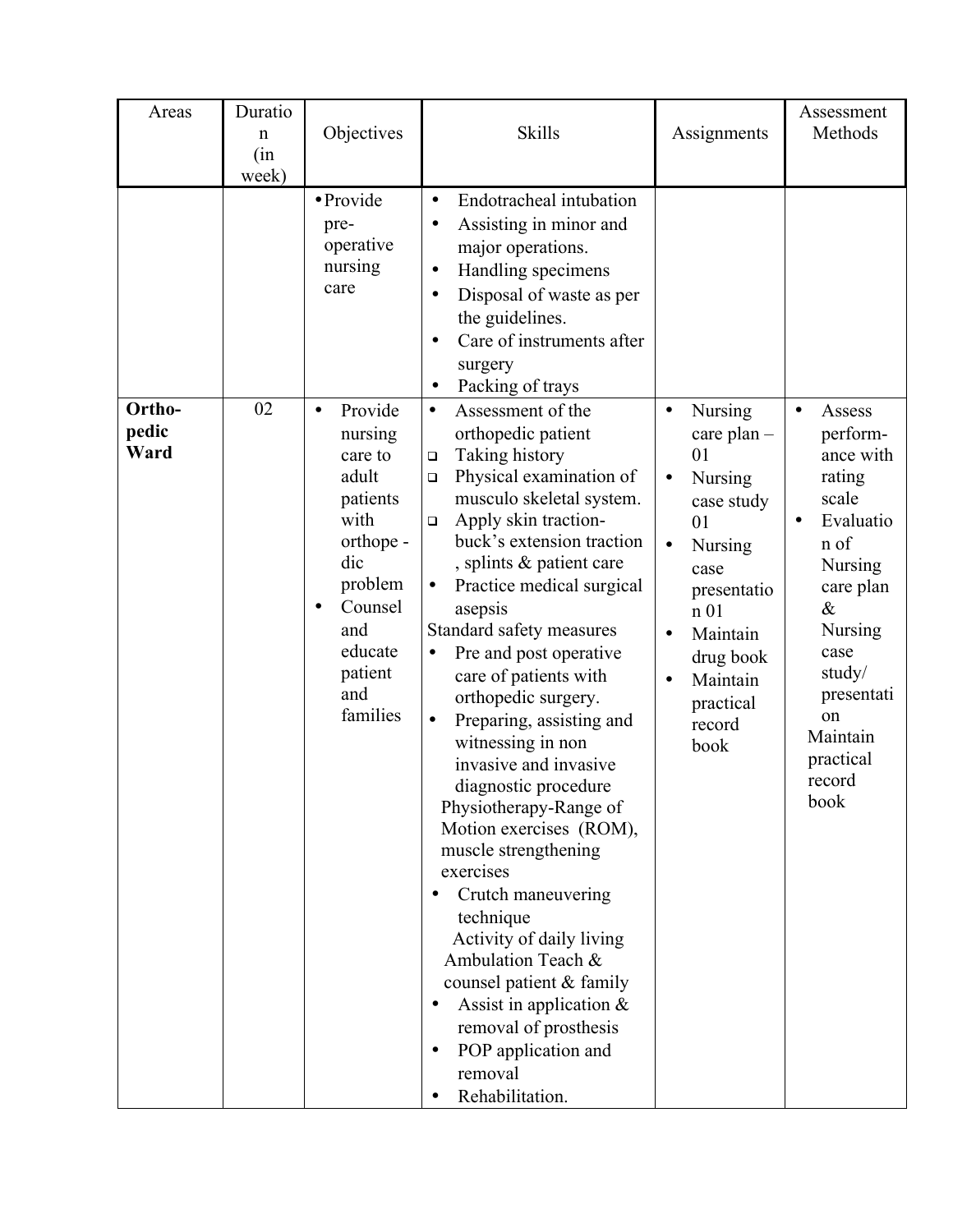| Areas                   | Duratio<br>n<br>(in<br>week) | Objectives                                                                                                                                                                     | <b>Skills</b>                                                                                                                                                                                                                                                                                                                                                                                                                                                                                                                                                                                                                                                                                                                                                                                                                                                                | Assignments                                                                                                                                                                                                                          | Assessment<br>Methods                                                                                                                                                                                                             |
|-------------------------|------------------------------|--------------------------------------------------------------------------------------------------------------------------------------------------------------------------------|------------------------------------------------------------------------------------------------------------------------------------------------------------------------------------------------------------------------------------------------------------------------------------------------------------------------------------------------------------------------------------------------------------------------------------------------------------------------------------------------------------------------------------------------------------------------------------------------------------------------------------------------------------------------------------------------------------------------------------------------------------------------------------------------------------------------------------------------------------------------------|--------------------------------------------------------------------------------------------------------------------------------------------------------------------------------------------------------------------------------------|-----------------------------------------------------------------------------------------------------------------------------------------------------------------------------------------------------------------------------------|
|                         |                              | · Provide<br>pre-<br>operative<br>nursing<br>care                                                                                                                              | Endotracheal intubation<br>$\bullet$<br>Assisting in minor and<br>$\bullet$<br>major operations.<br>Handling specimens<br>$\bullet$<br>Disposal of waste as per<br>$\bullet$<br>the guidelines.<br>Care of instruments after<br>$\bullet$<br>surgery<br>Packing of trays                                                                                                                                                                                                                                                                                                                                                                                                                                                                                                                                                                                                     |                                                                                                                                                                                                                                      |                                                                                                                                                                                                                                   |
| Ortho-<br>pedic<br>Ward | 02                           | Provide<br>$\bullet$<br>nursing<br>care to<br>adult<br>patients<br>with<br>orthope -<br>dic<br>problem<br>Counsel<br>$\bullet$<br>and<br>educate<br>patient<br>and<br>families | Assessment of the<br>$\bullet$<br>orthopedic patient<br>Taking history<br>$\Box$<br>Physical examination of<br>$\Box$<br>musculo skeletal system.<br>Apply skin traction-<br>$\Box$<br>buck's extension traction<br>, splints & patient care<br>Practice medical surgical<br>$\bullet$<br>asepsis<br>Standard safety measures<br>Pre and post operative<br>$\bullet$<br>care of patients with<br>orthopedic surgery.<br>Preparing, assisting and<br>$\bullet$<br>witnessing in non<br>invasive and invasive<br>diagnostic procedure<br>Physiotherapy-Range of<br>Motion exercises (ROM),<br>muscle strengthening<br>exercises<br>Crutch maneuvering<br>technique<br>Activity of daily living<br>Ambulation Teach &<br>counsel patient & family<br>Assist in application $\&$<br>٠<br>removal of prosthesis<br>POP application and<br>$\bullet$<br>removal<br>Rehabilitation. | Nursing<br>$\bullet$<br>care plan $-$<br>01<br><b>Nursing</b><br>$\bullet$<br>case study<br>01<br>Nursing<br>case<br>presentatio<br>n <sub>01</sub><br>Maintain<br>drug book<br>Maintain<br>$\bullet$<br>practical<br>record<br>book | Assess<br>$\bullet$<br>perform-<br>ance with<br>rating<br>scale<br>Evaluatio<br>$\bullet$<br>n of<br><b>Nursing</b><br>care plan<br>&<br>Nursing<br>case<br>study/<br>presentati<br>on<br>Maintain<br>practical<br>record<br>book |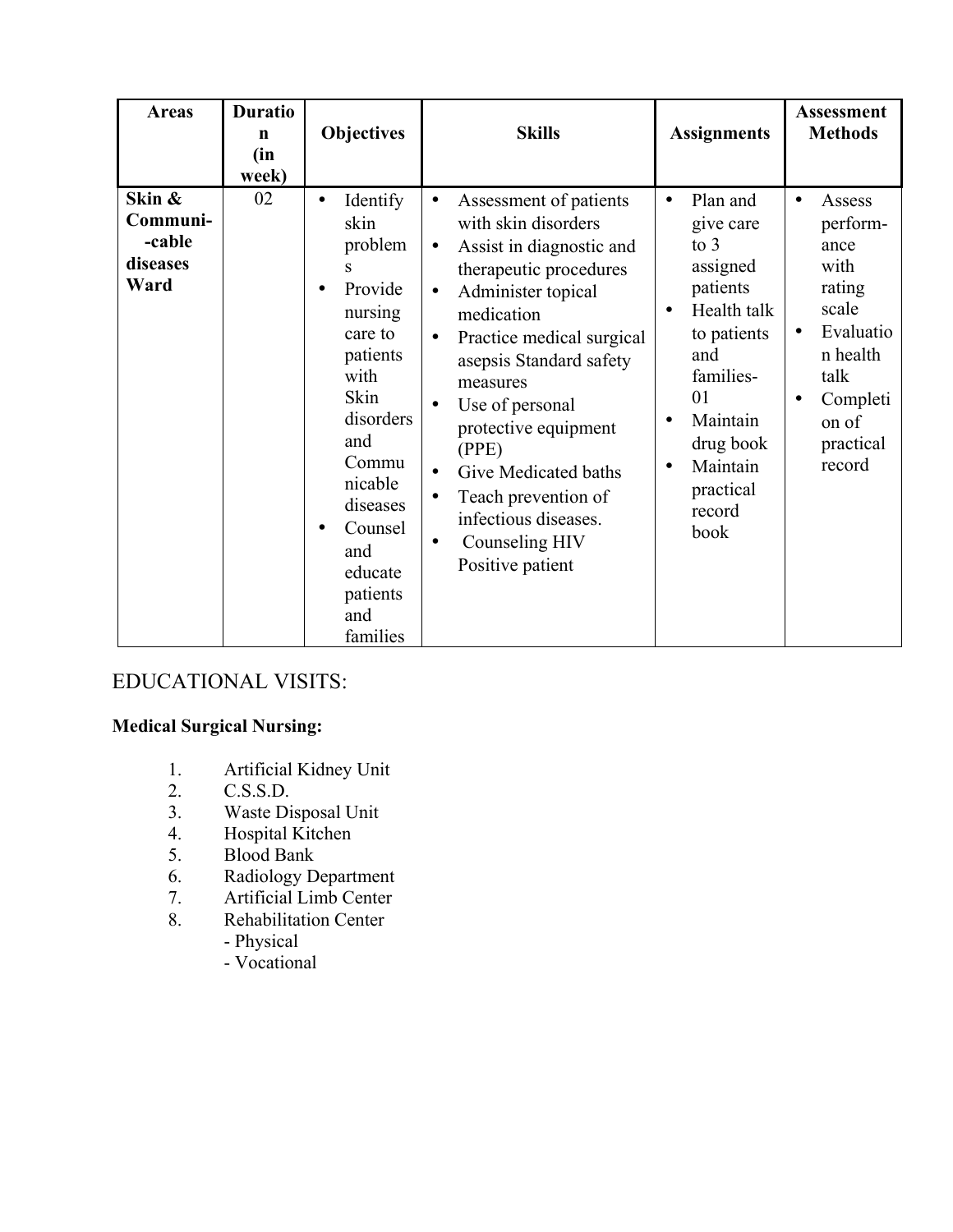| <b>Areas</b>                                     | <b>Duratio</b><br>$\mathbf n$<br>(in<br>week) | <b>Objectives</b>                                                                                                                                                                                                                                    | <b>Skills</b>                                                                                                                                                                                                                                                                                                                                                                                                                                                                        | <b>Assignments</b>                                                                                                                                                                                                                      | <b>Assessment</b><br><b>Methods</b>                                                                                                             |
|--------------------------------------------------|-----------------------------------------------|------------------------------------------------------------------------------------------------------------------------------------------------------------------------------------------------------------------------------------------------------|--------------------------------------------------------------------------------------------------------------------------------------------------------------------------------------------------------------------------------------------------------------------------------------------------------------------------------------------------------------------------------------------------------------------------------------------------------------------------------------|-----------------------------------------------------------------------------------------------------------------------------------------------------------------------------------------------------------------------------------------|-------------------------------------------------------------------------------------------------------------------------------------------------|
| Skin &<br>Communi-<br>-cable<br>diseases<br>Ward | 02                                            | Identify<br>$\bullet$<br>skin<br>problem<br>S<br>Provide<br>$\bullet$<br>nursing<br>care to<br>patients<br>with<br>Skin<br>disorders<br>and<br>Commu<br>nicable<br>diseases<br>Counsel<br>$\bullet$<br>and<br>educate<br>patients<br>and<br>families | Assessment of patients<br>$\bullet$<br>with skin disorders<br>Assist in diagnostic and<br>$\bullet$<br>therapeutic procedures<br>Administer topical<br>$\bullet$<br>medication<br>Practice medical surgical<br>$\bullet$<br>asepsis Standard safety<br>measures<br>Use of personal<br>$\bullet$<br>protective equipment<br>(PPE)<br>Give Medicated baths<br>$\bullet$<br>Teach prevention of<br>$\bullet$<br>infectious diseases.<br>Counseling HIV<br>$\bullet$<br>Positive patient | Plan and<br>$\bullet$<br>give care<br>to $3$<br>assigned<br>patients<br>Health talk<br>$\bullet$<br>to patients<br>and<br>families-<br>01<br>Maintain<br>$\bullet$<br>drug book<br>Maintain<br>$\bullet$<br>practical<br>record<br>book | Assess<br>$\bullet$<br>perform-<br>ance<br>with<br>rating<br>scale<br>Evaluatio<br>n health<br>talk<br>Completi<br>on of<br>practical<br>record |

## EDUCATIONAL VISITS:

#### **Medical Surgical Nursing:**

- 1. Artificial Kidney Unit
- 2. C.S.S.D.
- 3. Waste Disposal Unit
- 4. Hospital Kitchen<br>5. Blood Bank
- 5. Blood Bank
- 6. Radiology Department
- 7. Artificial Limb Center<br>8. Rehabilitation Center
	- Rehabilitation Center
		- Physical
		- Vocational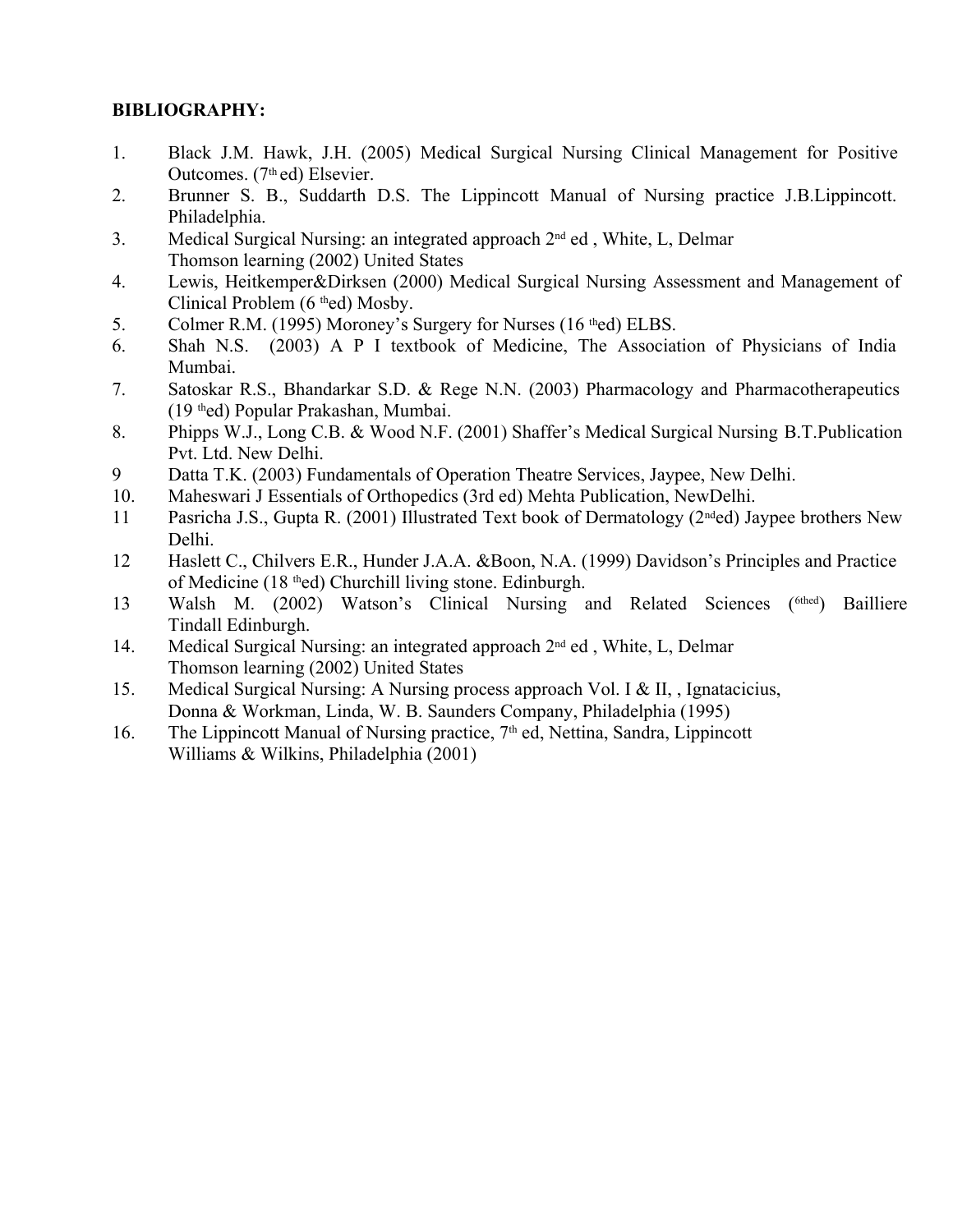#### **BIBLIOGRAPHY:**

- 1. Black J.M. Hawk, J.H. (2005) Medical Surgical Nursing Clinical Management for Positive Outcomes. (7<sup>th</sup> ed) Elsevier.
- 2. Brunner S. B., Suddarth D.S. The Lippincott Manual of Nursing practice J.B.Lippincott. Philadelphia.
- 3. Medical Surgical Nursing: an integrated approach 2<sup>nd</sup> ed, White, L, Delmar Thomson learning (2002) United States
- 4. Lewis, Heitkemper&Dirksen (2000) Medical Surgical Nursing Assessment and Management of Clinical Problem (6 thed) Mosby.
- 5. Colmer R.M. (1995) Moroney's Surgery for Nurses (16 thed) ELBS.
- 6. Shah N.S. (2003) A P I textbook of Medicine, The Association of Physicians of India Mumbai.
- 7. Satoskar R.S., Bhandarkar S.D. & Rege N.N. (2003) Pharmacology and Pharmacotherapeutics (19 thed) Popular Prakashan, Mumbai.
- 8. Phipps W.J., Long C.B. & Wood N.F. (2001) Shaffer's Medical Surgical Nursing B.T.Publication Pvt. Ltd. New Delhi.
- 9 Datta T.K. (2003) Fundamentals of Operation Theatre Services, Jaypee, New Delhi.
- 10. Maheswari J Essentials of Orthopedics (3rd ed) Mehta Publication, NewDelhi.
- 11 Pasricha J.S., Gupta R. (2001) Illustrated Text book of Dermatology (2nded) Jaypee brothers New Delhi.
- 12 Haslett C., Chilvers E.R., Hunder J.A.A. &Boon, N.A. (1999) Davidson's Principles and Practice of Medicine (18 thed) Churchill living stone. Edinburgh.
- 13 Walsh M. (2002) Watson's Clinical Nursing and Related Sciences (6thed) Bailliere Tindall Edinburgh.
- 14. Medical Surgical Nursing: an integrated approach 2<sup>nd</sup> ed, White, L, Delmar Thomson learning (2002) United States
- 15. Medical Surgical Nursing: A Nursing process approach Vol. I & II, , Ignatacicius, Donna & Workman, Linda, W. B. Saunders Company, Philadelphia (1995)
- 16. The Lippincott Manual of Nursing practice, 7<sup>th</sup> ed, Nettina, Sandra, Lippincott Williams & Wilkins, Philadelphia (2001)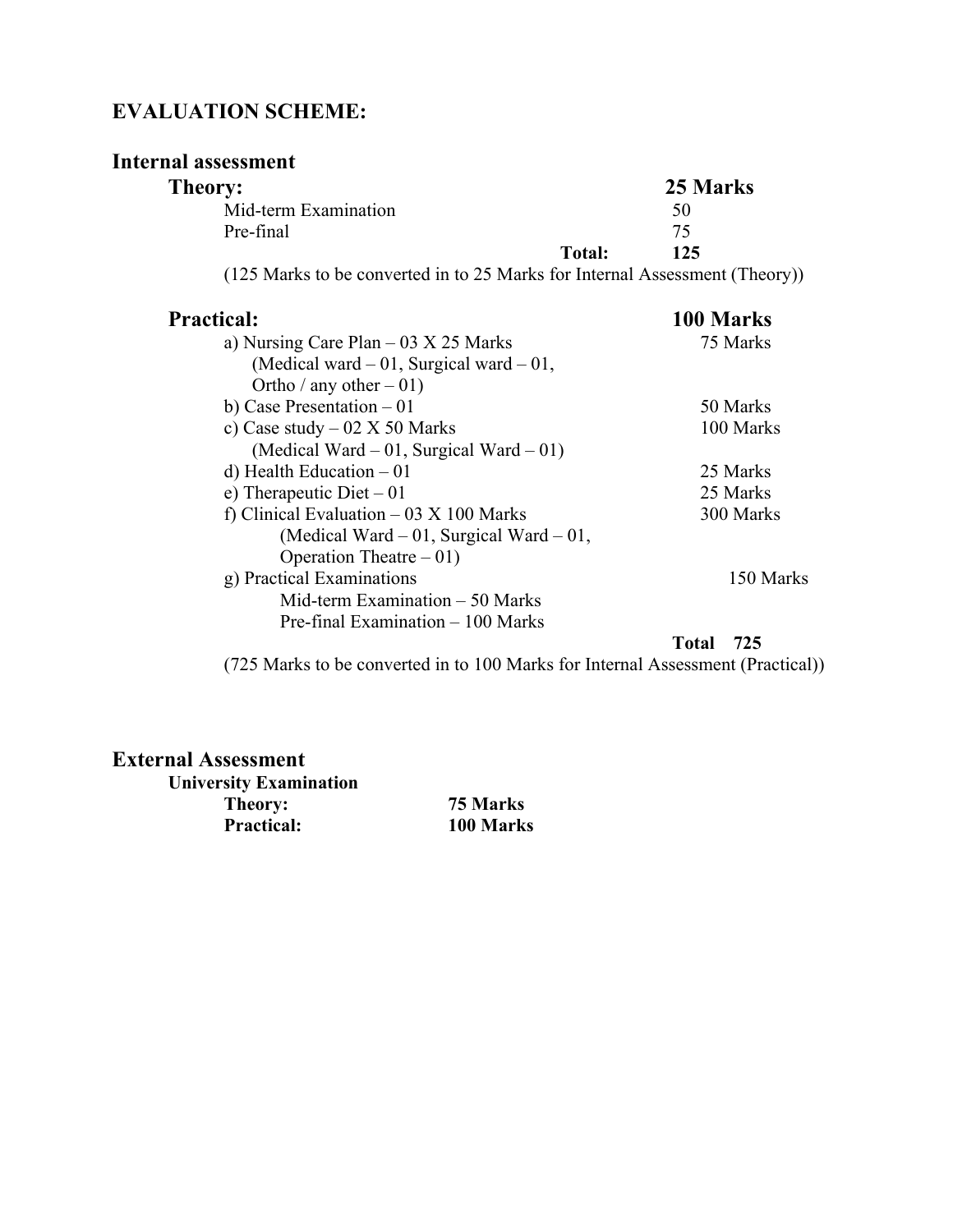## **EVALUATION SCHEME:**

#### **Internal assessment**

| Theory:                            |                                                                                                                                                                          | 25 Marks |
|------------------------------------|--------------------------------------------------------------------------------------------------------------------------------------------------------------------------|----------|
| Mid-term Examination               |                                                                                                                                                                          | 50       |
| Pre-final                          |                                                                                                                                                                          | 75       |
|                                    | Total:                                                                                                                                                                   | 125      |
| $(10.7 \text{ N})$ $(1 \text{ N})$ | $\mathbf{1}$ $\mathbf{1}$ $\mathbf{1}$ $\mathbf{1}$ $\mathbf{2}$ $\mathbf{3}$ $\mathbf{4}$ $\mathbf{1}$ $\mathbf{1}$ $\mathbf{1}$ $\mathbf{1}$ $\mathbf{1}$ $\mathbf{1}$ |          |

(125 Marks to be converted in to 25 Marks for Internal Assessment (Theory))

| <b>Practical:</b>                                                             | 100 Marks           |
|-------------------------------------------------------------------------------|---------------------|
| a) Nursing Care Plan $-03 \times 25$ Marks                                    | 75 Marks            |
| (Medical ward $-01$ , Surgical ward $-01$ ,                                   |                     |
| Ortho / any other $-01$ )                                                     |                     |
| b) Case Presentation $-01$                                                    | 50 Marks            |
| c) Case study $-02 \text{ X } 50 \text{ Marks}$                               | 100 Marks           |
| (Medical Ward $-01$ , Surgical Ward $-01$ )                                   |                     |
| d) Health Education $-01$                                                     | 25 Marks            |
| e) Therapeutic Diet $-01$                                                     | 25 Marks            |
| f) Clinical Evaluation $-03 \times 100$ Marks                                 | 300 Marks           |
| (Medical Ward $-01$ , Surgical Ward $-01$ ,                                   |                     |
| Operation Theatre $-01$ )                                                     |                     |
| g) Practical Examinations                                                     | 150 Marks           |
| Mid-term Examination $-50$ Marks                                              |                     |
| Pre-final Examination – 100 Marks                                             |                     |
|                                                                               | <b>Total</b><br>725 |
| (725 Morks to be converted in to 100 Morks for Internal Assossment (Proctice) |                     |

(725 Marks to be converted in to 100 Marks for Internal Assessment (Practical))

#### **External Assessment**

**University Examination Theory: 75 Marks**

**Practical: 100 Marks**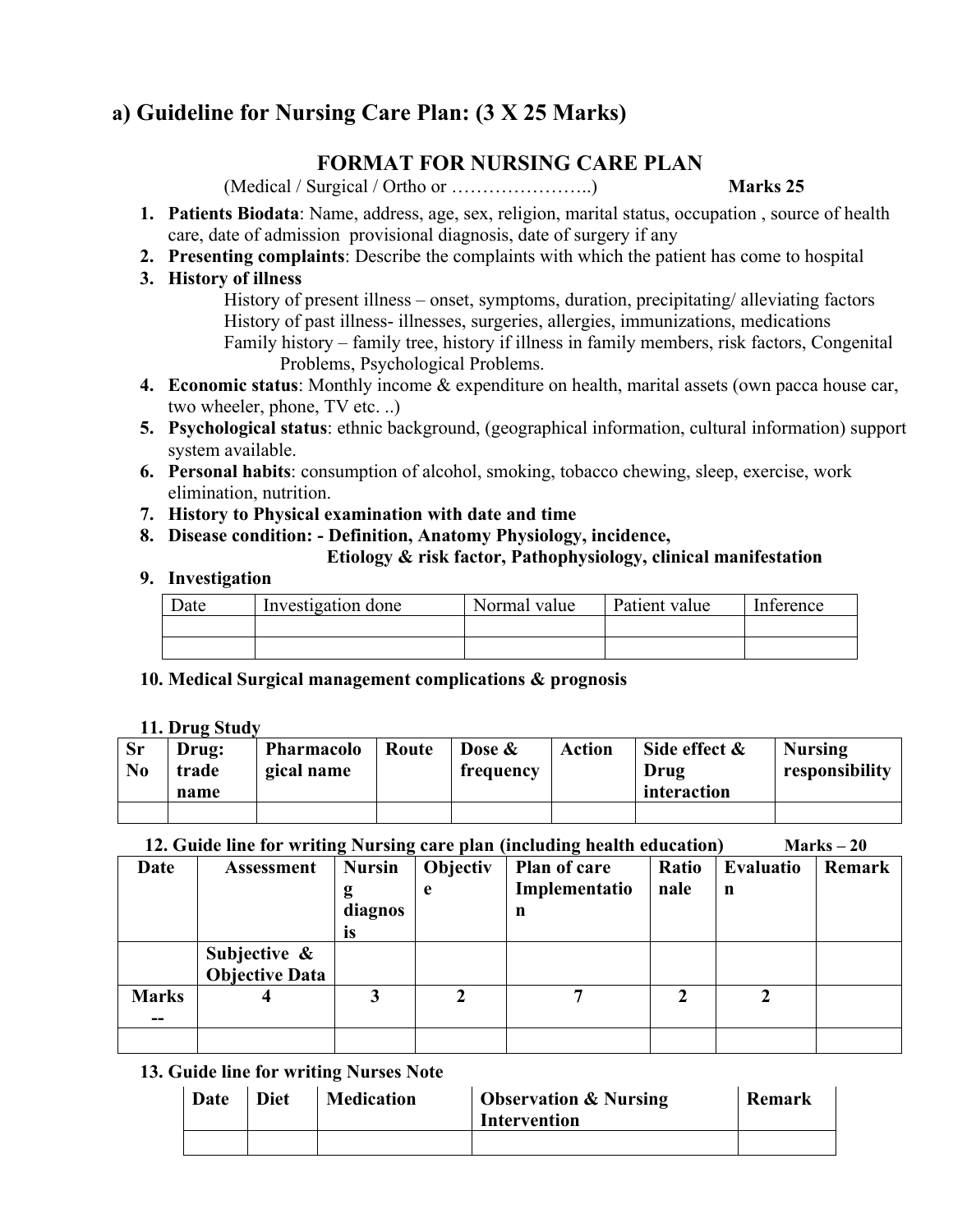## **a) Guideline for Nursing Care Plan: (3 X 25 Marks)**

#### **FORMAT FOR NURSING CARE PLAN**

(Medical / Surgical / Ortho or …………………..) **Marks 25**

- **1. Patients Biodata**: Name, address, age, sex, religion, marital status, occupation , source of health care, date of admission provisional diagnosis, date of surgery if any
- **2. Presenting complaints**: Describe the complaints with which the patient has come to hospital
- **3. History of illness**

History of present illness – onset, symptoms, duration, precipitating/ alleviating factors History of past illness- illnesses, surgeries, allergies, immunizations, medications Family history – family tree, history if illness in family members, risk factors, Congenital Problems, Psychological Problems.

- **4. Economic status**: Monthly income & expenditure on health, marital assets (own pacca house car, two wheeler, phone, TV etc. ..)
- **5. Psychological status**: ethnic background, (geographical information, cultural information) support system available.
- **6. Personal habits**: consumption of alcohol, smoking, tobacco chewing, sleep, exercise, work elimination, nutrition.
- **7. History to Physical examination with date and time**
- **8. Disease condition: Definition, Anatomy Physiology, incidence,**

#### **Etiology & risk factor, Pathophysiology, clinical manifestation**

#### **9. Investigation**

| Date | Investigation done | Normal value | Patient value | Inference |
|------|--------------------|--------------|---------------|-----------|
|      |                    |              |               |           |
|      |                    |              |               |           |

**10. Medical Surgical management complications & prognosis** 

#### **11. Drug Study**

| <b>Sr</b><br>No | Drug:<br>trade<br>name | Pharmacolo<br>gical name | Route | Dose &<br>frequency | <b>Action</b> | Side effect $\&$<br>Drug<br>interaction | <b>Nursing</b><br>responsibility |
|-----------------|------------------------|--------------------------|-------|---------------------|---------------|-----------------------------------------|----------------------------------|
|                 |                        |                          |       |                     |               |                                         |                                  |

#### **12. Guide line for writing Nursing care plan (including health education) Marks – 20**

| Date         | <b>Assessment</b>                      | <b>Nursin</b><br>g<br>diagnos<br><b>IS</b> | Objectiv<br>e | Plan of care<br>Implementatio<br>n | Ratio<br>nale | Evaluatio<br>n | <b>Remark</b> |
|--------------|----------------------------------------|--------------------------------------------|---------------|------------------------------------|---------------|----------------|---------------|
|              | <b>Subjective &amp; Objective Data</b> |                                            |               |                                    |               |                |               |
| <b>Marks</b> |                                        | 3                                          |               |                                    |               |                |               |
|              |                                        |                                            |               |                                    |               |                |               |

#### **13. Guide line for writing Nurses Note**

| Date | Diet | <b>Medication</b> | <b>Observation &amp; Nursing</b><br>Intervention | Remark |
|------|------|-------------------|--------------------------------------------------|--------|
|      |      |                   |                                                  |        |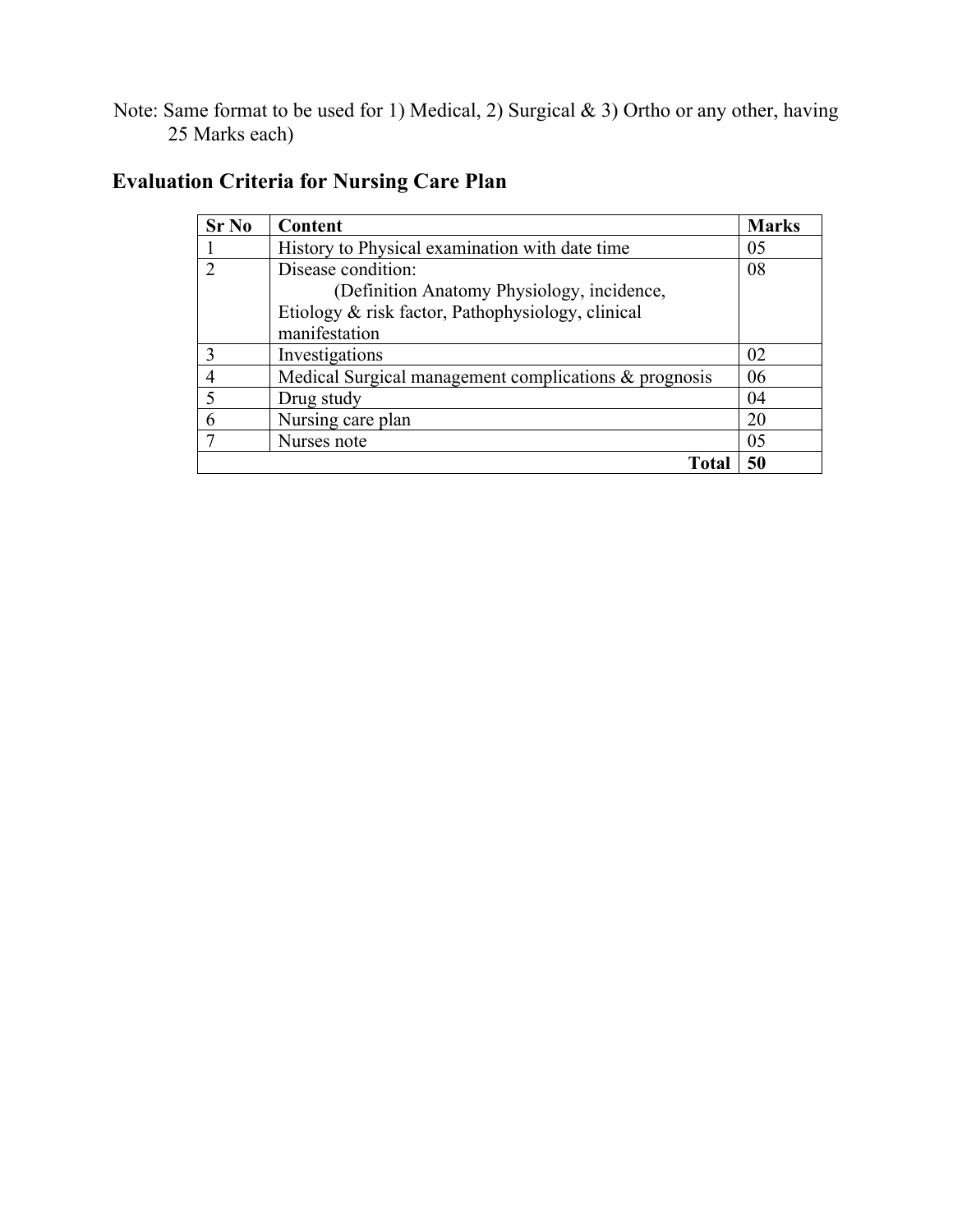Note: Same format to be used for 1) Medical, 2) Surgical & 3) Ortho or any other, having 25 Marks each)

| Sr No          | Content                                                  | <b>Marks</b> |
|----------------|----------------------------------------------------------|--------------|
|                | History to Physical examination with date time           | 05           |
| $\overline{2}$ | Disease condition:                                       | 08           |
|                | (Definition Anatomy Physiology, incidence,               |              |
|                | Etiology & risk factor, Pathophysiology, clinical        |              |
|                | manifestation                                            |              |
| 3              | Investigations                                           | 02           |
|                | Medical Surgical management complications $\&$ prognosis | 06           |
| 5              | Drug study                                               | 04           |
| 6              | Nursing care plan                                        | 20           |
|                | Nurses note                                              | 05           |
|                | Total                                                    | 50           |

## **Evaluation Criteria for Nursing Care Plan**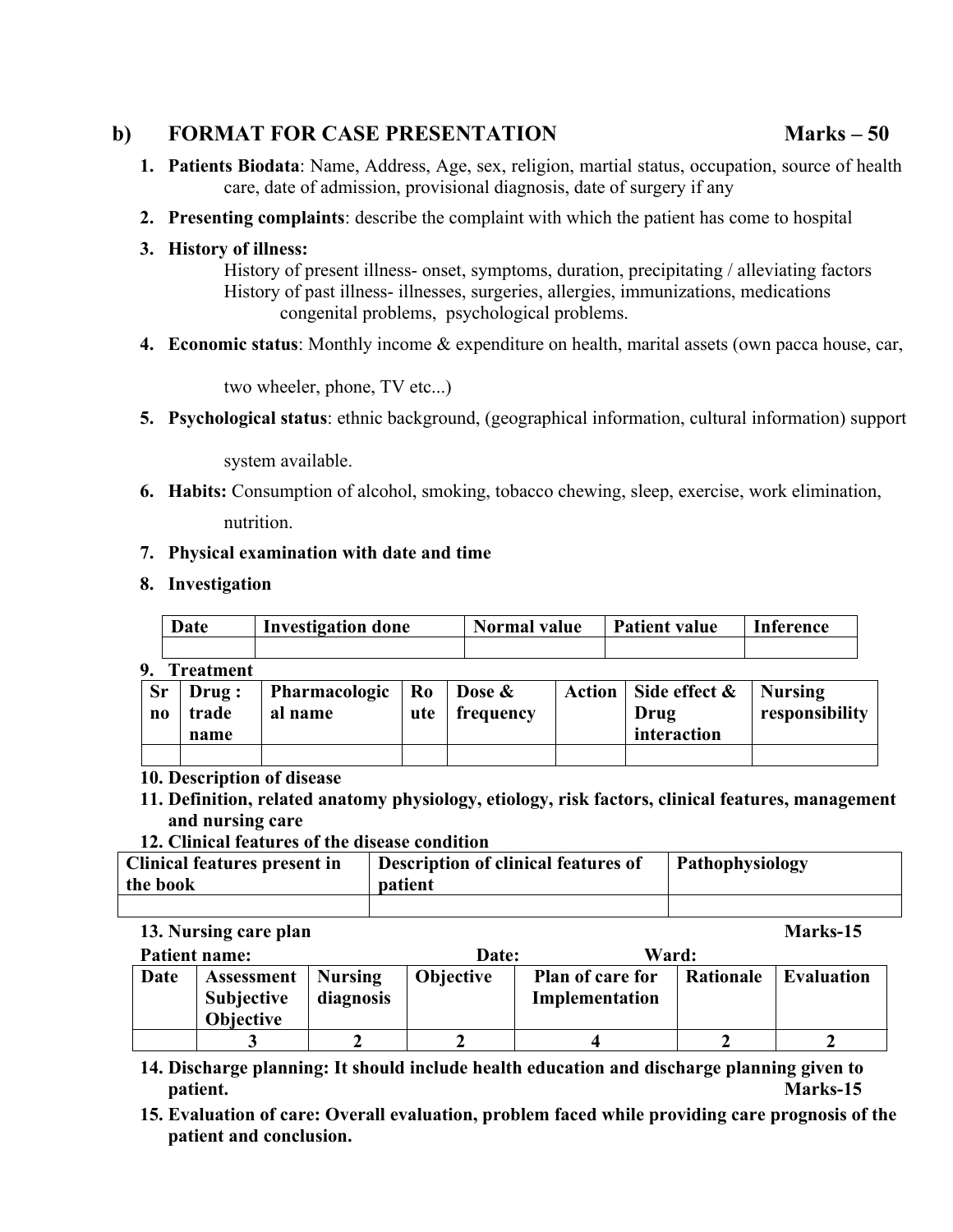#### **b) FORMAT FOR CASE PRESENTATION Marks – 50**

- **1. Patients Biodata**: Name, Address, Age, sex, religion, martial status, occupation, source of health care, date of admission, provisional diagnosis, date of surgery if any
- **2. Presenting complaints**: describe the complaint with which the patient has come to hospital

#### **3. History of illness:**

History of present illness- onset, symptoms, duration, precipitating / alleviating factors History of past illness- illnesses, surgeries, allergies, immunizations, medications congenital problems, psychological problems.

**4. Economic status**: Monthly income & expenditure on health, marital assets (own pacca house, car,

two wheeler, phone, TV etc...)

**5. Psychological status**: ethnic background, (geographical information, cultural information) support

system available.

**6. Habits:** Consumption of alcohol, smoking, tobacco chewing, sleep, exercise, work elimination, nutrition.

#### **7. Physical examination with date and time**

**8. Investigation**

|    | Date             | <b>Investigation done</b> | <b>Normal value</b> | <b>Patient value</b> | <b>Inference</b> |
|----|------------------|---------------------------|---------------------|----------------------|------------------|
|    |                  |                           |                     |                      |                  |
| 9. | <b>Treatment</b> |                           |                     |                      |                  |

| <b>Sr</b><br>no | Drug:<br>trade | Pharmacologic   Ro<br>al name | ute | Dose &<br>frequency | Action   Side effect $\&$   Nursing<br>Drug | responsibility |
|-----------------|----------------|-------------------------------|-----|---------------------|---------------------------------------------|----------------|
|                 | name           |                               |     |                     | interaction                                 |                |

#### **10. Description of disease**

**11. Definition, related anatomy physiology, etiology, risk factors, clinical features, management and nursing care**

#### **12. Clinical features of the disease condition**

| <b>Clinical features present in</b> | Description of clinical features of | Pathophysiology |
|-------------------------------------|-------------------------------------|-----------------|
| the book                            | patient                             |                 |
|                                     |                                     |                 |

#### **13. Nursing care plan Marks-15**

| <b>Patient name:</b> |                                                            |                      | Ward:<br>Date:   |                                           |           |                   |  |
|----------------------|------------------------------------------------------------|----------------------|------------------|-------------------------------------------|-----------|-------------------|--|
| Date                 | <b>Assessment</b><br><b>Subjective</b><br><b>Objective</b> | Nursing<br>diagnosis | <b>Objective</b> | <b>Plan of care for</b><br>Implementation | Rationale | <b>Evaluation</b> |  |
|                      |                                                            |                      |                  |                                           |           |                   |  |

- **14. Discharge planning: It should include health education and discharge planning given to patient. Marks-15**
- **15. Evaluation of care: Overall evaluation, problem faced while providing care prognosis of the patient and conclusion.**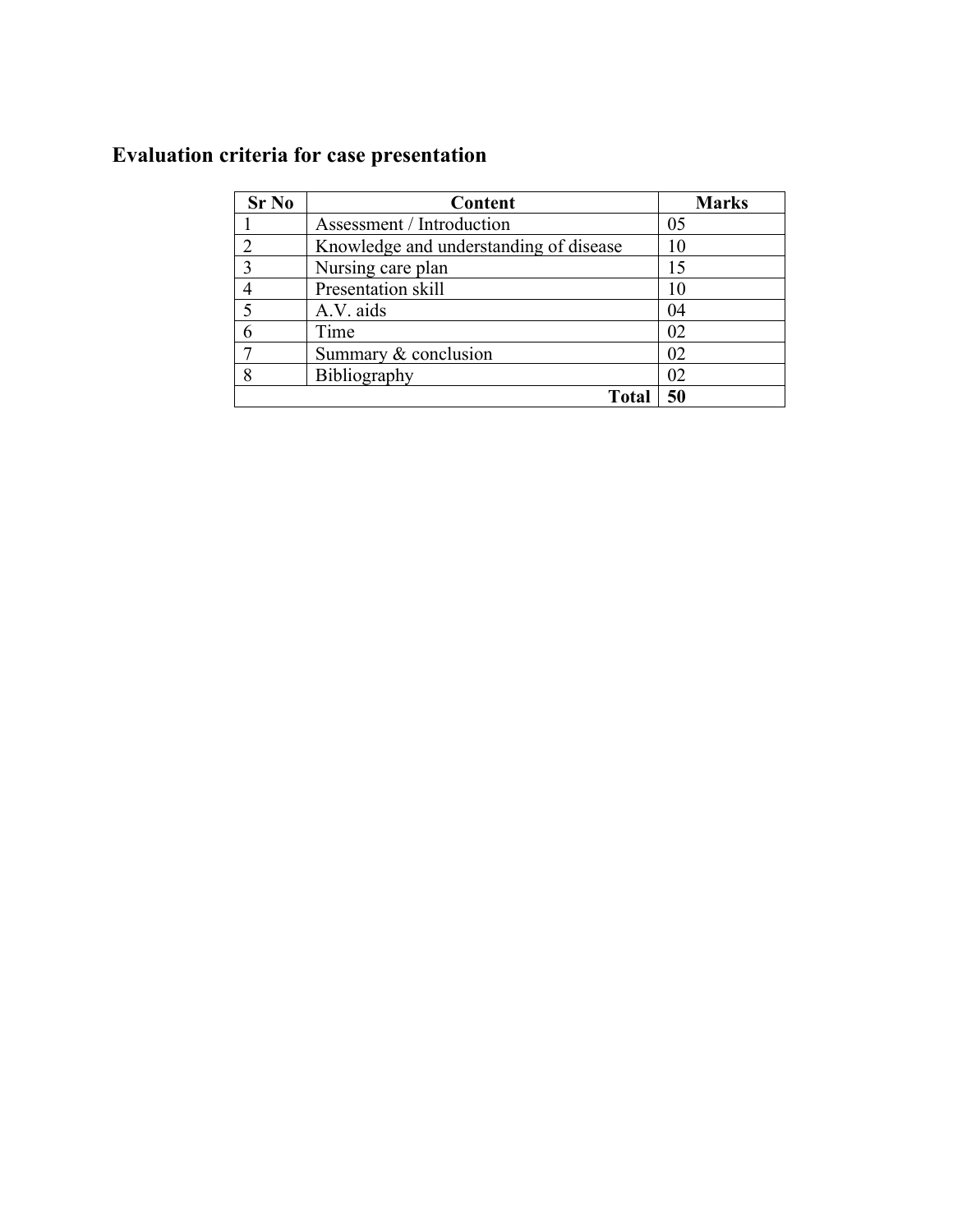## **Evaluation criteria for case presentation**

| <b>Sr No</b>   | Content                                | <b>Marks</b> |
|----------------|----------------------------------------|--------------|
|                | Assessment / Introduction              | 05           |
| $\mathfrak{D}$ | Knowledge and understanding of disease | 10           |
| 3              | Nursing care plan                      | 15           |
|                | Presentation skill                     | 10           |
| 5              | A.V. aids                              | 04           |
| 6              | Time                                   | 02           |
|                | Summary & conclusion                   | 02           |
| 8              | Bibliography                           | 02           |
|                | Total                                  | 50           |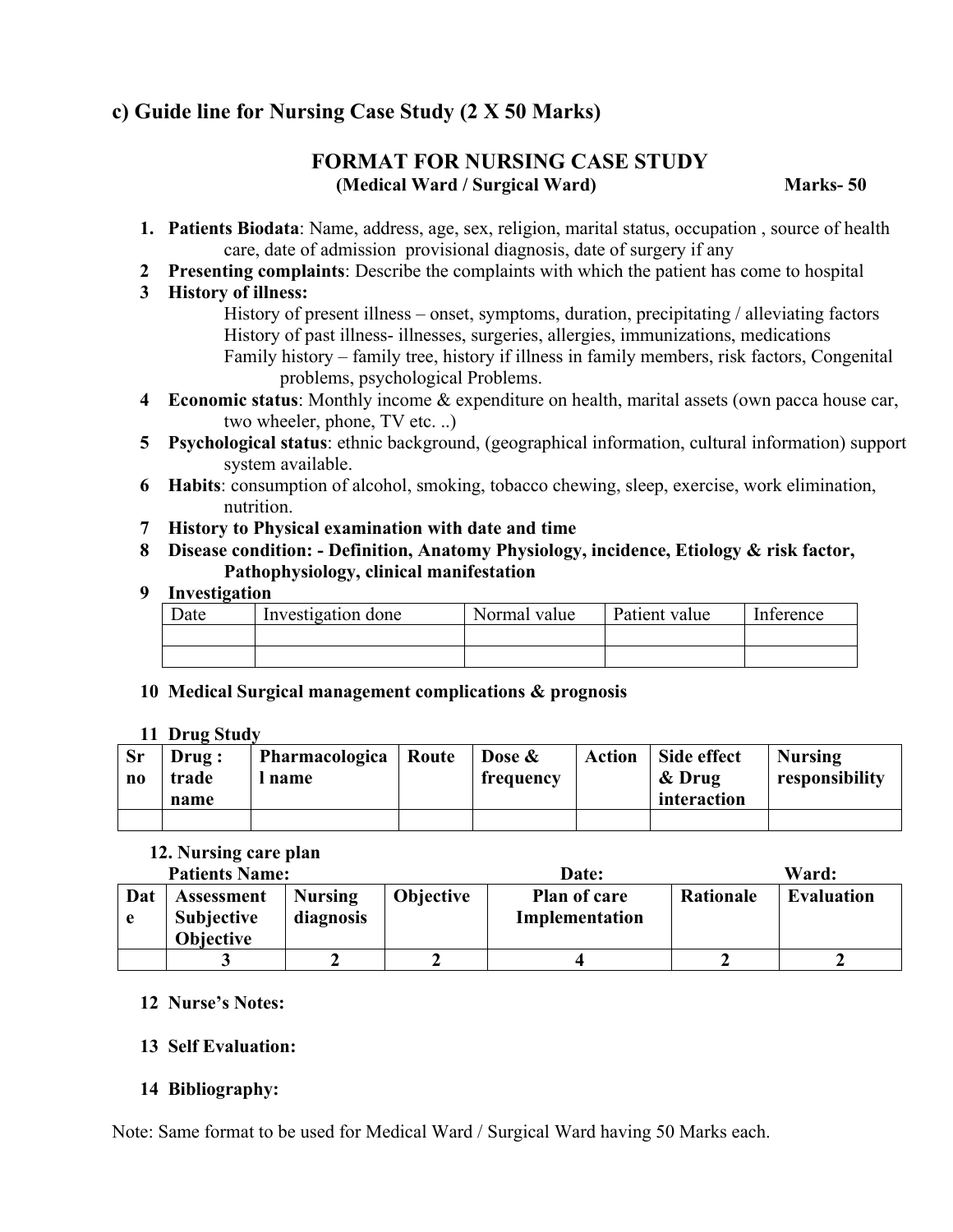## **c) Guide line for Nursing Case Study (2 X 50 Marks)**

#### **FORMAT FOR NURSING CASE STUDY (Medical Ward / Surgical Ward) Marks- 50**

- **1. Patients Biodata**: Name, address, age, sex, religion, marital status, occupation , source of health care, date of admission provisional diagnosis, date of surgery if any
- **2 Presenting complaints**: Describe the complaints with which the patient has come to hospital

#### **3 History of illness:**

History of present illness – onset, symptoms, duration, precipitating / alleviating factors History of past illness- illnesses, surgeries, allergies, immunizations, medications Family history – family tree, history if illness in family members, risk factors, Congenital problems, psychological Problems.

- **4 Economic status**: Monthly income & expenditure on health, marital assets (own pacca house car, two wheeler, phone, TV etc. ..)
- **5 Psychological status**: ethnic background, (geographical information, cultural information) support system available.
- **6 Habits**: consumption of alcohol, smoking, tobacco chewing, sleep, exercise, work elimination, nutrition.
- **7 History to Physical examination with date and time**
- **8 Disease condition: Definition, Anatomy Physiology, incidence, Etiology & risk factor, Pathophysiology, clinical manifestation**

#### **9 Investigation**

| Date | Investigation done | Normal value | Patient value | Inference |
|------|--------------------|--------------|---------------|-----------|
|      |                    |              |               |           |
|      |                    |              |               |           |

#### **10 Medical Surgical management complications & prognosis**

#### **11 Drug Study**

| <b>Sr</b><br>$\bf{no}$ | Drug:<br>trade<br>name | Pharmacologica<br>name | Route | Dose &<br>frequency | Action | Side effect<br>& Drug<br>interaction | <b>Nursing</b><br>responsibility |
|------------------------|------------------------|------------------------|-------|---------------------|--------|--------------------------------------|----------------------------------|
|                        |                        |                        |       |                     |        |                                      |                                  |

#### **12. Nursing care plan**

| <b>Patients Name:</b> |                   |         | Date:            |              | Ward:     |        |
|-----------------------|-------------------|---------|------------------|--------------|-----------|--------|
| at                    | <b>Assessment</b> | Nursing | <b>Objective</b> | Plan of care | Rationale | Evalua |

| Dat | <b>Assessment</b><br><b>Subjective</b><br><b>Objective</b> | <b>Nursing</b><br>diagnosis | <b>Objective</b> | Plan of care<br>Implementation | Rationale | <b>Evaluation</b> |
|-----|------------------------------------------------------------|-----------------------------|------------------|--------------------------------|-----------|-------------------|
|     |                                                            |                             |                  |                                |           |                   |

#### **12 Nurse's Notes:**

#### **13 Self Evaluation:**

#### **14 Bibliography:**

Note: Same format to be used for Medical Ward / Surgical Ward having 50 Marks each.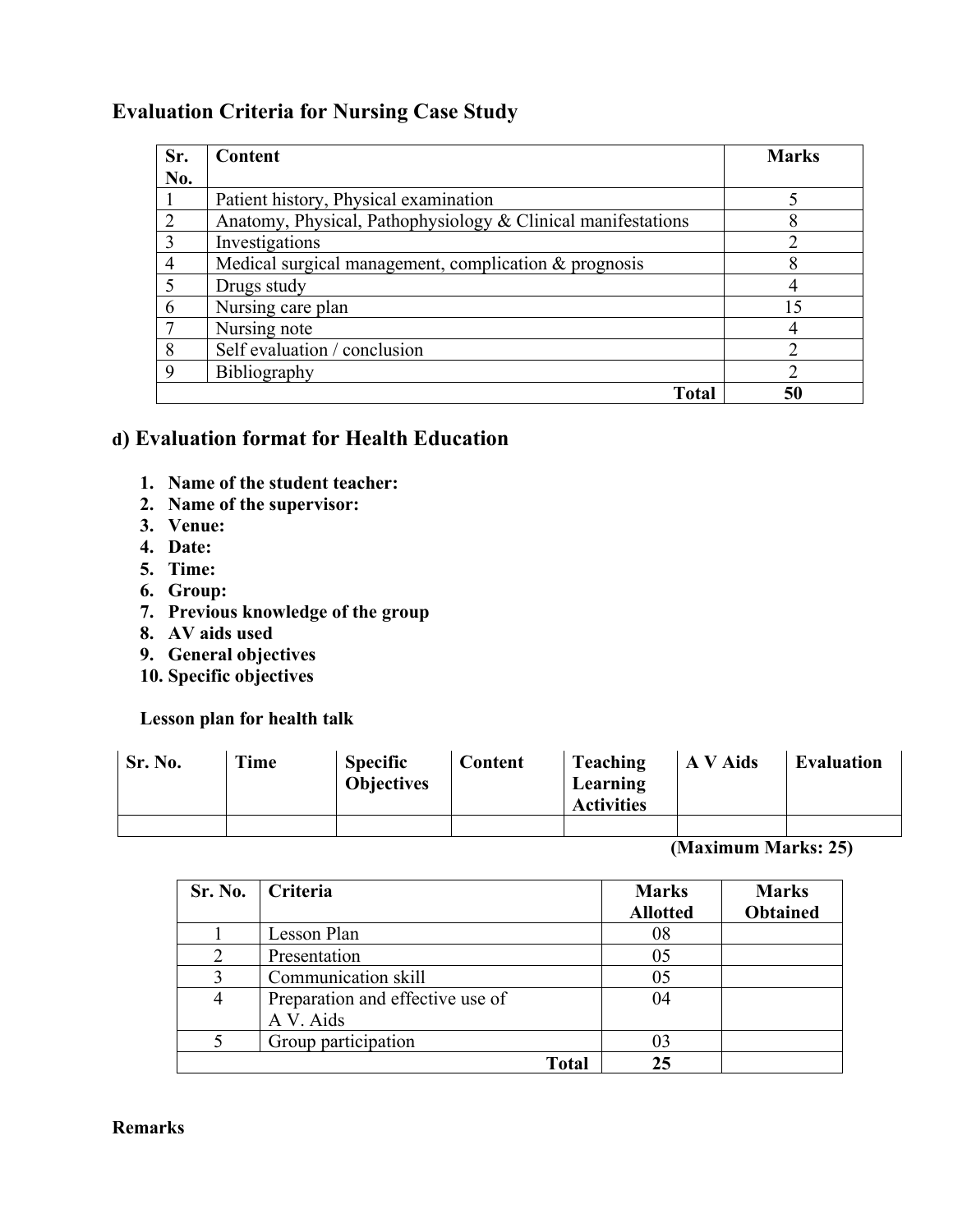### **Evaluation Criteria for Nursing Case Study**

| Sr.            | <b>Content</b>                                               | <b>Marks</b> |
|----------------|--------------------------------------------------------------|--------------|
| No.            |                                                              |              |
|                | Patient history, Physical examination                        |              |
| $\overline{2}$ | Anatomy, Physical, Pathophysiology & Clinical manifestations |              |
| 3              | Investigations                                               |              |
| $\overline{4}$ | Medical surgical management, complication $&$ prognosis      |              |
| 5              | Drugs study                                                  |              |
| 6              | Nursing care plan                                            | 15           |
|                | Nursing note                                                 |              |
| 8              | Self evaluation / conclusion                                 |              |
| 9              | <b>Bibliography</b>                                          | າ            |
|                | Total                                                        |              |

### **d) Evaluation format for Health Education**

- **1. Name of the student teacher:**
- **2. Name of the supervisor:**
- **3. Venue:**
- **4. Date:**
- **5. Time:**
- **6. Group:**
- **7. Previous knowledge of the group**
- **8. AV aids used**
- **9. General objectives**
- **10. Specific objectives**

#### **Lesson plan for health talk**

| Sr. No. | Time | <b>Specific</b><br><b>Objectives</b> | Content | Teaching<br>Learning<br><b>Activities</b> | A V Aids | <b>Evaluation</b> |
|---------|------|--------------------------------------|---------|-------------------------------------------|----------|-------------------|
|         |      |                                      |         |                                           |          |                   |

**(Maximum Marks: 25)**

| Sr. No.               | <b>Criteria</b>                  | <b>Marks</b><br><b>Allotted</b> | <b>Marks</b><br><b>Obtained</b> |
|-----------------------|----------------------------------|---------------------------------|---------------------------------|
|                       | Lesson Plan                      | 08                              |                                 |
| $\mathcal{D}_{\cdot}$ | Presentation                     | 05                              |                                 |
| 3                     | Communication skill              | 05                              |                                 |
| 4                     | Preparation and effective use of | 04                              |                                 |
|                       | A V. Aids                        |                                 |                                 |
| 5                     | Group participation              | 03                              |                                 |
|                       | Total                            | 25                              |                                 |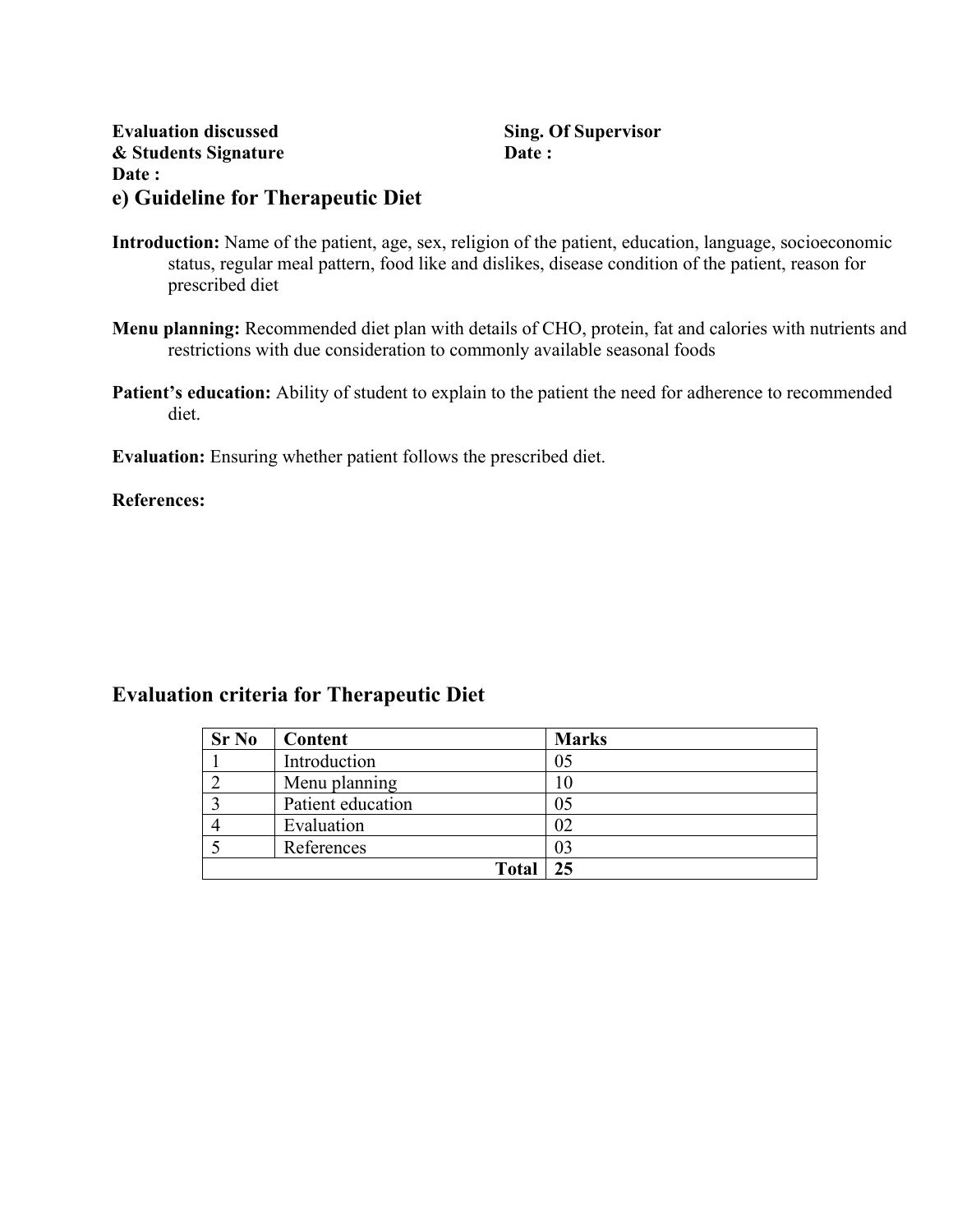| <b>Evaluation discussed</b>       | Sing. |
|-----------------------------------|-------|
| & Students Signature              | Date: |
| <b>Date :</b>                     |       |
| e) Guideline for Therapeutic Diet |       |

**Sing. Of Supervisor** 

- **Introduction:** Name of the patient, age, sex, religion of the patient, education, language, socioeconomic status, regular meal pattern, food like and dislikes, disease condition of the patient, reason for prescribed diet
- **Menu planning:** Recommended diet plan with details of CHO, protein, fat and calories with nutrients and restrictions with due consideration to commonly available seasonal foods
- Patient's education: Ability of student to explain to the patient the need for adherence to recommended diet.

**Evaluation:** Ensuring whether patient follows the prescribed diet.

**References:**

#### **Evaluation criteria for Therapeutic Diet**

| <b>Sr No</b> | Content           | <b>Marks</b> |
|--------------|-------------------|--------------|
|              | Introduction      | 05           |
|              | Menu planning     | 10           |
|              | Patient education | 05           |
|              | Evaluation        | 02           |
|              | References        | 03           |
|              | <b>Total</b>      | 25           |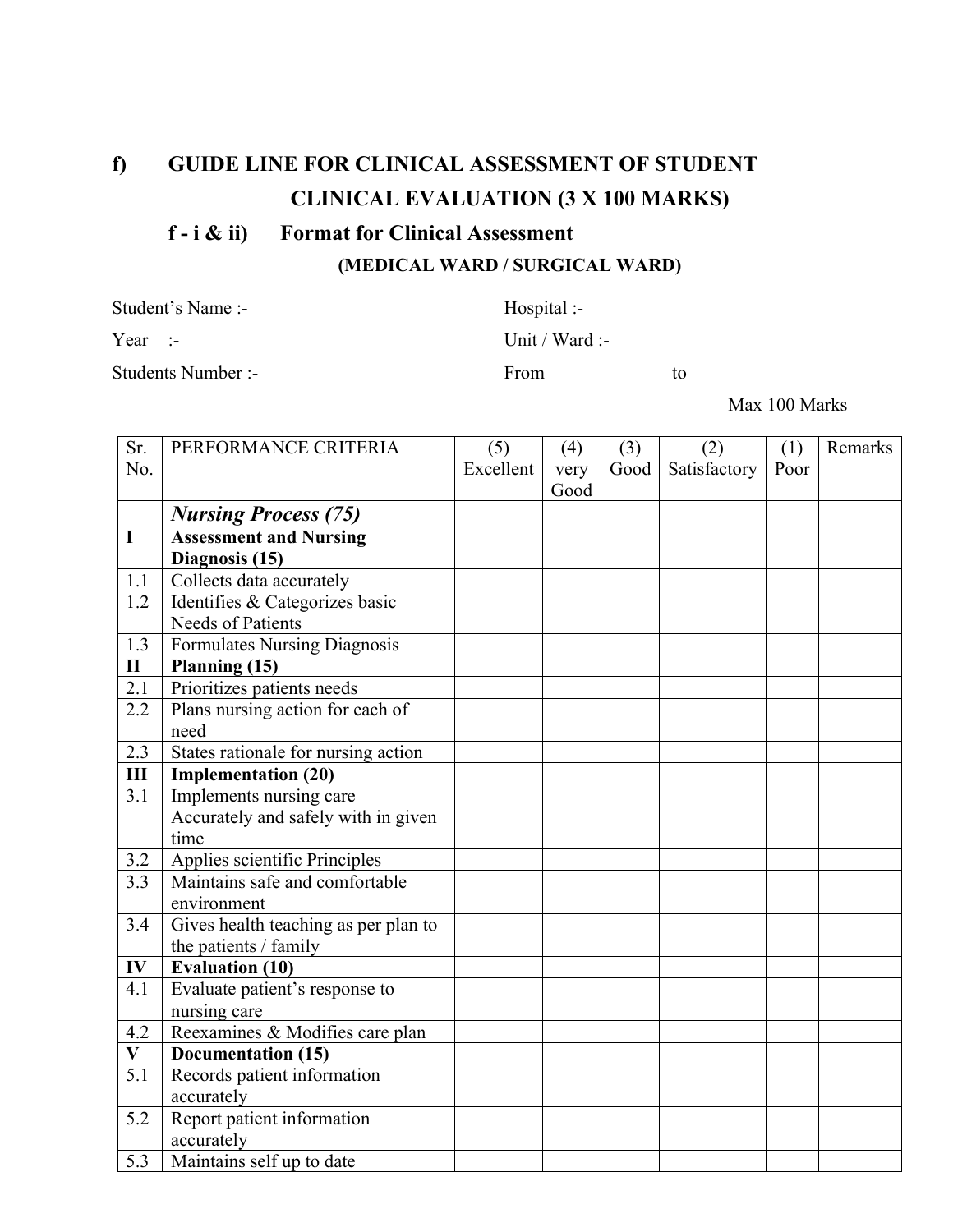## **f) GUIDE LINE FOR CLINICAL ASSESSMENT OF STUDENT CLINICAL EVALUATION (3 X 100 MARKS)**

#### **f - i & ii) Format for Clinical Assessment**

**(MEDICAL WARD / SURGICAL WARD)**

Student's Name :-<br>
Hospital :-

Students Number :- From to

Year :- Unit / Ward :-

Max 100 Marks

| Sr.          | PERFORMANCE CRITERIA                 | (5)       | (4)  | (3)  | (2)          | (1)  | Remarks |
|--------------|--------------------------------------|-----------|------|------|--------------|------|---------|
| No.          |                                      | Excellent | very | Good | Satisfactory | Poor |         |
|              |                                      |           | Good |      |              |      |         |
|              | <b>Nursing Process (75)</b>          |           |      |      |              |      |         |
| $\mathbf I$  | <b>Assessment and Nursing</b>        |           |      |      |              |      |         |
|              | Diagnosis (15)                       |           |      |      |              |      |         |
| 1.1          | Collects data accurately             |           |      |      |              |      |         |
| 1.2          | Identifies & Categorizes basic       |           |      |      |              |      |         |
|              | Needs of Patients                    |           |      |      |              |      |         |
| 1.3          | Formulates Nursing Diagnosis         |           |      |      |              |      |         |
| $\mathbf{I}$ | Planning (15)                        |           |      |      |              |      |         |
| 2.1          | Prioritizes patients needs           |           |      |      |              |      |         |
| 2.2          | Plans nursing action for each of     |           |      |      |              |      |         |
|              | need                                 |           |      |      |              |      |         |
| 2.3          | States rationale for nursing action  |           |      |      |              |      |         |
| Ш            | <b>Implementation (20)</b>           |           |      |      |              |      |         |
| 3.1          | Implements nursing care              |           |      |      |              |      |         |
|              | Accurately and safely with in given  |           |      |      |              |      |         |
|              | time                                 |           |      |      |              |      |         |
| 3.2          | Applies scientific Principles        |           |      |      |              |      |         |
| 3.3          | Maintains safe and comfortable       |           |      |      |              |      |         |
|              | environment                          |           |      |      |              |      |         |
| 3.4          | Gives health teaching as per plan to |           |      |      |              |      |         |
|              | the patients / family                |           |      |      |              |      |         |
| IV           | <b>Evaluation (10)</b>               |           |      |      |              |      |         |
| 4.1          | Evaluate patient's response to       |           |      |      |              |      |         |
|              | nursing care                         |           |      |      |              |      |         |
| 4.2          | Reexamines & Modifies care plan      |           |      |      |              |      |         |
| $\mathbf{V}$ | <b>Documentation (15)</b>            |           |      |      |              |      |         |
| 5.1          | Records patient information          |           |      |      |              |      |         |
|              | accurately                           |           |      |      |              |      |         |
| 5.2          | Report patient information           |           |      |      |              |      |         |
|              | accurately                           |           |      |      |              |      |         |
| 5.3          | Maintains self up to date            |           |      |      |              |      |         |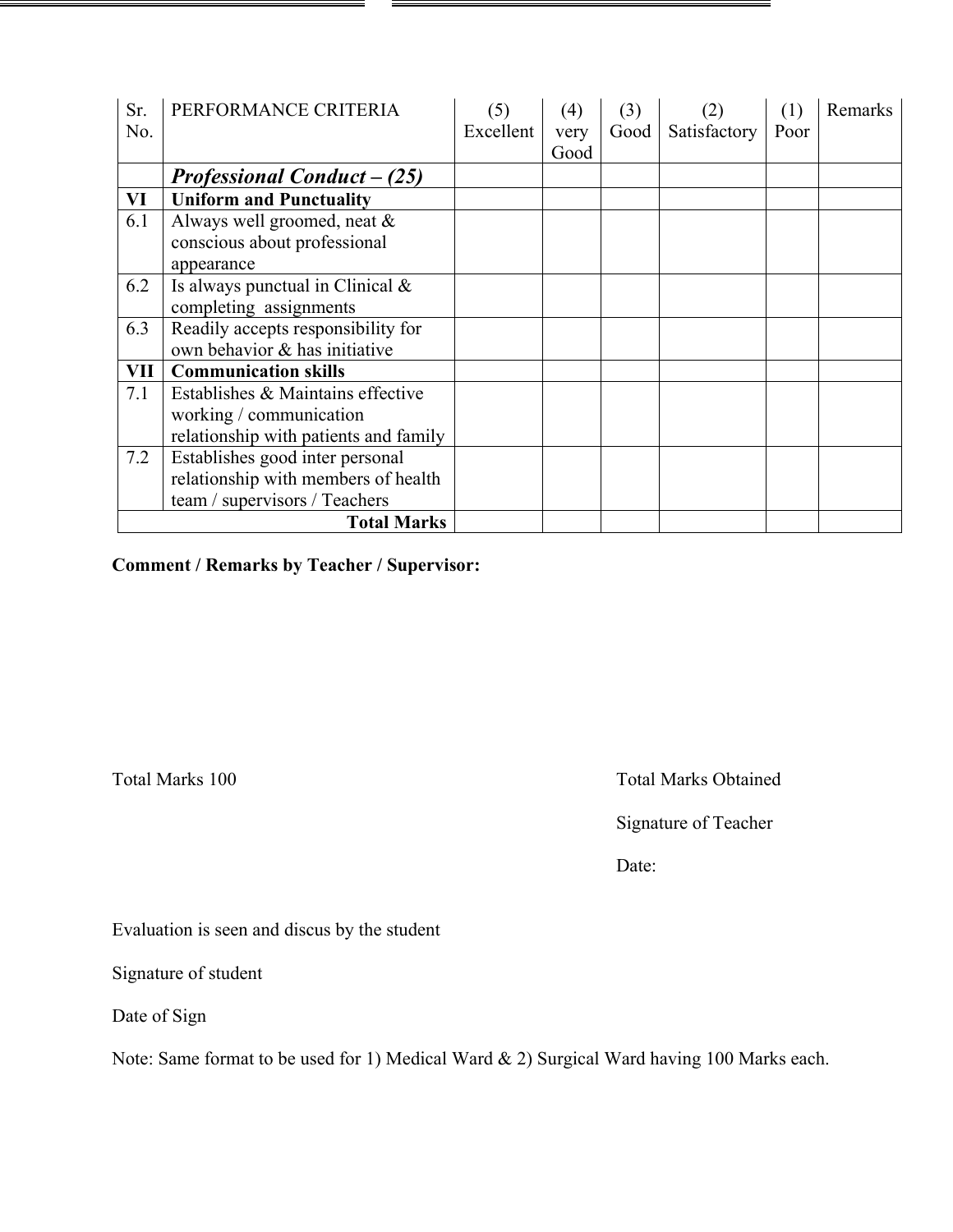| Sr. | PERFORMANCE CRITERIA                  | (5)       | (4)  | (3)  | (2)          | (1)  | Remarks |
|-----|---------------------------------------|-----------|------|------|--------------|------|---------|
| No. |                                       | Excellent | very | Good | Satisfactory | Poor |         |
|     |                                       |           | Good |      |              |      |         |
|     | <b>Professional Conduct – (25)</b>    |           |      |      |              |      |         |
| VI  | <b>Uniform and Punctuality</b>        |           |      |      |              |      |         |
| 6.1 | Always well groomed, neat &           |           |      |      |              |      |         |
|     | conscious about professional          |           |      |      |              |      |         |
|     | appearance                            |           |      |      |              |      |         |
| 6.2 | Is always punctual in Clinical $&$    |           |      |      |              |      |         |
|     | completing assignments                |           |      |      |              |      |         |
| 6.3 | Readily accepts responsibility for    |           |      |      |              |      |         |
|     | own behavior & has initiative         |           |      |      |              |      |         |
| VII | <b>Communication skills</b>           |           |      |      |              |      |         |
| 7.1 | Establishes & Maintains effective     |           |      |      |              |      |         |
|     | working / communication               |           |      |      |              |      |         |
|     | relationship with patients and family |           |      |      |              |      |         |
| 7.2 | Establishes good inter personal       |           |      |      |              |      |         |
|     | relationship with members of health   |           |      |      |              |      |         |
|     | team / supervisors / Teachers         |           |      |      |              |      |         |
|     | <b>Total Marks</b>                    |           |      |      |              |      |         |

**Comment / Remarks by Teacher / Supervisor:**

Total Marks 100 Total Marks Obtained

Signature of Teacher

Date:

Evaluation is seen and discus by the student

Signature of student

Date of Sign

Note: Same format to be used for 1) Medical Ward & 2) Surgical Ward having 100 Marks each.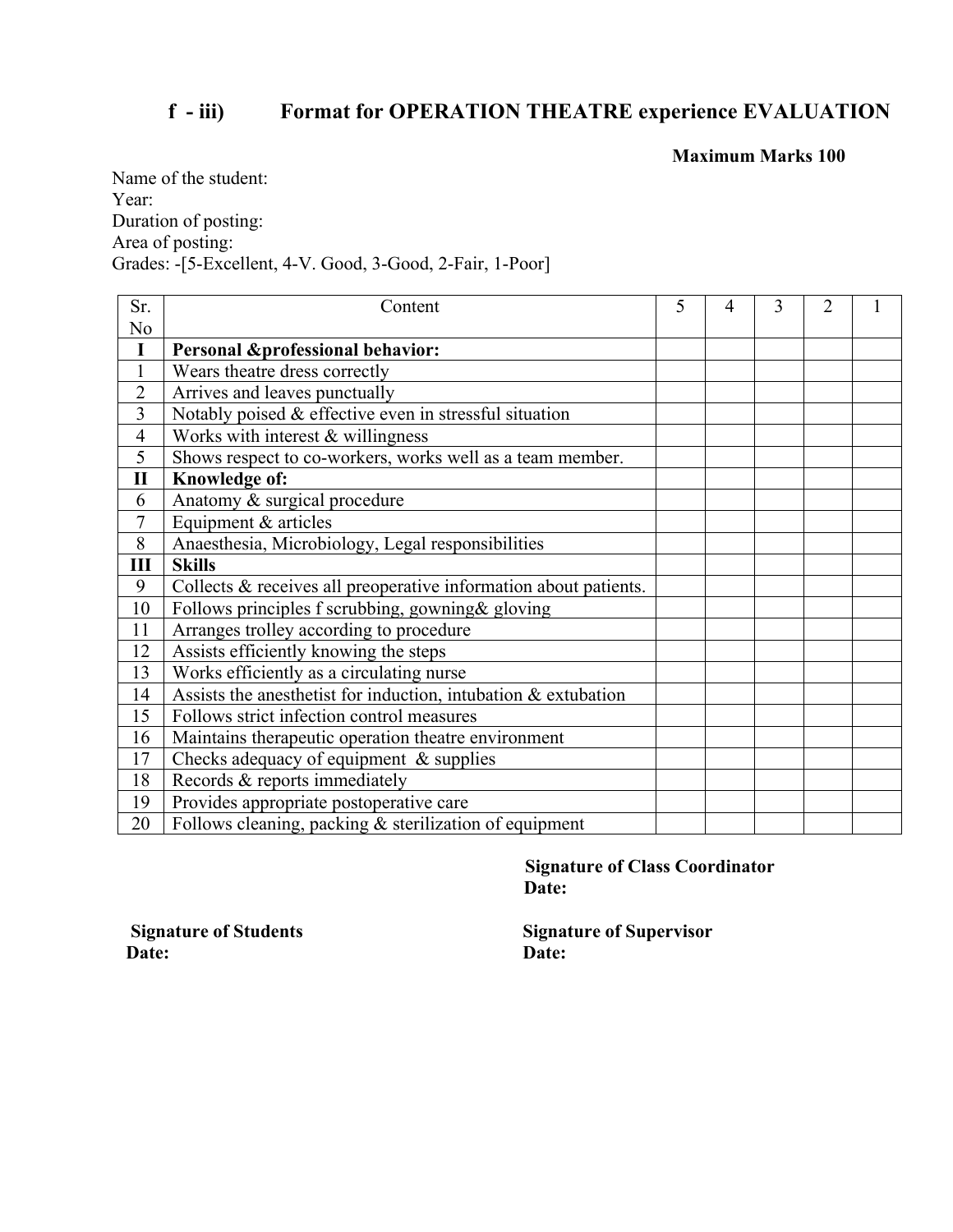## **f - iii) Format for OPERATION THEATRE experience EVALUATION**

**Maximum Marks 100**

Name of the student: Year: Duration of posting: Area of posting: Grades: -[5-Excellent, 4-V. Good, 3-Good, 2-Fair, 1-Poor]

| Sr.            | Content                                                           | 5 | 4 | 3 | $\overline{2}$ |  |
|----------------|-------------------------------------------------------------------|---|---|---|----------------|--|
| N <sub>0</sub> |                                                                   |   |   |   |                |  |
| I              | <b>Personal &amp;professional behavior:</b>                       |   |   |   |                |  |
| 1              | Wears theatre dress correctly                                     |   |   |   |                |  |
| $\overline{2}$ | Arrives and leaves punctually                                     |   |   |   |                |  |
| 3              | Notably poised & effective even in stressful situation            |   |   |   |                |  |
| 4              | Works with interest $&$ willingness                               |   |   |   |                |  |
| 5              | Shows respect to co-workers, works well as a team member.         |   |   |   |                |  |
| $\mathbf{I}$   | Knowledge of:                                                     |   |   |   |                |  |
| 6              | Anatomy & surgical procedure                                      |   |   |   |                |  |
| 7              | Equipment $&$ articles                                            |   |   |   |                |  |
| 8              | Anaesthesia, Microbiology, Legal responsibilities                 |   |   |   |                |  |
| Ш              | <b>Skills</b>                                                     |   |   |   |                |  |
| 9              | Collects & receives all preoperative information about patients.  |   |   |   |                |  |
| 10             | Follows principles f scrubbing, gowning & gloving                 |   |   |   |                |  |
| 11             | Arranges trolley according to procedure                           |   |   |   |                |  |
| 12             | Assists efficiently knowing the steps                             |   |   |   |                |  |
| 13             | Works efficiently as a circulating nurse                          |   |   |   |                |  |
| 14             | Assists the anesthetist for induction, intubation $\&$ extubation |   |   |   |                |  |
| 15             | Follows strict infection control measures                         |   |   |   |                |  |
| 16             | Maintains therapeutic operation theatre environment               |   |   |   |                |  |
| 17             | Checks adequacy of equipment $\&$ supplies                        |   |   |   |                |  |
| 18             | Records & reports immediately                                     |   |   |   |                |  |
| 19             | Provides appropriate postoperative care                           |   |   |   |                |  |
| 20             | Follows cleaning, packing & sterilization of equipment            |   |   |   |                |  |

**Signature of Class Coordinator Date:**

Date: Date:

**Signature of Students** Signature of Supervisor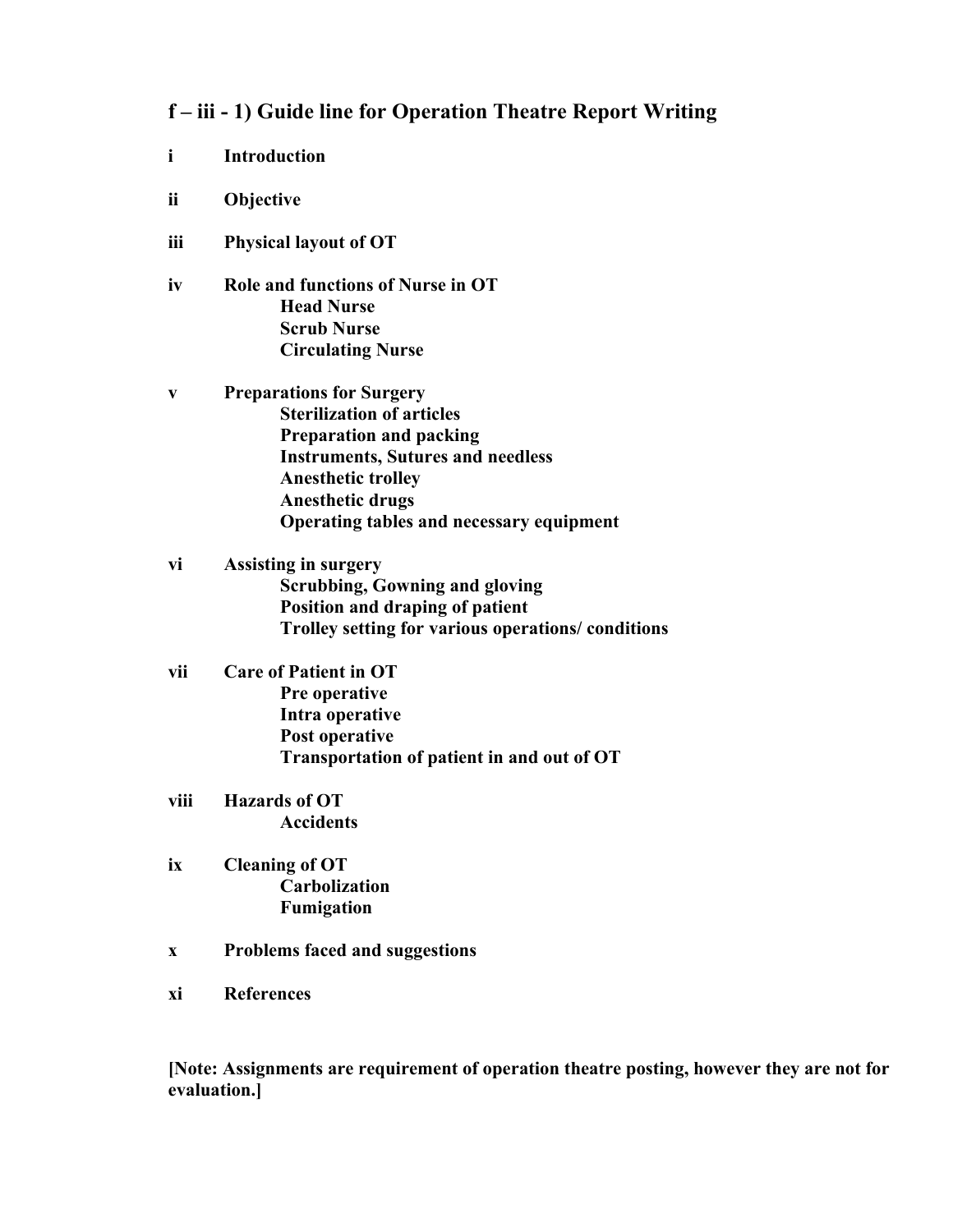#### **f – iii - 1) Guide line for Operation Theatre Report Writing**

- **i Introduction**
- **ii Objective**
- **iii Physical layout of OT**
- **iv Role and functions of Nurse in OT Head Nurse Scrub Nurse Circulating Nurse**
- **v Preparations for Surgery Sterilization of articles Preparation and packing Instruments, Sutures and needless Anesthetic trolley Anesthetic drugs Operating tables and necessary equipment**
- **vi Assisting in surgery Scrubbing, Gowning and gloving Position and draping of patient Trolley setting for various operations/ conditions**
- **vii Care of Patient in OT Pre operative Intra operative Post operative Transportation of patient in and out of OT**
- **viii Hazards of OT Accidents**
- **ix Cleaning of OT Carbolization Fumigation**
- **x Problems faced and suggestions**
- **xi References**

**[Note: Assignments are requirement of operation theatre posting, however they are not for evaluation.]**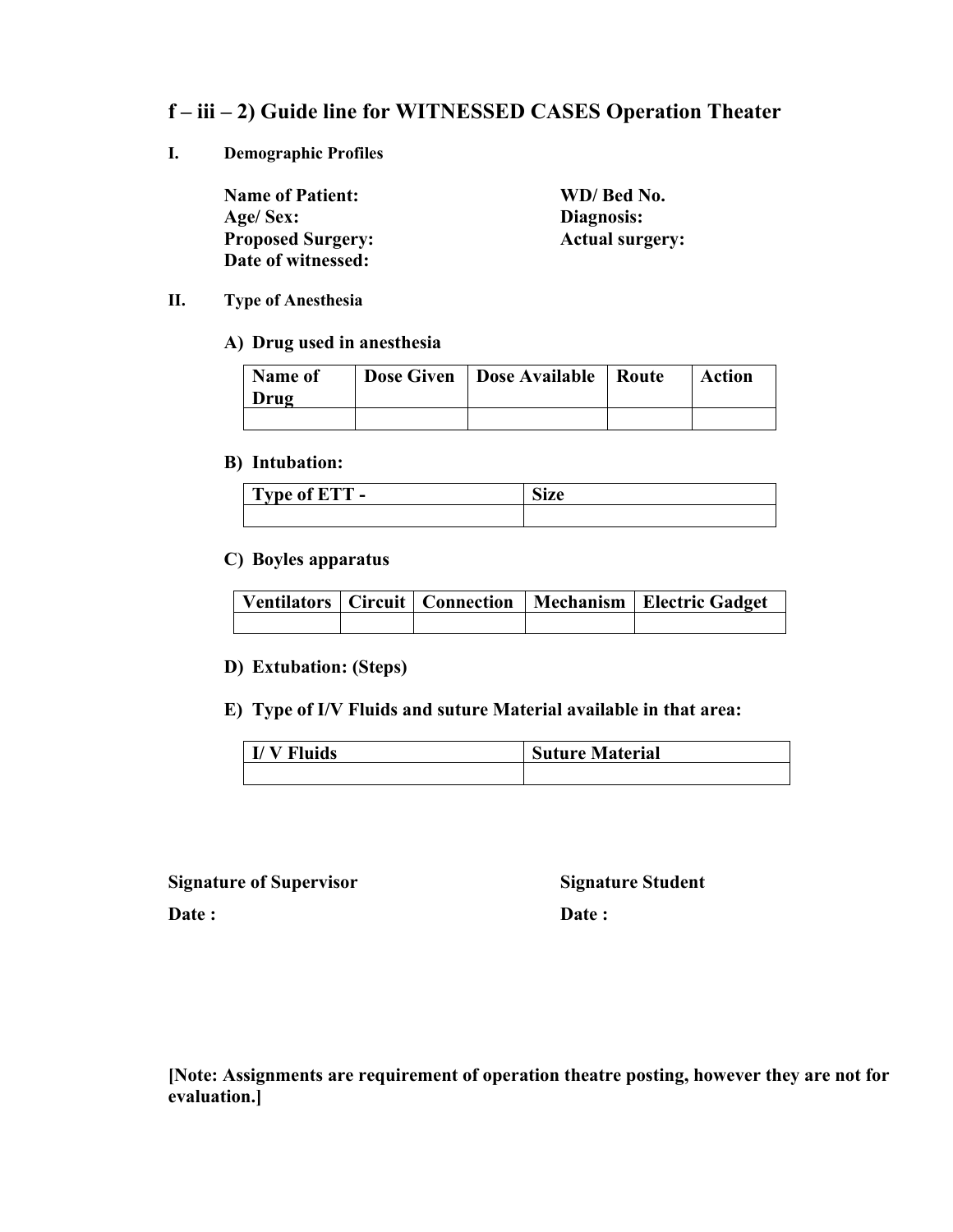#### **f – iii – 2) Guide line for WITNESSED CASES Operation Theater**

**I. Demographic Profiles**

**Name of Patient: WD/ Bed No. Age/ Sex: Diagnosis: Proposed Surgery: Actual surgery: Date of witnessed:**

#### **II. Type of Anesthesia**

#### **A) Drug used in anesthesia**

| Name of<br>Drug | <b>Dose Given</b>   Dose Available   Route | Action |
|-----------------|--------------------------------------------|--------|
|                 |                                            |        |

#### **B) Intubation:**

| omm<br>$\mathbf{r}$<br>--<br><b>VDA</b><br>н<br><br>$\overline{\phantom{a}}$ | $\sim$<br>MILL |
|------------------------------------------------------------------------------|----------------|
|                                                                              |                |

#### **C) Boyles apparatus**

| Ventilators   Circuit   Connection   Mechanism   Electric Gadget |  |  |  |  |
|------------------------------------------------------------------|--|--|--|--|
|                                                                  |  |  |  |  |

#### **D) Extubation: (Steps)**

#### **E) Type of I/V Fluids and suture Material available in that area:**

| uids | <b>Suture Material</b> |  |  |
|------|------------------------|--|--|
|      |                        |  |  |

**Signature of Supervisor Signature Student**

Date : **Date :**  Date :

**[Note: Assignments are requirement of operation theatre posting, however they are not for evaluation.]**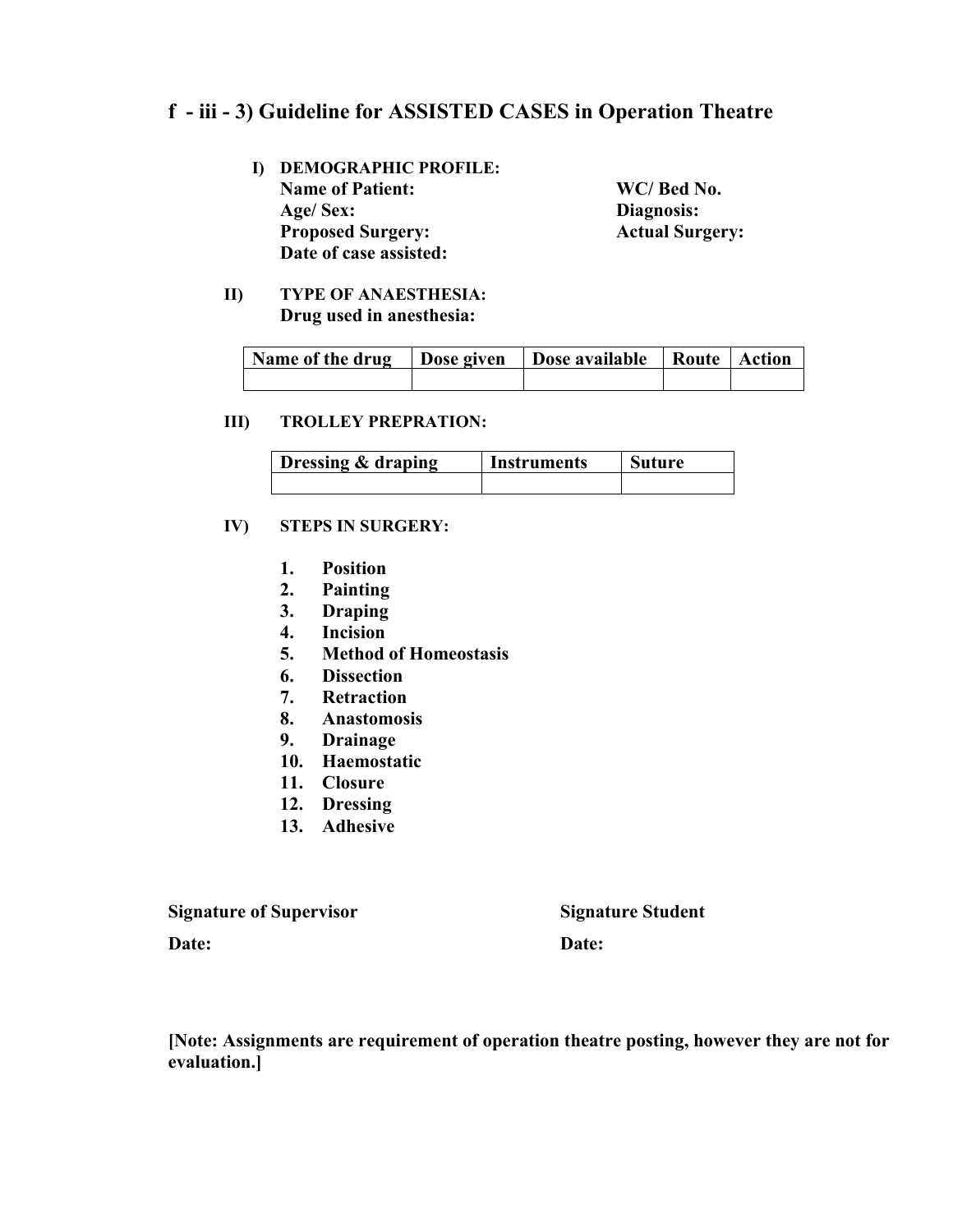#### **f - iii - 3) Guideline for ASSISTED CASES in Operation Theatre**

- **I) DEMOGRAPHIC PROFILE: Name of Patient: WC/ Bed No. Age/ Sex: Diagnosis: Proposed Surgery: Actual Surgery: Date of case assisted:**
	-

**II) TYPE OF ANAESTHESIA: Drug used in anesthesia:**

| Name of the drug   Dose given   Dose available   Route   Action |  |  |
|-----------------------------------------------------------------|--|--|
|                                                                 |  |  |

#### **III) TROLLEY PREPRATION:**

| Dressing & draping | Instruments | <b>Suture</b> |  |
|--------------------|-------------|---------------|--|
|                    |             |               |  |

#### **IV) STEPS IN SURGERY:**

- **1. Position**
- **2. Painting**
- **3. Draping**
- **4. Incision**
- **5. Method of Homeostasis**
- **6. Dissection**
- **7. Retraction**
- **8. Anastomosis**
- **9. Drainage**
- **10. Haemostatic**
- **11. Closure**
- **12. Dressing**
- **13. Adhesive**

**Signature of Supervisor Signature Student Date: Date:**

**[Note: Assignments are requirement of operation theatre posting, however they are not for evaluation.]**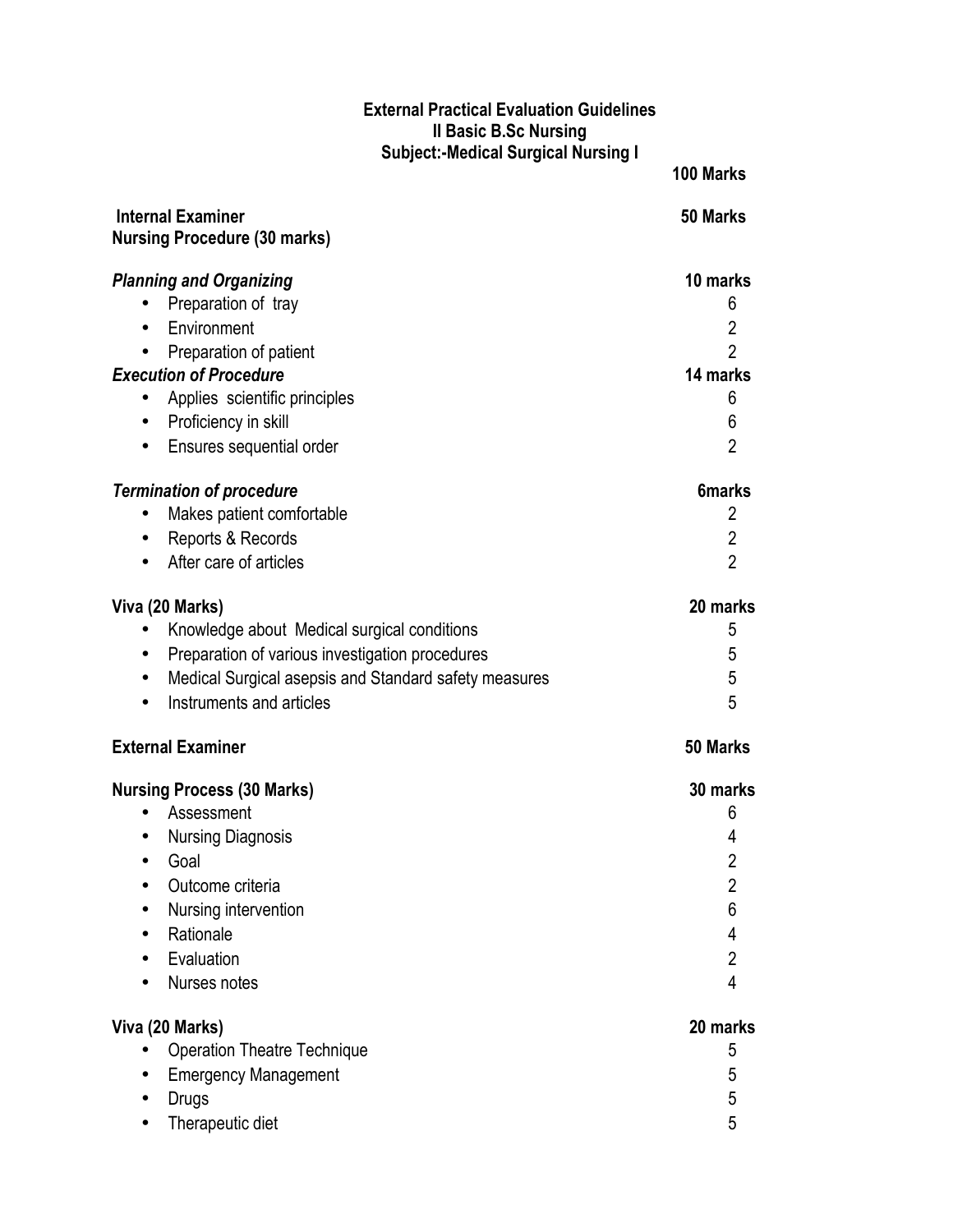#### **External Practical Evaluation Guidelines II Basic B.Sc Nursing Subject:-Medical Surgical Nursing I**

|                                                                    | 100 Marks                |
|--------------------------------------------------------------------|--------------------------|
| <b>Internal Examiner</b><br><b>Nursing Procedure (30 marks)</b>    | 50 Marks                 |
| <b>Planning and Organizing</b>                                     | 10 marks                 |
| Preparation of tray                                                | 6                        |
| Environment<br>$\bullet$                                           | $\overline{2}$           |
| Preparation of patient                                             | $\overline{2}$           |
| <b>Execution of Procedure</b>                                      | 14 marks                 |
| Applies scientific principles                                      | 6                        |
| Proficiency in skill<br>$\bullet$                                  | 6                        |
| Ensures sequential order<br>$\bullet$                              | $\overline{2}$           |
| <b>Termination of procedure</b>                                    | <b>6marks</b>            |
| Makes patient comfortable<br>$\bullet$                             | $\overline{2}$           |
| Reports & Records<br>$\bullet$                                     | $\overline{2}$           |
| After care of articles                                             | $\overline{2}$           |
| Viva (20 Marks)                                                    | 20 marks                 |
| Knowledge about Medical surgical conditions                        | 5                        |
| Preparation of various investigation procedures<br>$\bullet$       | 5                        |
| Medical Surgical asepsis and Standard safety measures<br>$\bullet$ | 5                        |
| Instruments and articles                                           | 5                        |
| <b>External Examiner</b>                                           | 50 Marks                 |
| <b>Nursing Process (30 Marks)</b>                                  | 30 marks                 |
| Assessment                                                         | 6                        |
| <b>Nursing Diagnosis</b>                                           | 4                        |
| Goal                                                               | 2                        |
| Outcome criteria                                                   | $\overline{2}$           |
| Nursing intervention                                               | 6                        |
| Rationale                                                          | 4                        |
| Evaluation                                                         | $\overline{2}$           |
| Nurses notes                                                       | $\overline{\mathcal{L}}$ |
| Viva (20 Marks)                                                    | 20 marks                 |
| <b>Operation Theatre Technique</b>                                 | 5                        |
| <b>Emergency Management</b>                                        | 5                        |
| <b>Drugs</b>                                                       | 5                        |
| Therapeutic diet                                                   | 5                        |